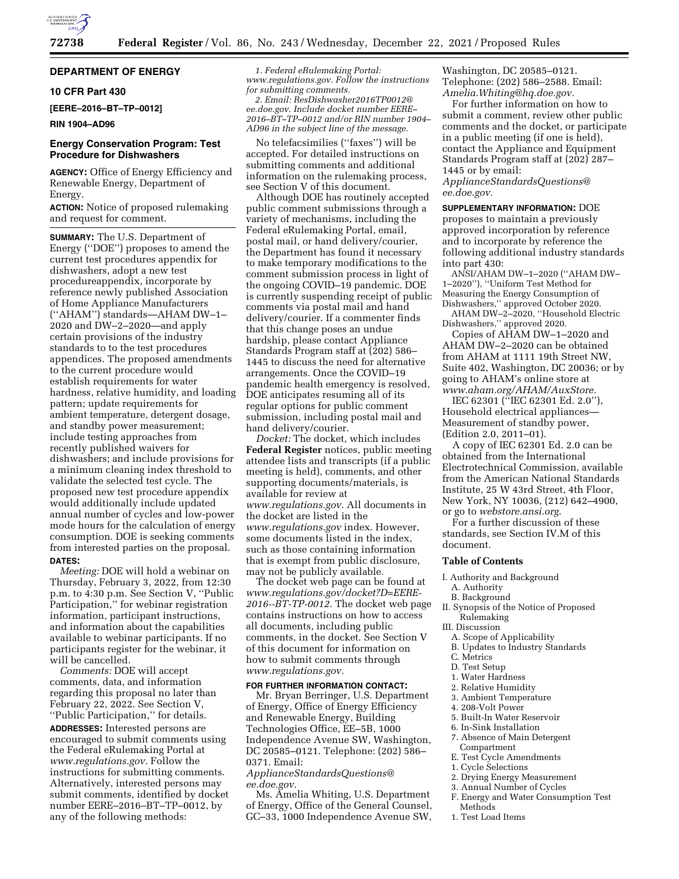

# **DEPARTMENT OF ENERGY**

# **10 CFR Part 430**

**[EERE–2016–BT–TP–0012]** 

### **RIN 1904–AD96**

# **Energy Conservation Program: Test Procedure for Dishwashers**

**AGENCY:** Office of Energy Efficiency and Renewable Energy, Department of Energy.

**ACTION:** Notice of proposed rulemaking and request for comment.

**SUMMARY:** The U.S. Department of Energy (''DOE'') proposes to amend the current test procedures appendix for dishwashers, adopt a new test procedureappendix, incorporate by reference newly published Association of Home Appliance Manufacturers (''AHAM'') standards—AHAM DW–1– 2020 and DW–2–2020—and apply certain provisions of the industry standards to to the test procedures appendices. The proposed amendments to the current procedure would establish requirements for water hardness, relative humidity, and loading pattern; update requirements for ambient temperature, detergent dosage, and standby power measurement; include testing approaches from recently published waivers for dishwashers; and include provisions for a minimum cleaning index threshold to validate the selected test cycle. The proposed new test procedure appendix would additionally include updated annual number of cycles and low-power mode hours for the calculation of energy consumption. DOE is seeking comments from interested parties on the proposal. **DATES:** 

*Meeting:* DOE will hold a webinar on Thursday, February 3, 2022, from 12:30 p.m. to 4:30 p.m. See Section V, ''Public Participation,'' for webinar registration information, participant instructions, and information about the capabilities available to webinar participants. If no participants register for the webinar, it will be cancelled.

*Comments:* DOE will accept comments, data, and information regarding this proposal no later than February 22, 2022. See Section V, ''Public Participation,'' for details.

**ADDRESSES:** Interested persons are encouraged to submit comments using the Federal eRulemaking Portal at *[www.regulations.gov.](http://www.regulations.gov)* Follow the instructions for submitting comments. Alternatively, interested persons may submit comments, identified by docket number EERE–2016–BT–TP–0012, by any of the following methods:

*1. Federal eRulemaking Portal: [www.regulations.gov.](http://www.regulations.gov) Follow the instructions for submitting comments.* 

*2. Email: [ResDishwasher2016TP0012@](mailto:ResDishwasher2016TP0012@ee.doe.gov) [ee.doe.gov.](mailto:ResDishwasher2016TP0012@ee.doe.gov) Include docket number EERE– 2016–BT–TP–0012 and/or RIN number 1904– AD96 in the subject line of the message.* 

No telefacsimilies (''faxes'') will be accepted. For detailed instructions on submitting comments and additional information on the rulemaking process, see Section V of this document.

Although DOE has routinely accepted public comment submissions through a variety of mechanisms, including the Federal eRulemaking Portal, email, postal mail, or hand delivery/courier, the Department has found it necessary to make temporary modifications to the comment submission process in light of the ongoing COVID–19 pandemic. DOE is currently suspending receipt of public comments via postal mail and hand delivery/courier. If a commenter finds that this change poses an undue hardship, please contact Appliance Standards Program staff at (202) 586– 1445 to discuss the need for alternative arrangements. Once the COVID–19 pandemic health emergency is resolved, DOE anticipates resuming all of its regular options for public comment submission, including postal mail and hand delivery/courier.

*Docket:* The docket, which includes **Federal Register** notices, public meeting attendee lists and transcripts (if a public meeting is held), comments, and other supporting documents/materials, is available for review at *[www.regulations.gov.](http://www.regulations.gov)* All documents in the docket are listed in the *[www.regulations.gov](http://www.regulations.gov)* index. However, some documents listed in the index, such as those containing information that is exempt from public disclosure, may not be publicly available.

The docket web page can be found at *[www.regulations.gov/docket?D=EERE-](http://www.regulations.gov/docket?D=EERE-2016--BT-TP-0012)[2016--BT-TP-0012.](http://www.regulations.gov/docket?D=EERE-2016--BT-TP-0012)* The docket web page contains instructions on how to access all documents, including public comments, in the docket. See Section V of this document for information on how to submit comments through *[www.regulations.gov.](http://www.regulations.gov)* 

### **FOR FURTHER INFORMATION CONTACT:**

Mr. Bryan Berringer, U.S. Department of Energy, Office of Energy Efficiency and Renewable Energy, Building Technologies Office, EE–5B, 1000 Independence Avenue SW, Washington, DC 20585–0121. Telephone: (202) 586– 0371. Email:

*[ApplianceStandardsQuestions@](mailto:ApplianceStandardsQuestions@ee.doe.gov) [ee.doe.gov.](mailto:ApplianceStandardsQuestions@ee.doe.gov)* 

Ms. Amelia Whiting, U.S. Department of Energy, Office of the General Counsel, GC–33, 1000 Independence Avenue SW,

Washington, DC 20585–0121. Telephone: (202) 586–2588. Email: *[Amelia.Whiting@hq.doe.gov.](mailto:Amelia.Whiting@hq.doe.gov)* 

For further information on how to submit a comment, review other public comments and the docket, or participate in a public meeting (if one is held), contact the Appliance and Equipment Standards Program staff at (202) 287– 1445 or by email:

*[ApplianceStandardsQuestions@](mailto:ApplianceStandardsQuestions@ee.doe.gov) [ee.doe.gov.](mailto:ApplianceStandardsQuestions@ee.doe.gov)* 

**SUPPLEMENTARY INFORMATION:** DOE proposes to maintain a previously approved incorporation by reference and to incorporate by reference the following additional industry standards into part 430:

ANSI/AHAM DW–1–2020 (''AHAM DW– 1–2020''), ''Uniform Test Method for Measuring the Energy Consumption of Dishwashers,'' approved October 2020.

AHAM DW–2–2020, ''Household Electric Dishwashers,'' approved 2020.

Copies of AHAM DW–1–2020 and AHAM DW–2–2020 can be obtained from AHAM at 1111 19th Street NW, Suite 402, Washington, DC 20036; or by going to AHAM's online store at *[www.aham.org/AHAM/AuxStore.](http://www.aham.org/AHAM/AuxStore)* 

IEC 62301 (''IEC 62301 Ed. 2.0''), Household electrical appliances— Measurement of standby power, (Edition 2.0, 2011–01).

A copy of IEC 62301 Ed. 2.0 can be obtained from the International Electrotechnical Commission, available from the American National Standards Institute, 25 W 43rd Street, 4th Floor, New York, NY 10036, (212) 642–4900, or go to *webstore.ansi.org*.

For a further discussion of these standards, see Section IV.M of this document.

#### **Table of Contents**

I. Authority and Background

- A. Authority
- B. Background

II. Synopsis of the Notice of Proposed Rulemaking

- III. Discussion
- A. Scope of Applicability
- B. Updates to Industry Standards
- C. Metrics
- D. Test Setup
- 1. Water Hardness
- 2. Relative Humidity
- 3. Ambient Temperature
- 4. 208-Volt Power
- 5. Built-In Water Reservoir
- 6. In-Sink Installation
- 7. Absence of Main Detergent Compartment
- E. Test Cycle Amendments
- 1. Cycle Selections
- 2. Drying Energy Measurement
- 3. Annual Number of Cycles
- F. Energy and Water Consumption Test Methods
- 1. Test Load Items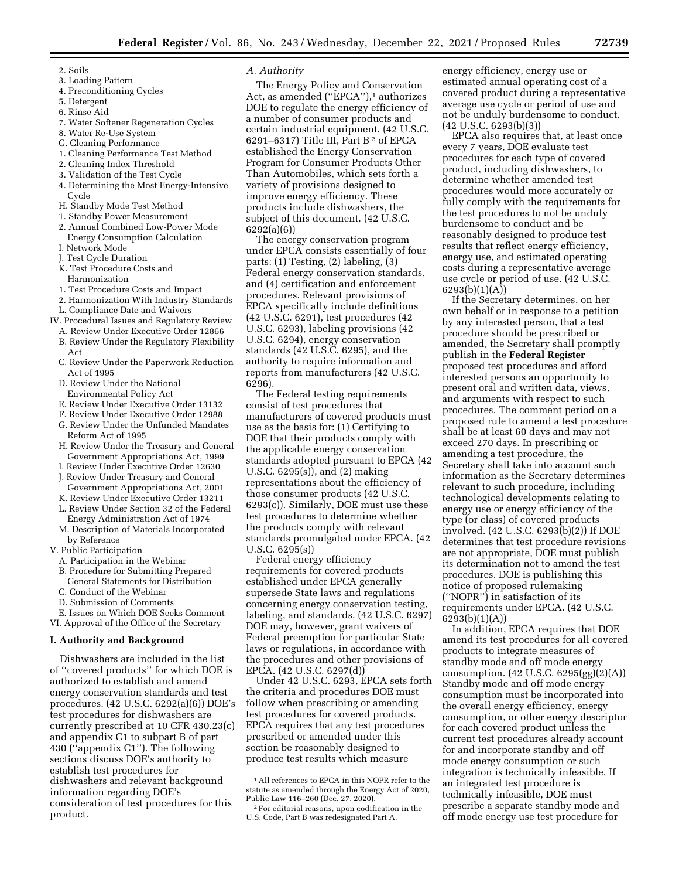- 3. Loading Pattern 4. Preconditioning Cycles
- 5. Detergent
- 6. Rinse Aid
- 7. Water Softener Regeneration Cycles
- 8. Water Re-Use System
- G. Cleaning Performance
- 1. Cleaning Performance Test Method
- 2. Cleaning Index Threshold
- 3. Validation of the Test Cycle
- 4. Determining the Most Energy-Intensive Cycle
- H. Standby Mode Test Method
- 1. Standby Power Measurement
- 2. Annual Combined Low-Power Mode Energy Consumption Calculation
- I. Network Mode
- J. Test Cycle Duration
- K. Test Procedure Costs and Harmonization
- 1. Test Procedure Costs and Impact
- 2. Harmonization With Industry Standards
- L. Compliance Date and Waivers
- IV. Procedural Issues and Regulatory Review
	- A. Review Under Executive Order 12866
	- B. Review Under the Regulatory Flexibility Act
	- C. Review Under the Paperwork Reduction Act of 1995
	- D. Review Under the National Environmental Policy Act
	- E. Review Under Executive Order 13132
	- F. Review Under Executive Order 12988
	- G. Review Under the Unfunded Mandates Reform Act of 1995
	- H. Review Under the Treasury and General Government Appropriations Act, 1999
	- I. Review Under Executive Order 12630
	- J. Review Under Treasury and General Government Appropriations Act, 2001
	- K. Review Under Executive Order 13211
	- L. Review Under Section 32 of the Federal
	- Energy Administration Act of 1974 M. Description of Materials Incorporated
	- by Reference
- V. Public Participation
	- A. Participation in the Webinar
	- B. Procedure for Submitting Prepared General Statements for Distribution
	- C. Conduct of the Webinar
	- D. Submission of Comments

E. Issues on Which DOE Seeks Comment VI. Approval of the Office of the Secretary

## **I. Authority and Background**

Dishwashers are included in the list of ''covered products'' for which DOE is authorized to establish and amend energy conservation standards and test procedures. (42 U.S.C. 6292(a)(6)) DOE's test procedures for dishwashers are currently prescribed at 10 CFR 430.23(c) and appendix C1 to subpart B of part 430 (''appendix C1''). The following sections discuss DOE's authority to establish test procedures for dishwashers and relevant background information regarding DOE's consideration of test procedures for this product.

### *A. Authority*

The Energy Policy and Conservation Act, as amended ("EPCA"),<sup>1</sup> authorizes DOE to regulate the energy efficiency of a number of consumer products and certain industrial equipment. (42 U.S.C. 6291–6317) Title III, Part B 2 of EPCA established the Energy Conservation Program for Consumer Products Other Than Automobiles, which sets forth a variety of provisions designed to improve energy efficiency. These products include dishwashers, the subject of this document. (42 U.S.C. 6292(a)(6))

The energy conservation program under EPCA consists essentially of four parts: (1) Testing, (2) labeling, (3) Federal energy conservation standards, and (4) certification and enforcement procedures. Relevant provisions of EPCA specifically include definitions (42 U.S.C. 6291), test procedures (42 U.S.C. 6293), labeling provisions (42 U.S.C. 6294), energy conservation standards (42 U.S.C. 6295), and the authority to require information and reports from manufacturers (42 U.S.C. 6296).

The Federal testing requirements consist of test procedures that manufacturers of covered products must use as the basis for: (1) Certifying to DOE that their products comply with the applicable energy conservation standards adopted pursuant to EPCA (42 U.S.C. 6295(s)), and (2) making representations about the efficiency of those consumer products (42 U.S.C. 6293(c)). Similarly, DOE must use these test procedures to determine whether the products comply with relevant standards promulgated under EPCA. (42 U.S.C. 6295(s))

Federal energy efficiency requirements for covered products established under EPCA generally supersede State laws and regulations concerning energy conservation testing, labeling, and standards. (42 U.S.C. 6297) DOE may, however, grant waivers of Federal preemption for particular State laws or regulations, in accordance with the procedures and other provisions of EPCA. (42 U.S.C. 6297(d))

Under 42 U.S.C. 6293, EPCA sets forth the criteria and procedures DOE must follow when prescribing or amending test procedures for covered products. EPCA requires that any test procedures prescribed or amended under this section be reasonably designed to produce test results which measure

energy efficiency, energy use or estimated annual operating cost of a covered product during a representative average use cycle or period of use and not be unduly burdensome to conduct. (42 U.S.C. 6293(b)(3))

EPCA also requires that, at least once every 7 years, DOE evaluate test procedures for each type of covered product, including dishwashers, to determine whether amended test procedures would more accurately or fully comply with the requirements for the test procedures to not be unduly burdensome to conduct and be reasonably designed to produce test results that reflect energy efficiency, energy use, and estimated operating costs during a representative average use cycle or period of use. (42 U.S.C. 6293(b)(1)(A))

If the Secretary determines, on her own behalf or in response to a petition by any interested person, that a test procedure should be prescribed or amended, the Secretary shall promptly publish in the **Federal Register**  proposed test procedures and afford interested persons an opportunity to present oral and written data, views, and arguments with respect to such procedures. The comment period on a proposed rule to amend a test procedure shall be at least 60 days and may not exceed 270 days. In prescribing or amending a test procedure, the Secretary shall take into account such information as the Secretary determines relevant to such procedure, including technological developments relating to energy use or energy efficiency of the type (or class) of covered products involved. (42 U.S.C. 6293(b)(2)) If DOE determines that test procedure revisions are not appropriate, DOE must publish its determination not to amend the test procedures. DOE is publishing this notice of proposed rulemaking (''NOPR'') in satisfaction of its requirements under EPCA. (42 U.S.C.  $6293(b)(1)(A))$ 

In addition, EPCA requires that DOE amend its test procedures for all covered products to integrate measures of standby mode and off mode energy consumption. (42 U.S.C. 6295(gg)(2)(A)) Standby mode and off mode energy consumption must be incorporated into the overall energy efficiency, energy consumption, or other energy descriptor for each covered product unless the current test procedures already account for and incorporate standby and off mode energy consumption or such integration is technically infeasible. If an integrated test procedure is technically infeasible, DOE must prescribe a separate standby mode and off mode energy use test procedure for

<sup>1</sup>All references to EPCA in this NOPR refer to the statute as amended through the Energy Act of 2020, Public Law 116–260 (Dec. 27, 2020).

<sup>2</sup>For editorial reasons, upon codification in the U.S. Code, Part B was redesignated Part A.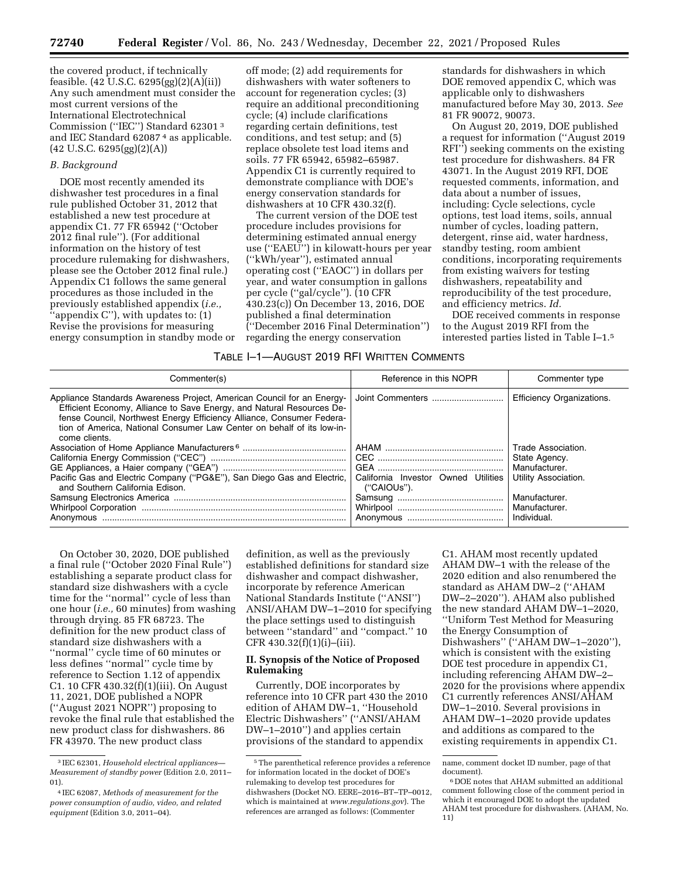the covered product, if technically feasible. (42 U.S.C. 6295(gg)(2)(A)(ii)) Any such amendment must consider the most current versions of the International Electrotechnical Commission (''IEC'') Standard 62301 3 and IEC Standard 62087 4 as applicable.  $(42 \text{ U.S.C. } 6295\text{(gg)}(2)(A))$ 

### *B. Background*

DOE most recently amended its dishwasher test procedures in a final rule published October 31, 2012 that established a new test procedure at appendix C1. 77 FR 65942 (''October 2012 final rule''). (For additional information on the history of test procedure rulemaking for dishwashers, please see the October 2012 final rule.) Appendix C1 follows the same general procedures as those included in the previously established appendix (*i.e.,*   $\cdot$  appendix C''), with updates to: (1) Revise the provisions for measuring energy consumption in standby mode or

off mode; (2) add requirements for dishwashers with water softeners to account for regeneration cycles; (3) require an additional preconditioning cycle; (4) include clarifications regarding certain definitions, test conditions, and test setup; and (5) replace obsolete test load items and soils. 77 FR 65942, 65982–65987. Appendix C1 is currently required to demonstrate compliance with DOE's energy conservation standards for dishwashers at 10 CFR 430.32(f).

The current version of the DOE test procedure includes provisions for determining estimated annual energy use (''EAEU'') in kilowatt-hours per year (''kWh/year''), estimated annual operating cost (''EAOC'') in dollars per year, and water consumption in gallons per cycle (''gal/cycle''). (10 CFR 430.23(c)) On December 13, 2016, DOE published a final determination (''December 2016 Final Determination'') regarding the energy conservation

standards for dishwashers in which DOE removed appendix C, which was applicable only to dishwashers manufactured before May 30, 2013. *See*  81 FR 90072, 90073.

On August 20, 2019, DOE published a request for information (''August 2019 RFI'') seeking comments on the existing test procedure for dishwashers. 84 FR 43071. In the August 2019 RFI, DOE requested comments, information, and data about a number of issues, including: Cycle selections, cycle options, test load items, soils, annual number of cycles, loading pattern, detergent, rinse aid, water hardness, standby testing, room ambient conditions, incorporating requirements from existing waivers for testing dishwashers, repeatability and reproducibility of the test procedure, and efficiency metrics. *Id.* 

DOE received comments in response to the August 2019 RFI from the interested parties listed in Table I–1.5

### TABLE I–1—AUGUST 2019 RFI WRITTEN COMMENTS

| Commenter(s)                                                                                                                                                                                                                                                                                                        | Reference in this NOPR                             | Commenter type                                                                                                                |
|---------------------------------------------------------------------------------------------------------------------------------------------------------------------------------------------------------------------------------------------------------------------------------------------------------------------|----------------------------------------------------|-------------------------------------------------------------------------------------------------------------------------------|
| Appliance Standards Awareness Project, American Council for an Energy-<br>Efficient Economy, Alliance to Save Energy, and Natural Resources De-<br>fense Council, Northwest Energy Efficiency Alliance, Consumer Federa-<br>tion of America, National Consumer Law Center on behalf of its low-in-<br>come clients. | Joint Commenters                                   | <b>Efficiency Organizations.</b>                                                                                              |
| Pacific Gas and Electric Company ("PG&E"), San Diego Gas and Electric,<br>and Southern California Edison.                                                                                                                                                                                                           | California Investor Owned Utilities<br>("CAIOUs"). | Trade Association.<br>State Agency.<br>Manufacturer.<br>Utility Association.<br>Manufacturer.<br>Manufacturer.<br>Individual. |

On October 30, 2020, DOE published a final rule (''October 2020 Final Rule'') establishing a separate product class for standard size dishwashers with a cycle time for the ''normal'' cycle of less than one hour (*i.e.,* 60 minutes) from washing through drying. 85 FR 68723. The definition for the new product class of standard size dishwashers with a ''normal'' cycle time of 60 minutes or less defines ''normal'' cycle time by reference to Section 1.12 of appendix C1. 10 CFR 430.32(f)(1)(iii). On August 11, 2021, DOE published a NOPR (''August 2021 NOPR'') proposing to revoke the final rule that established the new product class for dishwashers. 86 FR 43970. The new product class

definition, as well as the previously established definitions for standard size dishwasher and compact dishwasher, incorporate by reference American National Standards Institute (''ANSI'') ANSI/AHAM DW–1–2010 for specifying the place settings used to distinguish between ''standard'' and ''compact.'' 10 CFR 430.32(f)(1)(i)–(iii).

# **II. Synopsis of the Notice of Proposed Rulemaking**

Currently, DOE incorporates by reference into 10 CFR part 430 the 2010 edition of AHAM DW–1, ''Household Electric Dishwashers'' (''ANSI/AHAM DW–1–2010'') and applies certain provisions of the standard to appendix

C1. AHAM most recently updated AHAM DW–1 with the release of the 2020 edition and also renumbered the standard as AHAM DW–2 (''AHAM DW–2–2020''). AHAM also published the new standard AHAM DW–1–2020, ''Uniform Test Method for Measuring the Energy Consumption of Dishwashers'' (''AHAM DW–1–2020''), which is consistent with the existing DOE test procedure in appendix C1, including referencing AHAM DW–2– 2020 for the provisions where appendix C1 currently references ANSI/AHAM DW–1–2010. Several provisions in AHAM DW–1–2020 provide updates and additions as compared to the existing requirements in appendix C1.

<sup>3</sup> IEC 62301, *Household electrical appliances— Measurement of standby power* (Edition 2.0, 2011– 01).

<sup>4</sup> IEC 62087, *Methods of measurement for the power consumption of audio, video, and related equipment* (Edition 3.0, 2011–04).

<sup>5</sup>The parenthetical reference provides a reference for information located in the docket of DOE's rulemaking to develop test procedures for dishwashers (Docket NO. EERE–2016–BT–TP–0012, which is maintained at *[www.regulations.gov](http://www.regulations.gov)*). The references are arranged as follows: (Commenter

name, comment docket ID number, page of that document).

<sup>6</sup> DOE notes that AHAM submitted an additional comment following close of the comment period in which it encouraged DOE to adopt the updated AHAM test procedure for dishwashers. (AHAM, No. 11)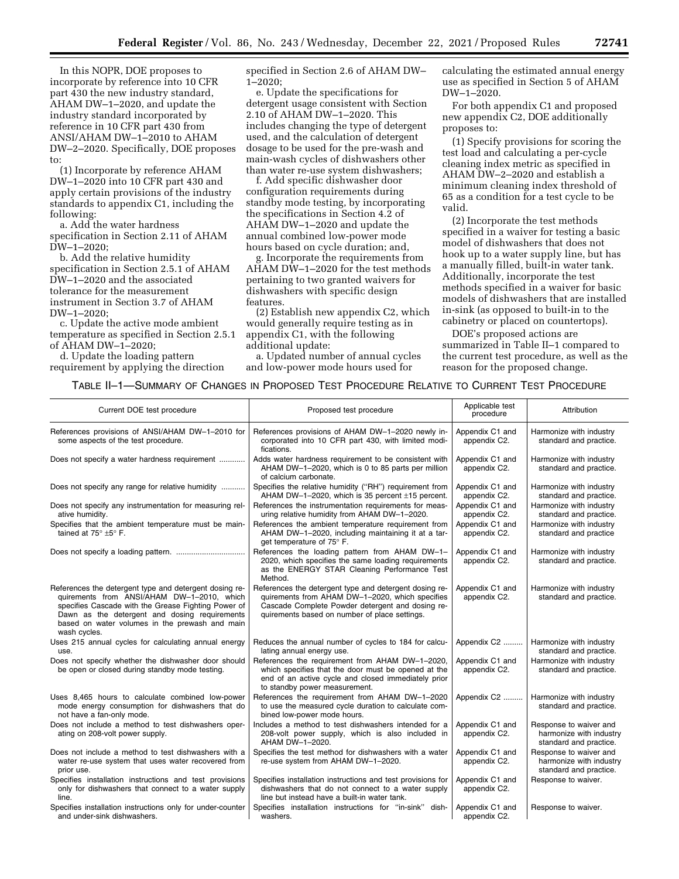specified in Section 2.6 of AHAM DW–

e. Update the specifications for detergent usage consistent with Section 2.10 of AHAM DW–1–2020. This includes changing the type of detergent used, and the calculation of detergent dosage to be used for the pre-wash and main-wash cycles of dishwashers other than water re-use system dishwashers; f. Add specific dishwasher door

In this NOPR, DOE proposes to incorporate by reference into 10 CFR part 430 the new industry standard, AHAM DW–1–2020, and update the industry standard incorporated by reference in 10 CFR part 430 from ANSI/AHAM DW–1–2010 to AHAM DW–2–2020. Specifically, DOE proposes to:

(1) Incorporate by reference AHAM DW–1–2020 into 10 CFR part 430 and apply certain provisions of the industry standards to appendix C1, including the following:

a. Add the water hardness specification in Section 2.11 of AHAM DW–1–2020;

b. Add the relative humidity specification in Section 2.5.1 of AHAM DW–1–2020 and the associated tolerance for the measurement instrument in Section 3.7 of AHAM DW–1–2020;

c. Update the active mode ambient temperature as specified in Section 2.5.1 of AHAM DW–1–2020;

requirement by applying the direction

d. Update the loading pattern

configuration requirements during standby mode testing, by incorporating

the specifications in Section 4.2 of AHAM DW–1–2020 and update the annual combined low-power mode hours based on cycle duration; and,

1–2020;

g. Incorporate the requirements from AHAM DW–1–2020 for the test methods pertaining to two granted waivers for dishwashers with specific design features.

(2) Establish new appendix C2, which would generally require testing as in appendix C1, with the following additional update:

a. Updated number of annual cycles and low-power mode hours used for

calculating the estimated annual energy use as specified in Section 5 of AHAM DW–1–2020.

For both appendix C1 and proposed new appendix C2, DOE additionally proposes to:

(1) Specify provisions for scoring the test load and calculating a per-cycle cleaning index metric as specified in AHAM DW–2–2020 and establish a minimum cleaning index threshold of 65 as a condition for a test cycle to be valid.

(2) Incorporate the test methods specified in a waiver for testing a basic model of dishwashers that does not hook up to a water supply line, but has a manually filled, built-in water tank. Additionally, incorporate the test methods specified in a waiver for basic models of dishwashers that are installed in-sink (as opposed to built-in to the cabinetry or placed on countertops).

DOE's proposed actions are summarized in Table II–1 compared to the current test procedure, as well as the reason for the proposed change.

# TABLE II–1—SUMMARY OF CHANGES IN PROPOSED TEST PROCEDURE RELATIVE TO CURRENT TEST PROCEDURE

| Current DOE test procedure                                                                                                                                                                                                                                                     | Proposed test procedure                                                                                                                                                                                        | Applicable test<br>procedure    | Attribution                                                                 |
|--------------------------------------------------------------------------------------------------------------------------------------------------------------------------------------------------------------------------------------------------------------------------------|----------------------------------------------------------------------------------------------------------------------------------------------------------------------------------------------------------------|---------------------------------|-----------------------------------------------------------------------------|
| References provisions of ANSI/AHAM DW-1-2010 for<br>some aspects of the test procedure.                                                                                                                                                                                        | References provisions of AHAM DW-1-2020 newly in-<br>corporated into 10 CFR part 430, with limited modi-<br>fications.                                                                                         | Appendix C1 and<br>appendix C2. | Harmonize with industry<br>standard and practice.                           |
| Does not specify a water hardness requirement                                                                                                                                                                                                                                  | Adds water hardness requirement to be consistent with<br>AHAM DW-1-2020, which is 0 to 85 parts per million<br>of calcium carbonate.                                                                           | Appendix C1 and<br>appendix C2. | Harmonize with industry<br>standard and practice.                           |
| Does not specify any range for relative humidity                                                                                                                                                                                                                               | Specifies the relative humidity ("RH") requirement from<br>AHAM DW-1-2020, which is 35 percent ±15 percent.                                                                                                    | Appendix C1 and<br>appendix C2. | Harmonize with industry<br>standard and practice.                           |
| Does not specify any instrumentation for measuring rel-<br>ative humidity.                                                                                                                                                                                                     | References the instrumentation requirements for meas-<br>uring relative humidity from AHAM DW-1-2020.                                                                                                          | Appendix C1 and<br>appendix C2. | Harmonize with industry<br>standard and practice.                           |
| Specifies that the ambient temperature must be main-<br>tained at $75^\circ \pm 5^\circ$ F.                                                                                                                                                                                    | References the ambient temperature requirement from<br>AHAM DW-1-2020, including maintaining it at a tar-<br>get temperature of 75° F.                                                                         | Appendix C1 and<br>appendix C2. | Harmonize with industry<br>standard and practice                            |
|                                                                                                                                                                                                                                                                                | References the loading pattern from AHAM DW-1-<br>2020, which specifies the same loading requirements<br>as the ENERGY STAR Cleaning Performance Test<br>Method.                                               | Appendix C1 and<br>appendix C2. | Harmonize with industry<br>standard and practice.                           |
| References the detergent type and detergent dosing re-<br>quirements from ANSI/AHAM DW-1-2010, which<br>specifies Cascade with the Grease Fighting Power of<br>Dawn as the detergent and dosing requirements<br>based on water volumes in the prewash and main<br>wash cycles. | References the detergent type and detergent dosing re-<br>quirements from AHAM DW-1-2020, which specifies<br>Cascade Complete Powder detergent and dosing re-<br>quirements based on number of place settings. | Appendix C1 and<br>appendix C2. | Harmonize with industry<br>standard and practice.                           |
| Uses 215 annual cycles for calculating annual energy<br>use.                                                                                                                                                                                                                   | Reduces the annual number of cycles to 184 for calcu-<br>lating annual energy use.                                                                                                                             | Appendix C2                     | Harmonize with industry<br>standard and practice.                           |
| Does not specify whether the dishwasher door should<br>be open or closed during standby mode testing.                                                                                                                                                                          | References the requirement from AHAM DW-1-2020,<br>which specifies that the door must be opened at the<br>end of an active cycle and closed immediately prior<br>to standby power measurement.                 | Appendix C1 and<br>appendix C2. | Harmonize with industry<br>standard and practice.                           |
| Uses 8,465 hours to calculate combined low-power<br>mode energy consumption for dishwashers that do<br>not have a fan-only mode.                                                                                                                                               | References the requirement from AHAM DW-1-2020<br>to use the measured cycle duration to calculate com-<br>bined low-power mode hours.                                                                          | Appendix C2                     | Harmonize with industry<br>standard and practice.                           |
| Does not include a method to test dishwashers oper-<br>ating on 208-volt power supply.                                                                                                                                                                                         | Includes a method to test dishwashers intended for a<br>208-volt power supply, which is also included in<br>AHAM DW-1-2020.                                                                                    | Appendix C1 and<br>appendix C2. | Response to waiver and<br>harmonize with industry<br>standard and practice. |
| Does not include a method to test dishwashers with a<br>water re-use system that uses water recovered from<br>prior use.                                                                                                                                                       | Specifies the test method for dishwashers with a water<br>re-use system from AHAM DW-1-2020.                                                                                                                   | Appendix C1 and<br>appendix C2. | Response to waiver and<br>harmonize with industry<br>standard and practice. |
| Specifies installation instructions and test provisions<br>only for dishwashers that connect to a water supply<br>line.                                                                                                                                                        | Specifies installation instructions and test provisions for<br>dishwashers that do not connect to a water supply<br>line but instead have a built-in water tank.                                               | Appendix C1 and<br>appendix C2. | Response to waiver.                                                         |
| Specifies installation instructions only for under-counter<br>and under-sink dishwashers.                                                                                                                                                                                      | Specifies installation instructions for "in-sink" dish-<br>washers.                                                                                                                                            | Appendix C1 and<br>appendix C2. | Response to waiver.                                                         |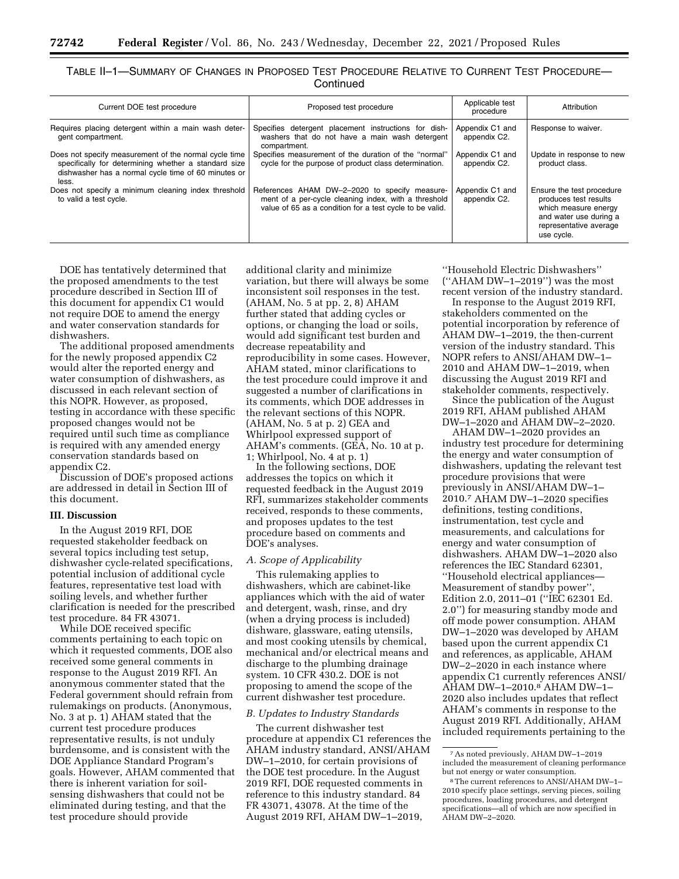| Table II—1—Summary of Changes in Proposed Test Procedure Relative to Current Test Procedure— |  |  |           |  |  |  |
|----------------------------------------------------------------------------------------------|--|--|-----------|--|--|--|
|                                                                                              |  |  | Continued |  |  |  |

| Current DOE test procedure                                                                                                                                                    | Proposed test procedure                                                                                                                                           | Applicable test<br>procedure    | Attribution                                                                                                                                  |
|-------------------------------------------------------------------------------------------------------------------------------------------------------------------------------|-------------------------------------------------------------------------------------------------------------------------------------------------------------------|---------------------------------|----------------------------------------------------------------------------------------------------------------------------------------------|
| Requires placing detergent within a main wash deter-<br>gent compartment.                                                                                                     | Specifies detergent placement instructions for dish-<br>washers that do not have a main wash detergent<br>compartment.                                            | Appendix C1 and<br>appendix C2. | Response to waiver.                                                                                                                          |
| Does not specify measurement of the normal cycle time<br>specifically for determining whether a standard size<br>dishwasher has a normal cycle time of 60 minutes or<br>less. | Specifies measurement of the duration of the "normal"<br>cycle for the purpose of product class determination.                                                    | Appendix C1 and<br>appendix C2. | Update in response to new<br>product class.                                                                                                  |
| Does not specify a minimum cleaning index threshold<br>to valid a test cycle.                                                                                                 | References AHAM DW-2-2020 to specify measure-<br>ment of a per-cycle cleaning index, with a threshold<br>value of 65 as a condition for a test cycle to be valid. | Appendix C1 and<br>appendix C2. | Ensure the test procedure<br>produces test results<br>which measure energy<br>and water use during a<br>representative average<br>use cycle. |

DOE has tentatively determined that the proposed amendments to the test procedure described in Section III of this document for appendix C1 would not require DOE to amend the energy and water conservation standards for dishwashers.

The additional proposed amendments for the newly proposed appendix C2 would alter the reported energy and water consumption of dishwashers, as discussed in each relevant section of this NOPR. However, as proposed, testing in accordance with these specific proposed changes would not be required until such time as compliance is required with any amended energy conservation standards based on appendix C2.

Discussion of DOE's proposed actions are addressed in detail in Section III of this document.

### **III. Discussion**

In the August 2019 RFI, DOE requested stakeholder feedback on several topics including test setup, dishwasher cycle-related specifications, potential inclusion of additional cycle features, representative test load with soiling levels, and whether further clarification is needed for the prescribed test procedure. 84 FR 43071.

While DOE received specific comments pertaining to each topic on which it requested comments, DOE also received some general comments in response to the August 2019 RFI. An anonymous commenter stated that the Federal government should refrain from rulemakings on products. (Anonymous, No. 3 at p. 1) AHAM stated that the current test procedure produces representative results, is not unduly burdensome, and is consistent with the DOE Appliance Standard Program's goals. However, AHAM commented that there is inherent variation for soilsensing dishwashers that could not be eliminated during testing, and that the test procedure should provide

additional clarity and minimize variation, but there will always be some inconsistent soil responses in the test. (AHAM, No. 5 at pp. 2, 8) AHAM further stated that adding cycles or options, or changing the load or soils, would add significant test burden and decrease repeatability and reproducibility in some cases. However, AHAM stated, minor clarifications to the test procedure could improve it and suggested a number of clarifications in its comments, which DOE addresses in the relevant sections of this NOPR. (AHAM, No. 5 at p. 2) GEA and Whirlpool expressed support of AHAM's comments. (GEA, No. 10 at p. 1; Whirlpool, No. 4 at p. 1)

In the following sections, DOE addresses the topics on which it requested feedback in the August 2019 RFI, summarizes stakeholder comments received, responds to these comments, and proposes updates to the test procedure based on comments and DOE's analyses.

### *A. Scope of Applicability*

This rulemaking applies to dishwashers, which are cabinet-like appliances which with the aid of water and detergent, wash, rinse, and dry (when a drying process is included) dishware, glassware, eating utensils, and most cooking utensils by chemical, mechanical and/or electrical means and discharge to the plumbing drainage system. 10 CFR 430.2. DOE is not proposing to amend the scope of the current dishwasher test procedure.

#### *B. Updates to Industry Standards*

The current dishwasher test procedure at appendix C1 references the AHAM industry standard, ANSI/AHAM DW–1–2010, for certain provisions of the DOE test procedure. In the August 2019 RFI, DOE requested comments in reference to this industry standard. 84 FR 43071, 43078. At the time of the August 2019 RFI, AHAM DW–1–2019,

''Household Electric Dishwashers'' (''AHAM DW–1–2019'') was the most recent version of the industry standard.

In response to the August 2019 RFI, stakeholders commented on the potential incorporation by reference of AHAM DW–1–2019, the then-current version of the industry standard. This NOPR refers to ANSI/AHAM DW–1– 2010 and AHAM DW–1–2019, when discussing the August 2019 RFI and stakeholder comments, respectively.

Since the publication of the August 2019 RFI, AHAM published AHAM DW–1–2020 and AHAM DW–2–2020.

AHAM DW–1–2020 provides an industry test procedure for determining the energy and water consumption of dishwashers, updating the relevant test procedure provisions that were previously in ANSI/AHAM DW–1– 2010.7 AHAM DW–1–2020 specifies definitions, testing conditions, instrumentation, test cycle and measurements, and calculations for energy and water consumption of dishwashers. AHAM DW–1–2020 also references the IEC Standard 62301, ''Household electrical appliances— Measurement of standby power'', Edition 2.0, 2011–01 (''IEC 62301 Ed. 2.0'') for measuring standby mode and off mode power consumption. AHAM DW–1–2020 was developed by AHAM based upon the current appendix C1 and references, as applicable, AHAM DW–2–2020 in each instance where appendix C1 currently references ANSI/ AHAM DW–1–2010.8 AHAM DW–1– 2020 also includes updates that reflect AHAM's comments in response to the August 2019 RFI. Additionally, AHAM included requirements pertaining to the

<sup>7</sup>As noted previously, AHAM DW–1–2019 included the measurement of cleaning performance but not energy or water consumption.

<sup>8</sup>The current references to ANSI/AHAM DW–1– 2010 specify place settings, serving pieces, soiling procedures, loading procedures, and detergent specifications—all of which are now specified in AHAM DW–2–2020.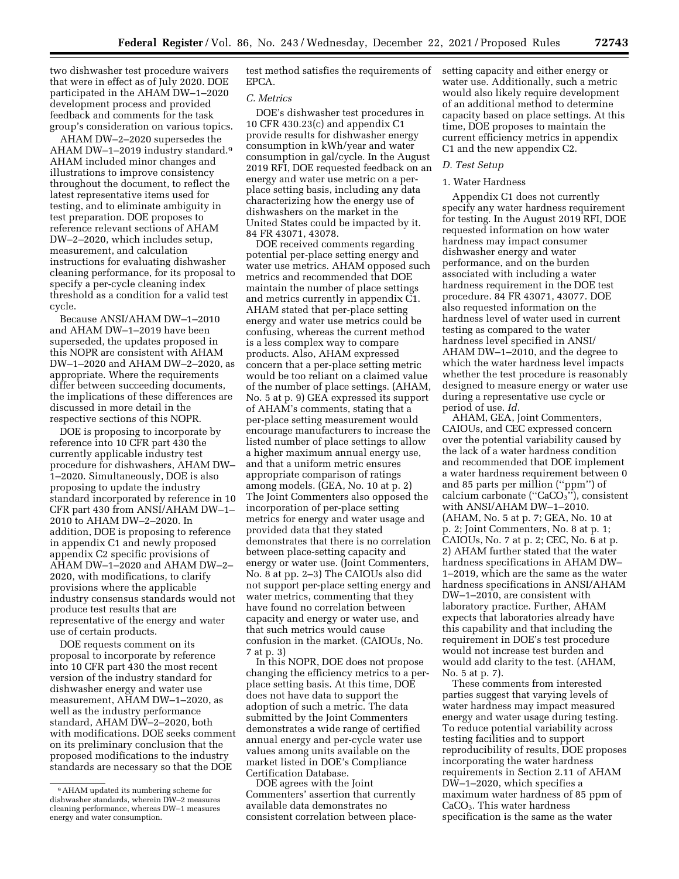two dishwasher test procedure waivers that were in effect as of July 2020. DOE participated in the AHAM DW–1–2020 development process and provided feedback and comments for the task group's consideration on various topics.

AHAM DW–2–2020 supersedes the AHAM DW–1–2019 industry standard.9 AHAM included minor changes and illustrations to improve consistency throughout the document, to reflect the latest representative items used for testing, and to eliminate ambiguity in test preparation. DOE proposes to reference relevant sections of AHAM DW–2–2020, which includes setup, measurement, and calculation instructions for evaluating dishwasher cleaning performance, for its proposal to specify a per-cycle cleaning index threshold as a condition for a valid test cycle.

Because ANSI/AHAM DW–1–2010 and AHAM DW–1–2019 have been superseded, the updates proposed in this NOPR are consistent with AHAM DW–1–2020 and AHAM DW–2–2020, as appropriate. Where the requirements differ between succeeding documents, the implications of these differences are discussed in more detail in the respective sections of this NOPR.

DOE is proposing to incorporate by reference into 10 CFR part 430 the currently applicable industry test procedure for dishwashers, AHAM DW– 1–2020. Simultaneously, DOE is also proposing to update the industry standard incorporated by reference in 10 CFR part 430 from ANSI/AHAM DW–1– 2010 to AHAM DW–2–2020. In addition, DOE is proposing to reference in appendix C1 and newly proposed appendix C2 specific provisions of AHAM DW–1–2020 and AHAM DW–2– 2020, with modifications, to clarify provisions where the applicable industry consensus standards would not produce test results that are representative of the energy and water use of certain products.

DOE requests comment on its proposal to incorporate by reference into 10 CFR part 430 the most recent version of the industry standard for dishwasher energy and water use measurement, AHAM DW–1–2020, as well as the industry performance standard, AHAM DW–2–2020, both with modifications. DOE seeks comment on its preliminary conclusion that the proposed modifications to the industry standards are necessary so that the DOE

test method satisfies the requirements of EPCA.

## *C. Metrics*

DOE's dishwasher test procedures in 10 CFR 430.23(c) and appendix C1 provide results for dishwasher energy consumption in kWh/year and water consumption in gal/cycle. In the August 2019 RFI, DOE requested feedback on an energy and water use metric on a perplace setting basis, including any data characterizing how the energy use of dishwashers on the market in the United States could be impacted by it. 84 FR 43071, 43078.

DOE received comments regarding potential per-place setting energy and water use metrics. AHAM opposed such metrics and recommended that DOE maintain the number of place settings and metrics currently in appendix C1. AHAM stated that per-place setting energy and water use metrics could be confusing, whereas the current method is a less complex way to compare products. Also, AHAM expressed concern that a per-place setting metric would be too reliant on a claimed value of the number of place settings. (AHAM, No. 5 at p. 9) GEA expressed its support of AHAM's comments, stating that a per-place setting measurement would encourage manufacturers to increase the listed number of place settings to allow a higher maximum annual energy use, and that a uniform metric ensures appropriate comparison of ratings among models. (GEA, No. 10 at p. 2) The Joint Commenters also opposed the incorporation of per-place setting metrics for energy and water usage and provided data that they stated demonstrates that there is no correlation between place-setting capacity and energy or water use. (Joint Commenters, No. 8 at pp. 2–3) The CAIOUs also did not support per-place setting energy and water metrics, commenting that they have found no correlation between capacity and energy or water use, and that such metrics would cause confusion in the market. (CAIOUs, No. 7 at p. 3)

In this NOPR, DOE does not propose changing the efficiency metrics to a perplace setting basis. At this time, DOE does not have data to support the adoption of such a metric. The data submitted by the Joint Commenters demonstrates a wide range of certified annual energy and per-cycle water use values among units available on the market listed in DOE's Compliance Certification Database.

DOE agrees with the Joint Commenters' assertion that currently available data demonstrates no consistent correlation between placesetting capacity and either energy or water use. Additionally, such a metric would also likely require development of an additional method to determine capacity based on place settings. At this time, DOE proposes to maintain the current efficiency metrics in appendix C1 and the new appendix C2.

#### *D. Test Setup*

## 1. Water Hardness

Appendix C1 does not currently specify any water hardness requirement for testing. In the August 2019 RFI, DOE requested information on how water hardness may impact consumer dishwasher energy and water performance, and on the burden associated with including a water hardness requirement in the DOE test procedure. 84 FR 43071, 43077. DOE also requested information on the hardness level of water used in current testing as compared to the water hardness level specified in ANSI/ AHAM DW–1–2010, and the degree to which the water hardness level impacts whether the test procedure is reasonably designed to measure energy or water use during a representative use cycle or period of use. *Id.* 

AHAM, GEA, Joint Commenters, CAIOUs, and CEC expressed concern over the potential variability caused by the lack of a water hardness condition and recommended that DOE implement a water hardness requirement between 0 and 85 parts per million (''ppm'') of calcium carbonate ("CaCO $3$ "), consistent with ANSI/AHAM DW–1–2010. (AHAM, No. 5 at p. 7; GEA, No. 10 at p. 2; Joint Commenters, No. 8 at p. 1; CAIOUs, No. 7 at p. 2; CEC, No. 6 at p. 2) AHAM further stated that the water hardness specifications in AHAM DW– 1–2019, which are the same as the water hardness specifications in ANSI/AHAM DW–1–2010, are consistent with laboratory practice. Further, AHAM expects that laboratories already have this capability and that including the requirement in DOE's test procedure would not increase test burden and would add clarity to the test. (AHAM, No. 5 at p. 7).

These comments from interested parties suggest that varying levels of water hardness may impact measured energy and water usage during testing. To reduce potential variability across testing facilities and to support reproducibility of results, DOE proposes incorporating the water hardness requirements in Section 2.11 of AHAM DW–1–2020, which specifies a maximum water hardness of 85 ppm of CaCO3. This water hardness specification is the same as the water

<sup>9</sup>AHAM updated its numbering scheme for dishwasher standards, wherein DW–2 measures cleaning performance, whereas DW–1 measures energy and water consumption.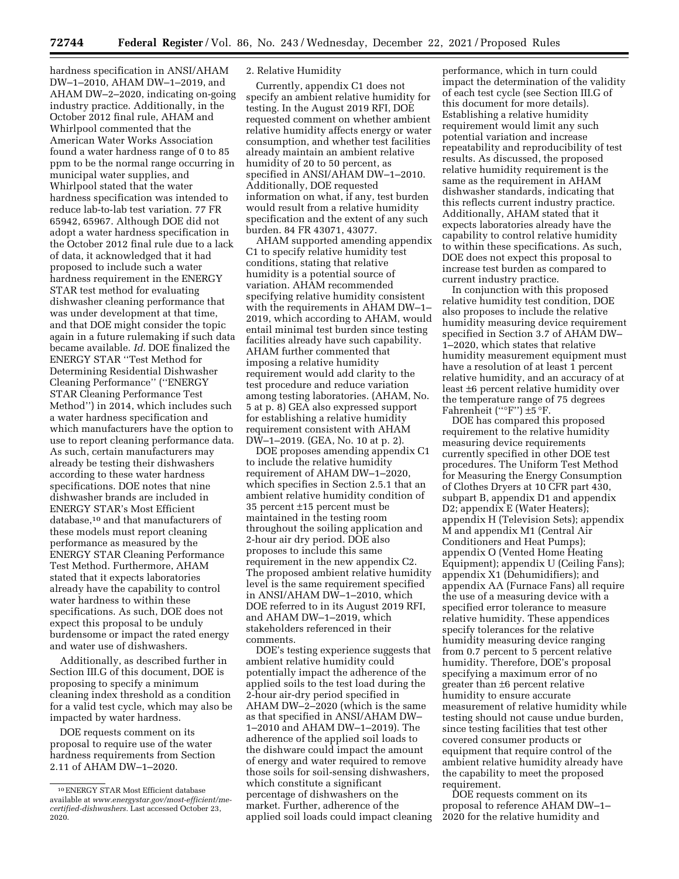hardness specification in ANSI/AHAM DW–1–2010, AHAM DW–1–2019, and AHAM DW–2–2020, indicating on-going industry practice. Additionally, in the October 2012 final rule, AHAM and Whirlpool commented that the American Water Works Association found a water hardness range of 0 to 85 ppm to be the normal range occurring in municipal water supplies, and Whirlpool stated that the water hardness specification was intended to reduce lab-to-lab test variation. 77 FR 65942, 65967. Although DOE did not adopt a water hardness specification in the October 2012 final rule due to a lack of data, it acknowledged that it had proposed to include such a water hardness requirement in the ENERGY STAR test method for evaluating dishwasher cleaning performance that was under development at that time, and that DOE might consider the topic again in a future rulemaking if such data became available. *Id.* DOE finalized the ENERGY STAR ''Test Method for Determining Residential Dishwasher Cleaning Performance'' (''ENERGY STAR Cleaning Performance Test Method'') in 2014, which includes such a water hardness specification and which manufacturers have the option to use to report cleaning performance data. As such, certain manufacturers may already be testing their dishwashers according to these water hardness specifications. DOE notes that nine dishwasher brands are included in ENERGY STAR's Most Efficient database,10 and that manufacturers of these models must report cleaning performance as measured by the ENERGY STAR Cleaning Performance Test Method. Furthermore, AHAM stated that it expects laboratories already have the capability to control water hardness to within these specifications. As such, DOE does not expect this proposal to be unduly burdensome or impact the rated energy and water use of dishwashers.

Additionally, as described further in Section III.G of this document, DOE is proposing to specify a minimum cleaning index threshold as a condition for a valid test cycle, which may also be impacted by water hardness.

DOE requests comment on its proposal to require use of the water hardness requirements from Section 2.11 of AHAM DW–1–2020.

# 2. Relative Humidity

Currently, appendix C1 does not specify an ambient relative humidity for testing. In the August 2019 RFI, DOE requested comment on whether ambient relative humidity affects energy or water consumption, and whether test facilities already maintain an ambient relative humidity of 20 to 50 percent, as specified in ANSI/AHAM DW–1–2010. Additionally, DOE requested information on what, if any, test burden would result from a relative humidity specification and the extent of any such burden. 84 FR 43071, 43077.

AHAM supported amending appendix C1 to specify relative humidity test conditions, stating that relative humidity is a potential source of variation. AHAM recommended specifying relative humidity consistent with the requirements in AHAM DW–1– 2019, which according to AHAM, would entail minimal test burden since testing facilities already have such capability. AHAM further commented that imposing a relative humidity requirement would add clarity to the test procedure and reduce variation among testing laboratories. (AHAM, No. 5 at p. 8) GEA also expressed support for establishing a relative humidity requirement consistent with AHAM DW–1–2019. (GEA, No. 10 at p. 2).

DOE proposes amending appendix C1 to include the relative humidity requirement of AHAM DW–1–2020, which specifies in Section 2.5.1 that an ambient relative humidity condition of 35 percent ±15 percent must be maintained in the testing room throughout the soiling application and 2-hour air dry period. DOE also proposes to include this same requirement in the new appendix C2. The proposed ambient relative humidity level is the same requirement specified in ANSI/AHAM DW–1–2010, which DOE referred to in its August 2019 RFI, and AHAM DW–1–2019, which stakeholders referenced in their comments.

DOE's testing experience suggests that ambient relative humidity could potentially impact the adherence of the applied soils to the test load during the 2-hour air-dry period specified in AHAM DW–2–2020 (which is the same as that specified in ANSI/AHAM DW– 1–2010 and AHAM DW–1–2019). The adherence of the applied soil loads to the dishware could impact the amount of energy and water required to remove those soils for soil-sensing dishwashers, which constitute a significant percentage of dishwashers on the market. Further, adherence of the applied soil loads could impact cleaning

performance, which in turn could impact the determination of the validity of each test cycle (see Section III.G of this document for more details). Establishing a relative humidity requirement would limit any such potential variation and increase repeatability and reproducibility of test results. As discussed, the proposed relative humidity requirement is the same as the requirement in AHAM dishwasher standards, indicating that this reflects current industry practice. Additionally, AHAM stated that it expects laboratories already have the capability to control relative humidity to within these specifications. As such, DOE does not expect this proposal to increase test burden as compared to current industry practice.

In conjunction with this proposed relative humidity test condition, DOE also proposes to include the relative humidity measuring device requirement specified in Section 3.7 of AHAM DW– 1–2020, which states that relative humidity measurement equipment must have a resolution of at least 1 percent relative humidity, and an accuracy of at least ±6 percent relative humidity over the temperature range of 75 degrees Fahrenheit (''°F'') ±5 °F.

DOE has compared this proposed requirement to the relative humidity measuring device requirements currently specified in other DOE test procedures. The Uniform Test Method for Measuring the Energy Consumption of Clothes Dryers at 10 CFR part 430, subpart B, appendix D1 and appendix D2; appendix E (Water Heaters); appendix H (Television Sets); appendix M and appendix M1 (Central Air Conditioners and Heat Pumps); appendix O (Vented Home Heating Equipment); appendix U (Ceiling Fans); appendix X1 (Dehumidifiers); and appendix AA (Furnace Fans) all require the use of a measuring device with a specified error tolerance to measure relative humidity. These appendices specify tolerances for the relative humidity measuring device ranging from 0.7 percent to 5 percent relative humidity. Therefore, DOE's proposal specifying a maximum error of no greater than ±6 percent relative humidity to ensure accurate measurement of relative humidity while testing should not cause undue burden, since testing facilities that test other covered consumer products or equipment that require control of the ambient relative humidity already have the capability to meet the proposed requirement.

DOE requests comment on its proposal to reference AHAM DW–1– 2020 for the relative humidity and

<sup>10</sup>ENERGY STAR Most Efficient database available at *[www.energystar.gov/most-efficient/me](http://www.energystar.gov/most-efficient/me-certified-dishwashers)[certified-dishwashers.](http://www.energystar.gov/most-efficient/me-certified-dishwashers)* Last accessed October 23, 2020.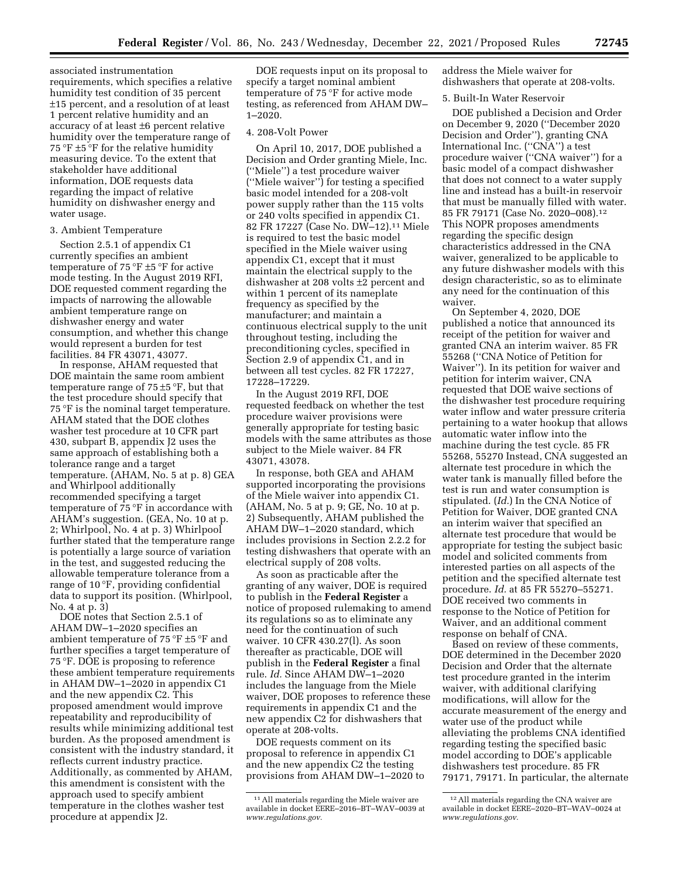associated instrumentation requirements, which specifies a relative humidity test condition of 35 percent ±15 percent, and a resolution of at least 1 percent relative humidity and an accuracy of at least ±6 percent relative humidity over the temperature range of 75 °F ±5 °F for the relative humidity measuring device. To the extent that stakeholder have additional information, DOE requests data regarding the impact of relative humidity on dishwasher energy and water usage.

### 3. Ambient Temperature

Section 2.5.1 of appendix C1 currently specifies an ambient temperature of 75 °F ±5 °F for active mode testing. In the August 2019 RFI, DOE requested comment regarding the impacts of narrowing the allowable ambient temperature range on dishwasher energy and water consumption, and whether this change would represent a burden for test facilities. 84 FR 43071, 43077.

In response, AHAM requested that DOE maintain the same room ambient temperature range of  $75 \pm 5$  °F, but that the test procedure should specify that 75 °F is the nominal target temperature. AHAM stated that the DOE clothes washer test procedure at 10 CFR part 430, subpart B, appendix J2 uses the same approach of establishing both a tolerance range and a target temperature. (AHAM, No. 5 at p. 8) GEA and Whirlpool additionally recommended specifying a target temperature of 75 °F in accordance with AHAM's suggestion. (GEA, No. 10 at p. 2; Whirlpool, No. 4 at p. 3) Whirlpool further stated that the temperature range is potentially a large source of variation in the test, and suggested reducing the allowable temperature tolerance from a range of 10 °F, providing confidential data to support its position. (Whirlpool, No. 4 at p. 3)

DOE notes that Section 2.5.1 of AHAM DW–1–2020 specifies an ambient temperature of 75 °F ±5 °F and further specifies a target temperature of 75 °F. DOE is proposing to reference these ambient temperature requirements in AHAM DW–1–2020 in appendix C1 and the new appendix C2. This proposed amendment would improve repeatability and reproducibility of results while minimizing additional test burden. As the proposed amendment is consistent with the industry standard, it reflects current industry practice. Additionally, as commented by AHAM, this amendment is consistent with the approach used to specify ambient temperature in the clothes washer test procedure at appendix J2.

DOE requests input on its proposal to specify a target nominal ambient temperature of 75 °F for active mode testing, as referenced from AHAM DW– 1–2020.

#### 4. 208-Volt Power

On April 10, 2017, DOE published a Decision and Order granting Miele, Inc. (''Miele'') a test procedure waiver (''Miele waiver'') for testing a specified basic model intended for a 208-volt power supply rather than the 115 volts or 240 volts specified in appendix C1. 82 FR 17227 (Case No. DW–12).11 Miele is required to test the basic model specified in the Miele waiver using appendix C1, except that it must maintain the electrical supply to the dishwasher at 208 volts ±2 percent and within 1 percent of its nameplate frequency as specified by the manufacturer; and maintain a continuous electrical supply to the unit throughout testing, including the preconditioning cycles, specified in Section 2.9 of appendix C1, and in between all test cycles. 82 FR 17227, 17228–17229.

In the August 2019 RFI, DOE requested feedback on whether the test procedure waiver provisions were generally appropriate for testing basic models with the same attributes as those subject to the Miele waiver. 84 FR 43071, 43078.

In response, both GEA and AHAM supported incorporating the provisions of the Miele waiver into appendix C1. (AHAM, No. 5 at p. 9; GE, No. 10 at p. 2) Subsequently, AHAM published the AHAM DW–1–2020 standard, which includes provisions in Section 2.2.2 for testing dishwashers that operate with an electrical supply of 208 volts.

As soon as practicable after the granting of any waiver, DOE is required to publish in the **Federal Register** a notice of proposed rulemaking to amend its regulations so as to eliminate any need for the continuation of such waiver. 10 CFR 430.27(l). As soon thereafter as practicable, DOE will publish in the **Federal Register** a final rule. *Id.* Since AHAM DW–1–2020 includes the language from the Miele waiver, DOE proposes to reference these requirements in appendix C1 and the new appendix C2 for dishwashers that operate at 208-volts.

DOE requests comment on its proposal to reference in appendix C1 and the new appendix C2 the testing provisions from AHAM DW–1–2020 to address the Miele waiver for dishwashers that operate at 208-volts.

#### 5. Built-In Water Reservoir

DOE published a Decision and Order on December 9, 2020 (''December 2020 Decision and Order''), granting CNA International Inc. (''CNA'') a test procedure waiver (''CNA waiver'') for a basic model of a compact dishwasher that does not connect to a water supply line and instead has a built-in reservoir that must be manually filled with water. 85 FR 79171 (Case No. 2020–008).12 This NOPR proposes amendments regarding the specific design characteristics addressed in the CNA waiver, generalized to be applicable to any future dishwasher models with this design characteristic, so as to eliminate any need for the continuation of this waiver.

On September 4, 2020, DOE published a notice that announced its receipt of the petition for waiver and granted CNA an interim waiver. 85 FR 55268 (''CNA Notice of Petition for Waiver''). In its petition for waiver and petition for interim waiver, CNA requested that DOE waive sections of the dishwasher test procedure requiring water inflow and water pressure criteria pertaining to a water hookup that allows automatic water inflow into the machine during the test cycle. 85 FR 55268, 55270 Instead, CNA suggested an alternate test procedure in which the water tank is manually filled before the test is run and water consumption is stipulated. (*Id.*) In the CNA Notice of Petition for Waiver, DOE granted CNA an interim waiver that specified an alternate test procedure that would be appropriate for testing the subject basic model and solicited comments from interested parties on all aspects of the petition and the specified alternate test procedure. *Id.* at 85 FR 55270–55271. DOE received two comments in response to the Notice of Petition for Waiver, and an additional comment response on behalf of CNA.

Based on review of these comments, DOE determined in the December 2020 Decision and Order that the alternate test procedure granted in the interim waiver, with additional clarifying modifications, will allow for the accurate measurement of the energy and water use of the product while alleviating the problems CNA identified regarding testing the specified basic model according to DOE's applicable dishwashers test procedure. 85 FR 79171, 79171. In particular, the alternate

<sup>11</sup>All materials regarding the Miele waiver are available in docket EERE–2016–BT–WAV–0039 at *[www.regulations.gov.](http://www.regulations.gov)* 

<sup>12</sup>All materials regarding the CNA waiver are available in docket EERE–2020–BT–WAV–0024 at *[www.regulations.gov.](http://www.regulations.gov)*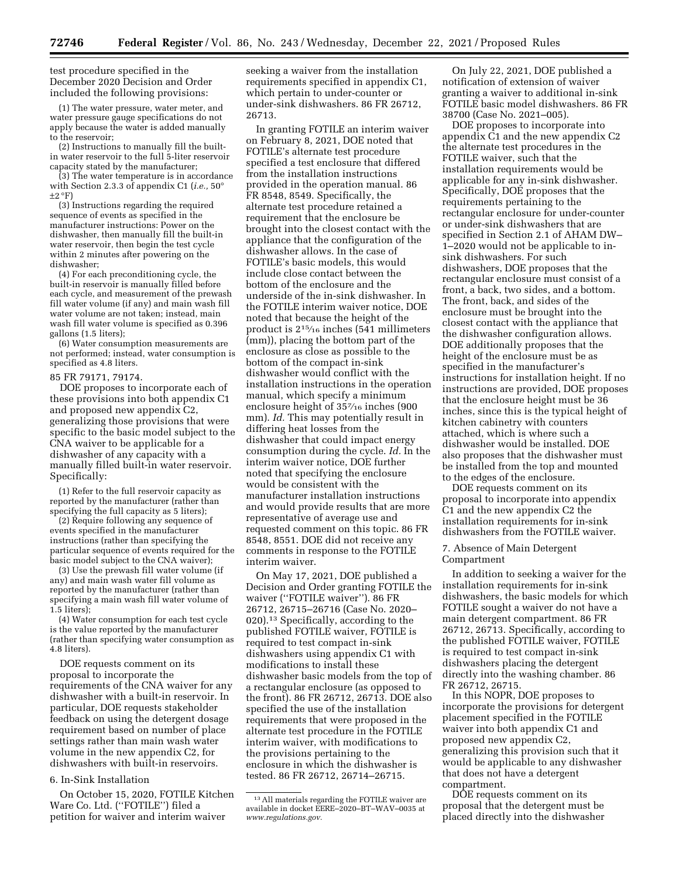test procedure specified in the December 2020 Decision and Order included the following provisions:

(1) The water pressure, water meter, and water pressure gauge specifications do not apply because the water is added manually to the reservoir;

(2) Instructions to manually fill the builtin water reservoir to the full 5-liter reservoir capacity stated by the manufacturer;

(3) The water temperature is in accordance with Section 2.3.3 of appendix C1 (*i.e.,* 50°  $\pm 2 \degree F$ 

(3) Instructions regarding the required sequence of events as specified in the manufacturer instructions: Power on the dishwasher, then manually fill the built-in water reservoir, then begin the test cycle within 2 minutes after powering on the dishwasher;

(4) For each preconditioning cycle, the built-in reservoir is manually filled before each cycle, and measurement of the prewash fill water volume (if any) and main wash fill water volume are not taken; instead, main wash fill water volume is specified as 0.396 gallons (1.5 liters);

(6) Water consumption measurements are not performed; instead, water consumption is specified as 4.8 liters.

#### 85 FR 79171, 79174.

DOE proposes to incorporate each of these provisions into both appendix C1 and proposed new appendix C2, generalizing those provisions that were specific to the basic model subject to the CNA waiver to be applicable for a dishwasher of any capacity with a manually filled built-in water reservoir. Specifically:

(1) Refer to the full reservoir capacity as reported by the manufacturer (rather than specifying the full capacity as 5 liters);

(2) Require following any sequence of events specified in the manufacturer instructions (rather than specifying the particular sequence of events required for the basic model subject to the CNA waiver);

(3) Use the prewash fill water volume (if any) and main wash water fill volume as reported by the manufacturer (rather than specifying a main wash fill water volume of 1.5 liters);

(4) Water consumption for each test cycle is the value reported by the manufacturer (rather than specifying water consumption as 4.8 liters).

DOE requests comment on its proposal to incorporate the requirements of the CNA waiver for any dishwasher with a built-in reservoir. In particular, DOE requests stakeholder feedback on using the detergent dosage requirement based on number of place settings rather than main wash water volume in the new appendix C2, for dishwashers with built-in reservoirs.

# 6. In-Sink Installation

On October 15, 2020, FOTILE Kitchen Ware Co. Ltd. (''FOTILE'') filed a petition for waiver and interim waiver

seeking a waiver from the installation requirements specified in appendix C1, which pertain to under-counter or under-sink dishwashers. 86 FR 26712, 26713.

In granting FOTILE an interim waiver on February 8, 2021, DOE noted that FOTILE's alternate test procedure specified a test enclosure that differed from the installation instructions provided in the operation manual. 86 FR 8548, 8549. Specifically, the alternate test procedure retained a requirement that the enclosure be brought into the closest contact with the appliance that the configuration of the dishwasher allows. In the case of FOTILE's basic models, this would include close contact between the bottom of the enclosure and the underside of the in-sink dishwasher. In the FOTILE interim waiver notice, DOE noted that because the height of the product is 215⁄16 inches (541 millimeters (mm)), placing the bottom part of the enclosure as close as possible to the bottom of the compact in-sink dishwasher would conflict with the installation instructions in the operation manual, which specify a minimum enclosure height of  $35\%$  inches (900 mm). *Id.* This may potentially result in differing heat losses from the dishwasher that could impact energy consumption during the cycle. *Id.* In the interim waiver notice, DOE further noted that specifying the enclosure would be consistent with the manufacturer installation instructions and would provide results that are more representative of average use and requested comment on this topic. 86 FR 8548, 8551. DOE did not receive any comments in response to the FOTILE interim waiver.

On May 17, 2021, DOE published a Decision and Order granting FOTILE the waiver (''FOTILE waiver''). 86 FR 26712, 26715–26716 (Case No. 2020– 020).13 Specifically, according to the published FOTILE waiver, FOTILE is required to test compact in-sink dishwashers using appendix C1 with modifications to install these dishwasher basic models from the top of a rectangular enclosure (as opposed to the front). 86 FR 26712, 26713. DOE also specified the use of the installation requirements that were proposed in the alternate test procedure in the FOTILE interim waiver, with modifications to the provisions pertaining to the enclosure in which the dishwasher is tested. 86 FR 26712, 26714–26715.

On July 22, 2021, DOE published a notification of extension of waiver granting a waiver to additional in-sink FOTILE basic model dishwashers. 86 FR 38700 (Case No. 2021–005).

DOE proposes to incorporate into appendix C1 and the new appendix C2 the alternate test procedures in the FOTILE waiver, such that the installation requirements would be applicable for any in-sink dishwasher. Specifically, DOE proposes that the requirements pertaining to the rectangular enclosure for under-counter or under-sink dishwashers that are specified in Section 2.1 of AHAM DW– 1–2020 would not be applicable to insink dishwashers. For such dishwashers, DOE proposes that the rectangular enclosure must consist of a front, a back, two sides, and a bottom. The front, back, and sides of the enclosure must be brought into the closest contact with the appliance that the dishwasher configuration allows. DOE additionally proposes that the height of the enclosure must be as specified in the manufacturer's instructions for installation height. If no instructions are provided, DOE proposes that the enclosure height must be 36 inches, since this is the typical height of kitchen cabinetry with counters attached, which is where such a dishwasher would be installed. DOE also proposes that the dishwasher must be installed from the top and mounted to the edges of the enclosure.

DOE requests comment on its proposal to incorporate into appendix C1 and the new appendix C2 the installation requirements for in-sink dishwashers from the FOTILE waiver.

## 7. Absence of Main Detergent Compartment

In addition to seeking a waiver for the installation requirements for in-sink dishwashers, the basic models for which FOTILE sought a waiver do not have a main detergent compartment. 86 FR 26712, 26713. Specifically, according to the published FOTILE waiver, FOTILE is required to test compact in-sink dishwashers placing the detergent directly into the washing chamber. 86 FR 26712, 26715.

In this NOPR, DOE proposes to incorporate the provisions for detergent placement specified in the FOTILE waiver into both appendix C1 and proposed new appendix C2, generalizing this provision such that it would be applicable to any dishwasher that does not have a detergent compartment.

DOE requests comment on its proposal that the detergent must be placed directly into the dishwasher

<sup>13</sup>All materials regarding the FOTILE waiver are available in docket EERE–2020–BT–WAV–0035 at *[www.regulations.gov.](http://www.regulations.gov)*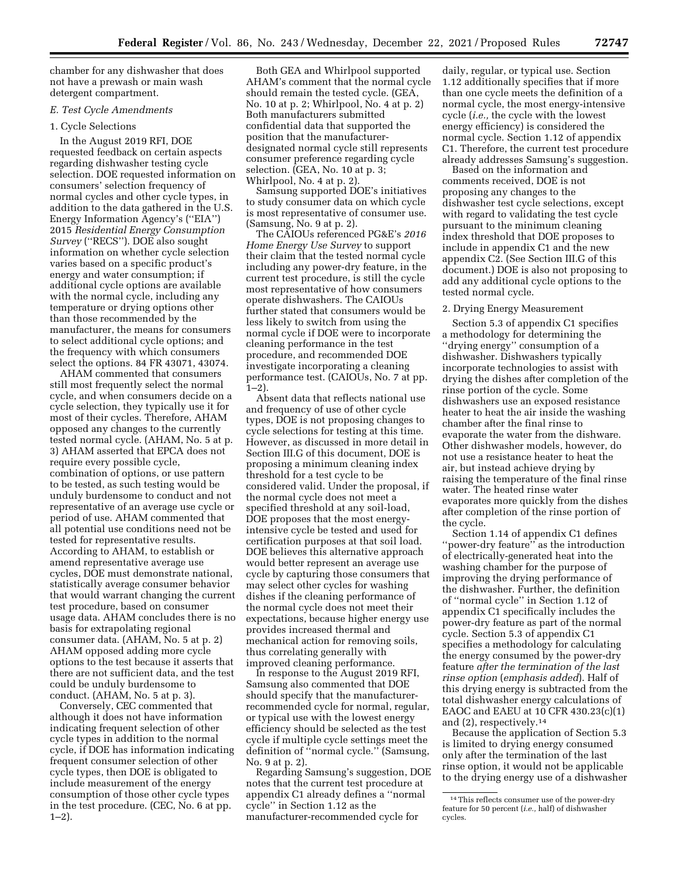chamber for any dishwasher that does not have a prewash or main wash detergent compartment.

## *E. Test Cycle Amendments*

### 1. Cycle Selections

In the August 2019 RFI, DOE requested feedback on certain aspects regarding dishwasher testing cycle selection. DOE requested information on consumers' selection frequency of normal cycles and other cycle types, in addition to the data gathered in the U.S. Energy Information Agency's (''EIA'') 2015 *Residential Energy Consumption Survey* (''RECS''). DOE also sought information on whether cycle selection varies based on a specific product's energy and water consumption; if additional cycle options are available with the normal cycle, including any temperature or drying options other than those recommended by the manufacturer, the means for consumers to select additional cycle options; and the frequency with which consumers select the options. 84 FR 43071, 43074.

AHAM commented that consumers still most frequently select the normal cycle, and when consumers decide on a cycle selection, they typically use it for most of their cycles. Therefore, AHAM opposed any changes to the currently tested normal cycle. (AHAM, No. 5 at p. 3) AHAM asserted that EPCA does not require every possible cycle, combination of options, or use pattern to be tested, as such testing would be unduly burdensome to conduct and not representative of an average use cycle or period of use. AHAM commented that all potential use conditions need not be tested for representative results. According to AHAM, to establish or amend representative average use cycles, DOE must demonstrate national, statistically average consumer behavior that would warrant changing the current test procedure, based on consumer usage data. AHAM concludes there is no basis for extrapolating regional consumer data. (AHAM, No. 5 at p. 2) AHAM opposed adding more cycle options to the test because it asserts that there are not sufficient data, and the test could be unduly burdensome to conduct. (AHAM, No. 5 at p. 3).

Conversely, CEC commented that although it does not have information indicating frequent selection of other cycle types in addition to the normal cycle, if DOE has information indicating frequent consumer selection of other cycle types, then DOE is obligated to include measurement of the energy consumption of those other cycle types in the test procedure. (CEC, No. 6 at pp.  $1-2$ ).

Both GEA and Whirlpool supported AHAM's comment that the normal cycle should remain the tested cycle. (GEA, No. 10 at p. 2; Whirlpool, No. 4 at p. 2) Both manufacturers submitted confidential data that supported the position that the manufacturerdesignated normal cycle still represents consumer preference regarding cycle selection. (GEA, No. 10 at p. 3; Whirlpool, No. 4 at p. 2).

Samsung supported DOE's initiatives to study consumer data on which cycle is most representative of consumer use. (Samsung, No. 9 at p. 2).

The CAIOUs referenced PG&E's *2016 Home Energy Use Survey* to support their claim that the tested normal cycle including any power-dry feature, in the current test procedure, is still the cycle most representative of how consumers operate dishwashers. The CAIOUs further stated that consumers would be less likely to switch from using the normal cycle if DOE were to incorporate cleaning performance in the test procedure, and recommended DOE investigate incorporating a cleaning performance test. (CAIOUs, No. 7 at pp.  $1-2$ ).

Absent data that reflects national use and frequency of use of other cycle types, DOE is not proposing changes to cycle selections for testing at this time. However, as discussed in more detail in Section III.G of this document, DOE is proposing a minimum cleaning index threshold for a test cycle to be considered valid. Under the proposal, if the normal cycle does not meet a specified threshold at any soil-load, DOE proposes that the most energyintensive cycle be tested and used for certification purposes at that soil load. DOE believes this alternative approach would better represent an average use cycle by capturing those consumers that may select other cycles for washing dishes if the cleaning performance of the normal cycle does not meet their expectations, because higher energy use provides increased thermal and mechanical action for removing soils, thus correlating generally with improved cleaning performance.

In response to the August 2019 RFI, Samsung also commented that DOE should specify that the manufacturerrecommended cycle for normal, regular, or typical use with the lowest energy efficiency should be selected as the test cycle if multiple cycle settings meet the definition of ''normal cycle.'' (Samsung, No. 9 at p. 2).

Regarding Samsung's suggestion, DOE notes that the current test procedure at appendix C1 already defines a ''normal cycle'' in Section 1.12 as the manufacturer-recommended cycle for

daily, regular, or typical use. Section 1.12 additionally specifies that if more than one cycle meets the definition of a normal cycle, the most energy-intensive cycle (*i.e.,* the cycle with the lowest energy efficiency) is considered the normal cycle. Section 1.12 of appendix C1. Therefore, the current test procedure already addresses Samsung's suggestion.

Based on the information and comments received, DOE is not proposing any changes to the dishwasher test cycle selections, except with regard to validating the test cycle pursuant to the minimum cleaning index threshold that DOE proposes to include in appendix C1 and the new appendix C2. (See Section III.G of this document.) DOE is also not proposing to add any additional cycle options to the tested normal cycle.

# 2. Drying Energy Measurement

Section 5.3 of appendix C1 specifies a methodology for determining the ''drying energy'' consumption of a dishwasher. Dishwashers typically incorporate technologies to assist with drying the dishes after completion of the rinse portion of the cycle. Some dishwashers use an exposed resistance heater to heat the air inside the washing chamber after the final rinse to evaporate the water from the dishware. Other dishwasher models, however, do not use a resistance heater to heat the air, but instead achieve drying by raising the temperature of the final rinse water. The heated rinse water evaporates more quickly from the dishes after completion of the rinse portion of the cycle.

Section 1.14 of appendix C1 defines ''power-dry feature'' as the introduction of electrically-generated heat into the washing chamber for the purpose of improving the drying performance of the dishwasher. Further, the definition of ''normal cycle'' in Section 1.12 of appendix C1 specifically includes the power-dry feature as part of the normal cycle. Section 5.3 of appendix C1 specifies a methodology for calculating the energy consumed by the power-dry feature *after the termination of the last rinse option* (*emphasis added*). Half of this drying energy is subtracted from the total dishwasher energy calculations of EAOC and EAEU at 10 CFR 430.23(c)(1) and (2), respectively.14

Because the application of Section 5.3 is limited to drying energy consumed only after the termination of the last rinse option, it would not be applicable to the drying energy use of a dishwasher

<sup>14</sup>This reflects consumer use of the power-dry feature for 50 percent (*i.e.,* half) of dishwasher cycles.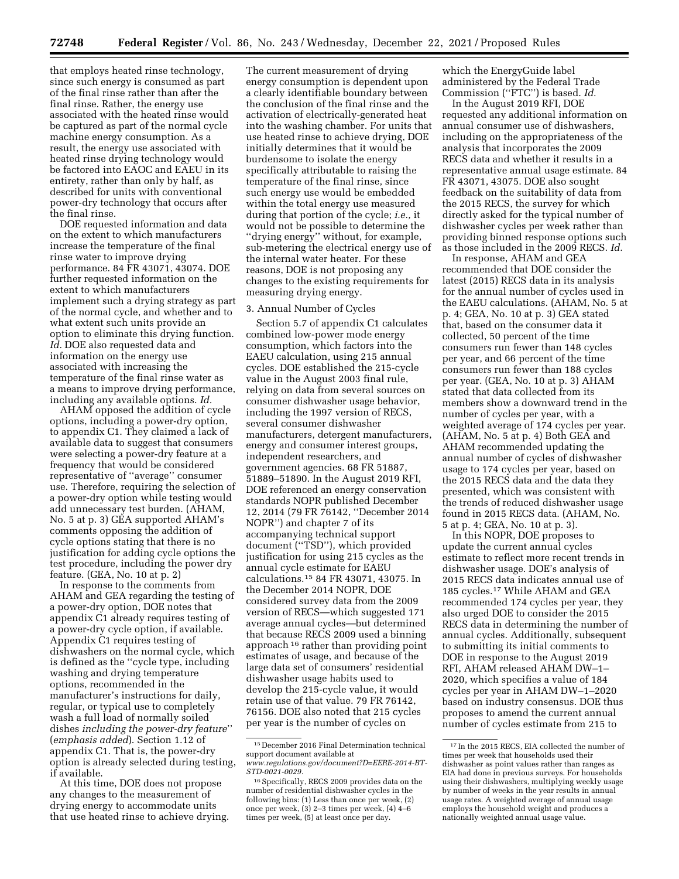that employs heated rinse technology, since such energy is consumed as part of the final rinse rather than after the final rinse. Rather, the energy use associated with the heated rinse would be captured as part of the normal cycle machine energy consumption. As a result, the energy use associated with heated rinse drying technology would be factored into EAOC and EAEU in its entirety, rather than only by half, as described for units with conventional power-dry technology that occurs after the final rinse.

DOE requested information and data on the extent to which manufacturers increase the temperature of the final rinse water to improve drying performance. 84 FR 43071, 43074. DOE further requested information on the extent to which manufacturers implement such a drying strategy as part of the normal cycle, and whether and to what extent such units provide an option to eliminate this drying function. *Id.* DOE also requested data and information on the energy use associated with increasing the temperature of the final rinse water as a means to improve drying performance, including any available options. *Id.* 

AHAM opposed the addition of cycle options, including a power-dry option, to appendix C1. They claimed a lack of available data to suggest that consumers were selecting a power-dry feature at a frequency that would be considered representative of ''average'' consumer use. Therefore, requiring the selection of a power-dry option while testing would add unnecessary test burden. (AHAM, No. 5 at p. 3) GEA supported AHAM's comments opposing the addition of cycle options stating that there is no justification for adding cycle options the test procedure, including the power dry feature. (GEA, No. 10 at p. 2)

In response to the comments from AHAM and GEA regarding the testing of a power-dry option, DOE notes that appendix C1 already requires testing of a power-dry cycle option, if available. Appendix C1 requires testing of dishwashers on the normal cycle, which is defined as the ''cycle type, including washing and drying temperature options, recommended in the manufacturer's instructions for daily, regular, or typical use to completely wash a full load of normally soiled dishes *including the power-dry feature*'' (*emphasis added*). Section 1.12 of appendix C1. That is, the power-dry option is already selected during testing, if available.

At this time, DOE does not propose any changes to the measurement of drying energy to accommodate units that use heated rinse to achieve drying. The current measurement of drying energy consumption is dependent upon a clearly identifiable boundary between the conclusion of the final rinse and the activation of electrically-generated heat into the washing chamber. For units that use heated rinse to achieve drying, DOE initially determines that it would be burdensome to isolate the energy specifically attributable to raising the temperature of the final rinse, since such energy use would be embedded within the total energy use measured during that portion of the cycle; *i.e.,* it would not be possible to determine the ''drying energy'' without, for example, sub-metering the electrical energy use of the internal water heater. For these reasons, DOE is not proposing any changes to the existing requirements for measuring drying energy.

# 3. Annual Number of Cycles

Section 5.7 of appendix C1 calculates combined low-power mode energy consumption, which factors into the EAEU calculation, using 215 annual cycles. DOE established the 215-cycle value in the August 2003 final rule, relying on data from several sources on consumer dishwasher usage behavior, including the 1997 version of RECS, several consumer dishwasher manufacturers, detergent manufacturers, energy and consumer interest groups, independent researchers, and government agencies. 68 FR 51887, 51889–51890. In the August 2019 RFI, DOE referenced an energy conservation standards NOPR published December 12, 2014 (79 FR 76142, ''December 2014 NOPR'') and chapter 7 of its accompanying technical support document (''TSD''), which provided justification for using 215 cycles as the annual cycle estimate for EAEU calculations.15 84 FR 43071, 43075. In the December 2014 NOPR, DOE considered survey data from the 2009 version of RECS—which suggested 171 average annual cycles—but determined that because RECS 2009 used a binning approach 16 rather than providing point estimates of usage, and because of the large data set of consumers' residential dishwasher usage habits used to develop the 215-cycle value, it would retain use of that value. 79 FR 76142, 76156. DOE also noted that 215 cycles per year is the number of cycles on

which the EnergyGuide label administered by the Federal Trade Commission (''FTC'') is based. *Id.* 

In the August 2019 RFI, DOE requested any additional information on annual consumer use of dishwashers, including on the appropriateness of the analysis that incorporates the 2009 RECS data and whether it results in a representative annual usage estimate. 84 FR 43071, 43075. DOE also sought feedback on the suitability of data from the 2015 RECS, the survey for which directly asked for the typical number of dishwasher cycles per week rather than providing binned response options such as those included in the 2009 RECS. *Id.* 

In response, AHAM and GEA recommended that DOE consider the latest (2015) RECS data in its analysis for the annual number of cycles used in the EAEU calculations. (AHAM, No. 5 at p. 4; GEA, No. 10 at p. 3) GEA stated that, based on the consumer data it collected, 50 percent of the time consumers run fewer than 148 cycles per year, and 66 percent of the time consumers run fewer than 188 cycles per year. (GEA, No. 10 at p. 3) AHAM stated that data collected from its members show a downward trend in the number of cycles per year, with a weighted average of 174 cycles per year. (AHAM, No. 5 at p. 4) Both GEA and AHAM recommended updating the annual number of cycles of dishwasher usage to 174 cycles per year, based on the 2015 RECS data and the data they presented, which was consistent with the trends of reduced dishwasher usage found in 2015 RECS data. (AHAM, No. 5 at p. 4; GEA, No. 10 at p. 3).

In this NOPR, DOE proposes to update the current annual cycles estimate to reflect more recent trends in dishwasher usage. DOE's analysis of 2015 RECS data indicates annual use of 185 cycles.17 While AHAM and GEA recommended 174 cycles per year, they also urged DOE to consider the 2015 RECS data in determining the number of annual cycles. Additionally, subsequent to submitting its initial comments to DOE in response to the August 2019 RFI, AHAM released AHAM DW–1– 2020, which specifies a value of 184 cycles per year in AHAM DW–1–2020 based on industry consensus. DOE thus proposes to amend the current annual number of cycles estimate from 215 to

<sup>15</sup> December 2016 Final Determination technical support document available at *[www.regulations.gov/document?D=EERE-2014-BT-](http://www.regulations.gov/document?D=EERE-2014-BT-STD-0021-0029)*

*[STD-0021-0029.](http://www.regulations.gov/document?D=EERE-2014-BT-STD-0021-0029)*  16Specifically, RECS 2009 provides data on the

number of residential dishwasher cycles in the following bins: (1) Less than once per week, (2) once per week, (3) 2–3 times per week, (4) 4–6 times per week, (5) at least once per day.

<sup>17</sup> In the 2015 RECS, EIA collected the number of times per week that households used their dishwasher as point values rather than ranges as EIA had done in previous surveys. For households using their dishwashers, multiplying weekly usage by number of weeks in the year results in annual usage rates. A weighted average of annual usage employs the household weight and produces a nationally weighted annual usage value.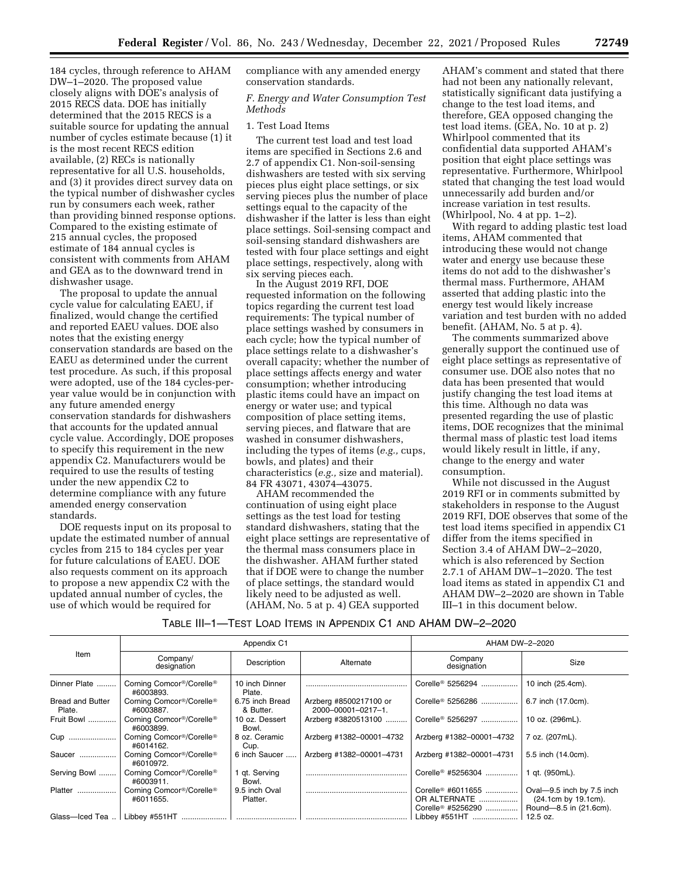184 cycles, through reference to AHAM DW–1–2020. The proposed value closely aligns with DOE's analysis of 2015 RECS data. DOE has initially determined that the 2015 RECS is a suitable source for updating the annual number of cycles estimate because (1) it is the most recent RECS edition available, (2) RECs is nationally representative for all U.S. households, and (3) it provides direct survey data on the typical number of dishwasher cycles run by consumers each week, rather than providing binned response options. Compared to the existing estimate of 215 annual cycles, the proposed estimate of 184 annual cycles is consistent with comments from AHAM and GEA as to the downward trend in dishwasher usage.

The proposal to update the annual cycle value for calculating EAEU, if finalized, would change the certified and reported EAEU values. DOE also notes that the existing energy conservation standards are based on the EAEU as determined under the current test procedure. As such, if this proposal were adopted, use of the 184 cycles-peryear value would be in conjunction with any future amended energy conservation standards for dishwashers that accounts for the updated annual cycle value. Accordingly, DOE proposes to specify this requirement in the new appendix C2. Manufacturers would be required to use the results of testing under the new appendix C2 to determine compliance with any future amended energy conservation standards.

DOE requests input on its proposal to update the estimated number of annual cycles from 215 to 184 cycles per year for future calculations of EAEU. DOE also requests comment on its approach to propose a new appendix C2 with the updated annual number of cycles, the use of which would be required for

compliance with any amended energy conservation standards.

*F. Energy and Water Consumption Test Methods* 

# 1. Test Load Items

The current test load and test load items are specified in Sections 2.6 and 2.7 of appendix C1. Non-soil-sensing dishwashers are tested with six serving pieces plus eight place settings, or six serving pieces plus the number of place settings equal to the capacity of the dishwasher if the latter is less than eight place settings. Soil-sensing compact and soil-sensing standard dishwashers are tested with four place settings and eight place settings, respectively, along with six serving pieces each.

In the August 2019 RFI, DOE requested information on the following topics regarding the current test load requirements: The typical number of place settings washed by consumers in each cycle; how the typical number of place settings relate to a dishwasher's overall capacity; whether the number of place settings affects energy and water consumption; whether introducing plastic items could have an impact on energy or water use; and typical composition of place setting items, serving pieces, and flatware that are washed in consumer dishwashers, including the types of items (*e.g.,* cups, bowls, and plates) and their characteristics (*e.g.,* size and material). 84 FR 43071, 43074–43075.

AHAM recommended the continuation of using eight place settings as the test load for testing standard dishwashers, stating that the eight place settings are representative of the thermal mass consumers place in the dishwasher. AHAM further stated that if DOE were to change the number of place settings, the standard would likely need to be adjusted as well. (AHAM, No. 5 at p. 4) GEA supported

AHAM's comment and stated that there had not been any nationally relevant, statistically significant data justifying a change to the test load items, and therefore, GEA opposed changing the test load items. (GEA, No. 10 at p. 2) Whirlpool commented that its confidential data supported AHAM's position that eight place settings was representative. Furthermore, Whirlpool stated that changing the test load would unnecessarily add burden and/or increase variation in test results. (Whirlpool, No. 4 at pp. 1–2).

With regard to adding plastic test load items, AHAM commented that introducing these would not change water and energy use because these items do not add to the dishwasher's thermal mass. Furthermore, AHAM asserted that adding plastic into the energy test would likely increase variation and test burden with no added benefit. (AHAM, No. 5 at p. 4).

The comments summarized above generally support the continued use of eight place settings as representative of consumer use. DOE also notes that no data has been presented that would justify changing the test load items at this time. Although no data was presented regarding the use of plastic items, DOE recognizes that the minimal thermal mass of plastic test load items would likely result in little, if any, change to the energy and water consumption.

While not discussed in the August 2019 RFI or in comments submitted by stakeholders in response to the August 2019 RFI, DOE observes that some of the test load items specified in appendix C1 differ from the items specified in Section 3.4 of AHAM DW–2–2020, which is also referenced by Section 2.7.1 of AHAM DW–1–2020. The test load items as stated in appendix C1 and AHAM DW–2–2020 are shown in Table III–1 in this document below.

# TABLE III–1—TEST LOAD ITEMS IN APPENDIX C1 AND AHAM DW–2–2020

|                                   |                                                                | Appendix C1                  | AHAM DW-2-2020                               |                                                                                |                                                                            |  |
|-----------------------------------|----------------------------------------------------------------|------------------------------|----------------------------------------------|--------------------------------------------------------------------------------|----------------------------------------------------------------------------|--|
| Item                              | Company/<br>designation                                        | Description                  | Alternate                                    | Company<br>designation                                                         | Size                                                                       |  |
| Dinner Plate                      | Corning Comcor®/Corelle®<br>#6003893.                          | 10 inch Dinner<br>Plate.     |                                              | Corelle <sup>®</sup> 5256294                                                   | 10 inch (25.4cm).                                                          |  |
| <b>Bread and Butter</b><br>Plate. | Corning Comcor <sup>®</sup> /Corelle <sup>®</sup><br>#6003887. | 6.75 inch Bread<br>& Butter. | Arzberg #8500217100 or<br>2000-00001-0217-1. | Corelle <sup>®</sup> 5256286                                                   | 6.7 inch (17.0cm).                                                         |  |
| Fruit Bowl                        | Corning Comcor <sup>®</sup> /Corelle <sup>®</sup><br>#6003899. | 10 oz. Dessert<br>Bowl.      | Arzberg #3820513100                          | Corelle <sup>®</sup> 5256297                                                   | 10 oz. (296mL).                                                            |  |
| Cup                               | Corning Comcor <sup>®</sup> /Corelle <sup>®</sup><br>#6014162. | 8 oz. Ceramic<br>Cup.        | Arzberg #1382-00001-4732                     | Arzberg #1382-00001-4732                                                       | 7 oz. (207mL).                                                             |  |
| Saucer                            | Corning Comcor®/Corelle®<br>#6010972.                          | 6 inch Saucer                | Arzberg #1382-00001-4731                     | Arzberg #1382-00001-4731                                                       | 5.5 inch (14.0cm).                                                         |  |
| Serving Bowl                      | Corning Comcor <sup>®</sup> /Corelle <sup>®</sup><br>#6003911. | gt. Serving<br>Bowl.         |                                              | Corelle <sup>®</sup> #5256304                                                  | gt. (950mL).                                                               |  |
| Platter                           | Corning Comcor <sup>®</sup> /Corelle <sup>®</sup><br>#6011655. | 9.5 inch Oval<br>Platter.    |                                              | Corelle <sup>®</sup> #6011655<br>OR ALTERNATE<br>Corelle <sup>®</sup> #5256290 | Oval-9.5 inch by 7.5 inch<br>(24.1cm by 19.1cm).<br>Round-8.5 in (21.6cm). |  |
|                                   |                                                                |                              |                                              | Libbey #551HT    12.5 oz.                                                      |                                                                            |  |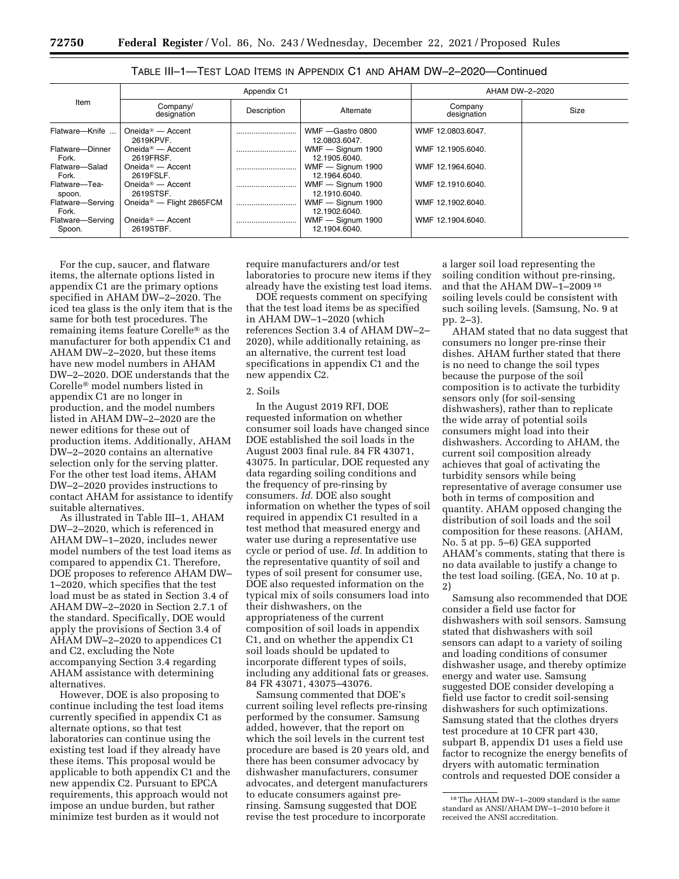|                            |                                           | Appendix C1 | AHAM DW-2-2020                     |                        |      |
|----------------------------|-------------------------------------------|-------------|------------------------------------|------------------------|------|
| Item                       | Company/<br>designation                   | Description | Alternate                          | Company<br>designation | Size |
| Flatware-Knife             | Oneida <sup>®</sup> — Accent<br>2619KPVF. |             | WMF - Gastro 0800<br>12.0803.6047. | WMF 12.0803.6047.      |      |
| Flatware-Dinner<br>Fork.   | Oneida <sup>®</sup> — Accent<br>2619FRSF. |             | WMF - Signum 1900<br>12.1905.6040. | WMF 12.1905.6040.      |      |
| Flatware-Salad<br>Fork.    | Oneida <sup>®</sup> — Accent<br>2619FSLF. |             | WMF - Signum 1900<br>12.1964.6040. | WMF 12.1964.6040.      |      |
| Flatware-Tea-<br>spoon.    | Oneida <sup>®</sup> — Accent<br>2619STSF. |             | WMF - Signum 1900<br>12.1910.6040. | WMF 12.1910.6040.      |      |
| Flatware-Serving<br>Fork.  | Oneida <sup>®</sup> - Flight 2865FCM      |             | WMF - Signum 1900<br>12.1902.6040. | WMF 12.1902.6040.      |      |
| Flatware-Serving<br>Spoon. | Oneida <sup>®</sup> — Accent<br>2619STBF. |             | WMF - Signum 1900<br>12.1904.6040. | WMF 12.1904.6040.      |      |

# TABLE III–1—TEST LOAD ITEMS IN APPENDIX C1 AND AHAM DW–2–2020—Continued

For the cup, saucer, and flatware items, the alternate options listed in appendix C1 are the primary options specified in AHAM DW–2–2020. The iced tea glass is the only item that is the same for both test procedures. The remaining items feature Corelle® as the manufacturer for both appendix C1 and AHAM DW–2–2020, but these items have new model numbers in AHAM DW–2–2020. DOE understands that the Corelle® model numbers listed in appendix C1 are no longer in production, and the model numbers listed in AHAM DW–2–2020 are the newer editions for these out of production items. Additionally, AHAM DW–2–2020 contains an alternative selection only for the serving platter. For the other test load items, AHAM DW–2–2020 provides instructions to contact AHAM for assistance to identify suitable alternatives.

As illustrated in Table III–1, AHAM DW–2–2020, which is referenced in AHAM DW–1–2020, includes newer model numbers of the test load items as compared to appendix C1. Therefore, DOE proposes to reference AHAM DW– 1–2020, which specifies that the test load must be as stated in Section 3.4 of AHAM DW–2–2020 in Section 2.7.1 of the standard. Specifically, DOE would apply the provisions of Section 3.4 of AHAM DW–2–2020 to appendices C1 and C2, excluding the Note accompanying Section 3.4 regarding AHAM assistance with determining alternatives.

However, DOE is also proposing to continue including the test load items currently specified in appendix C1 as alternate options, so that test laboratories can continue using the existing test load if they already have these items. This proposal would be applicable to both appendix C1 and the new appendix C2. Pursuant to EPCA requirements, this approach would not impose an undue burden, but rather minimize test burden as it would not

require manufacturers and/or test laboratories to procure new items if they already have the existing test load items.

DOE requests comment on specifying that the test load items be as specified in AHAM DW–1–2020 (which references Section 3.4 of AHAM DW–2– 2020), while additionally retaining, as an alternative, the current test load specifications in appendix C1 and the new appendix C2.

#### 2. Soils

In the August 2019 RFI, DOE requested information on whether consumer soil loads have changed since DOE established the soil loads in the August 2003 final rule. 84 FR 43071, 43075. In particular, DOE requested any data regarding soiling conditions and the frequency of pre-rinsing by consumers. *Id.* DOE also sought information on whether the types of soil required in appendix C1 resulted in a test method that measured energy and water use during a representative use cycle or period of use. *Id.* In addition to the representative quantity of soil and types of soil present for consumer use, DOE also requested information on the typical mix of soils consumers load into their dishwashers, on the appropriateness of the current composition of soil loads in appendix C1, and on whether the appendix C1 soil loads should be updated to incorporate different types of soils, including any additional fats or greases. 84 FR 43071, 43075–43076.

Samsung commented that DOE's current soiling level reflects pre-rinsing performed by the consumer. Samsung added, however, that the report on which the soil levels in the current test procedure are based is 20 years old, and there has been consumer advocacy by dishwasher manufacturers, consumer advocates, and detergent manufacturers to educate consumers against prerinsing. Samsung suggested that DOE revise the test procedure to incorporate

a larger soil load representing the soiling condition without pre-rinsing, and that the AHAM DW–1–2009 18 soiling levels could be consistent with such soiling levels. (Samsung, No. 9 at pp. 2–3).

AHAM stated that no data suggest that consumers no longer pre-rinse their dishes. AHAM further stated that there is no need to change the soil types because the purpose of the soil composition is to activate the turbidity sensors only (for soil-sensing dishwashers), rather than to replicate the wide array of potential soils consumers might load into their dishwashers. According to AHAM, the current soil composition already achieves that goal of activating the turbidity sensors while being representative of average consumer use both in terms of composition and quantity. AHAM opposed changing the distribution of soil loads and the soil composition for these reasons. (AHAM, No. 5 at pp. 5–6) GEA supported AHAM's comments, stating that there is no data available to justify a change to the test load soiling. (GEA, No. 10 at p. 2)

Samsung also recommended that DOE consider a field use factor for dishwashers with soil sensors. Samsung stated that dishwashers with soil sensors can adapt to a variety of soiling and loading conditions of consumer dishwasher usage, and thereby optimize energy and water use. Samsung suggested DOE consider developing a field use factor to credit soil-sensing dishwashers for such optimizations. Samsung stated that the clothes dryers test procedure at 10 CFR part 430, subpart B, appendix D1 uses a field use factor to recognize the energy benefits of dryers with automatic termination controls and requested DOE consider a

<sup>18</sup>The AHAM DW–1–2009 standard is the same standard as ANSI/AHAM DW–1–2010 before it received the ANSI accreditation.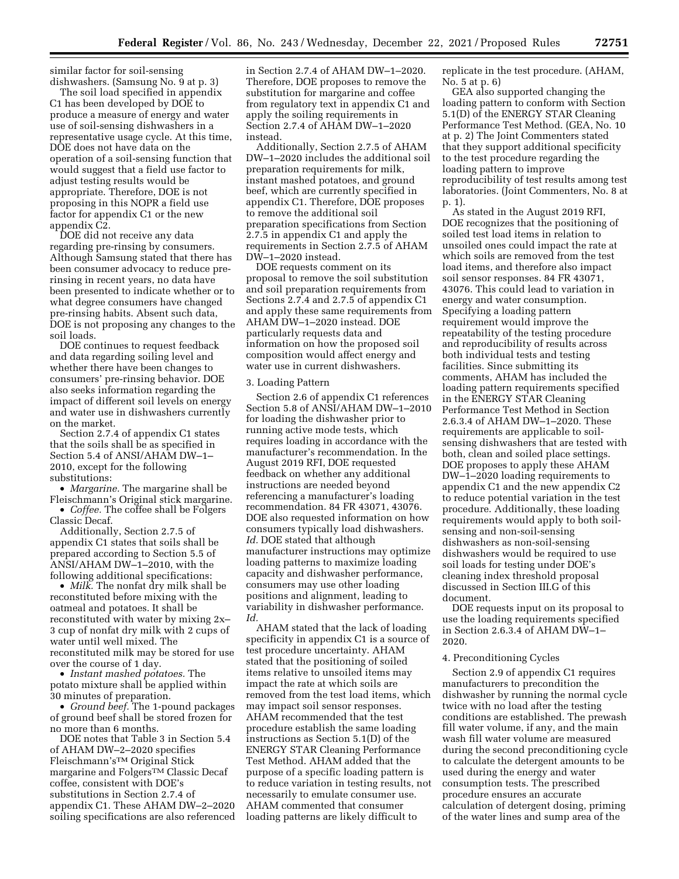similar factor for soil-sensing dishwashers. (Samsung No. 9 at p. 3)

The soil load specified in appendix C1 has been developed by DOE to produce a measure of energy and water use of soil-sensing dishwashers in a representative usage cycle. At this time, DOE does not have data on the operation of a soil-sensing function that would suggest that a field use factor to adjust testing results would be appropriate. Therefore, DOE is not proposing in this NOPR a field use factor for appendix C1 or the new appendix C2.

DOE did not receive any data regarding pre-rinsing by consumers. Although Samsung stated that there has been consumer advocacy to reduce prerinsing in recent years, no data have been presented to indicate whether or to what degree consumers have changed pre-rinsing habits. Absent such data, DOE is not proposing any changes to the soil loads.

DOE continues to request feedback and data regarding soiling level and whether there have been changes to consumers' pre-rinsing behavior. DOE also seeks information regarding the impact of different soil levels on energy and water use in dishwashers currently on the market.

Section 2.7.4 of appendix C1 states that the soils shall be as specified in Section 5.4 of ANSI/AHAM DW–1– 2010, except for the following substitutions:

• *Margarine.* The margarine shall be Fleischmann's Original stick margarine.

• *Coffee.* The coffee shall be Folgers Classic Decaf.

Additionally, Section 2.7.5 of appendix C1 states that soils shall be prepared according to Section 5.5 of ANSI/AHAM DW–1–2010, with the following additional specifications:

• *Milk.* The nonfat dry milk shall be reconstituted before mixing with the oatmeal and potatoes. It shall be reconstituted with water by mixing 2x– 3 cup of nonfat dry milk with 2 cups of water until well mixed. The reconstituted milk may be stored for use over the course of 1 day.

• *Instant mashed potatoes.* The potato mixture shall be applied within 30 minutes of preparation.

• *Ground beef.* The 1-pound packages of ground beef shall be stored frozen for no more than 6 months.

DOE notes that Table 3 in Section 5.4 of AHAM DW–2–2020 specifies Fleischmann'sTM Original Stick margarine and Folgers<sup>™</sup> Classic Decaf coffee, consistent with DOE's substitutions in Section 2.7.4 of appendix C1. These AHAM DW–2–2020 soiling specifications are also referenced in Section 2.7.4 of AHAM DW–1–2020. Therefore, DOE proposes to remove the substitution for margarine and coffee from regulatory text in appendix C1 and apply the soiling requirements in Section 2.7.4 of AHAM DW–1–2020 instead.

Additionally, Section 2.7.5 of AHAM DW–1–2020 includes the additional soil preparation requirements for milk, instant mashed potatoes, and ground beef, which are currently specified in appendix C1. Therefore, DOE proposes to remove the additional soil preparation specifications from Section 2.7.5 in appendix C1 and apply the requirements in Section 2.7.5 of AHAM DW–1–2020 instead.

DOE requests comment on its proposal to remove the soil substitution and soil preparation requirements from Sections 2.7.4 and 2.7.5 of appendix C1 and apply these same requirements from AHAM DW–1–2020 instead. DOE particularly requests data and information on how the proposed soil composition would affect energy and water use in current dishwashers.

#### 3. Loading Pattern

Section 2.6 of appendix C1 references Section 5.8 of ANSI/AHAM DW–1–2010 for loading the dishwasher prior to running active mode tests, which requires loading in accordance with the manufacturer's recommendation. In the August 2019 RFI, DOE requested feedback on whether any additional instructions are needed beyond referencing a manufacturer's loading recommendation. 84 FR 43071, 43076. DOE also requested information on how consumers typically load dishwashers. *Id.* DOE stated that although manufacturer instructions may optimize loading patterns to maximize loading capacity and dishwasher performance, consumers may use other loading positions and alignment, leading to variability in dishwasher performance. *Id.* 

AHAM stated that the lack of loading specificity in appendix C1 is a source of test procedure uncertainty. AHAM stated that the positioning of soiled items relative to unsoiled items may impact the rate at which soils are removed from the test load items, which may impact soil sensor responses. AHAM recommended that the test procedure establish the same loading instructions as Section 5.1(D) of the ENERGY STAR Cleaning Performance Test Method. AHAM added that the purpose of a specific loading pattern is to reduce variation in testing results, not necessarily to emulate consumer use. AHAM commented that consumer loading patterns are likely difficult to

replicate in the test procedure. (AHAM, No. 5 at p. 6)

GEA also supported changing the loading pattern to conform with Section 5.1(D) of the ENERGY STAR Cleaning Performance Test Method. (GEA, No. 10 at p. 2) The Joint Commenters stated that they support additional specificity to the test procedure regarding the loading pattern to improve reproducibility of test results among test laboratories. (Joint Commenters, No. 8 at p. 1).

As stated in the August 2019 RFI, DOE recognizes that the positioning of soiled test load items in relation to unsoiled ones could impact the rate at which soils are removed from the test load items, and therefore also impact soil sensor responses. 84 FR 43071, 43076. This could lead to variation in energy and water consumption. Specifying a loading pattern requirement would improve the repeatability of the testing procedure and reproducibility of results across both individual tests and testing facilities. Since submitting its comments, AHAM has included the loading pattern requirements specified in the ENERGY STAR Cleaning Performance Test Method in Section 2.6.3.4 of AHAM DW–1–2020. These requirements are applicable to soilsensing dishwashers that are tested with both, clean and soiled place settings. DOE proposes to apply these AHAM DW–1–2020 loading requirements to appendix C1 and the new appendix C2 to reduce potential variation in the test procedure. Additionally, these loading requirements would apply to both soilsensing and non-soil-sensing dishwashers as non-soil-sensing dishwashers would be required to use soil loads for testing under DOE's cleaning index threshold proposal discussed in Section III.G of this document.

DOE requests input on its proposal to use the loading requirements specified in Section 2.6.3.4 of AHAM DW–1– 2020.

#### 4. Preconditioning Cycles

Section 2.9 of appendix C1 requires manufacturers to precondition the dishwasher by running the normal cycle twice with no load after the testing conditions are established. The prewash fill water volume, if any, and the main wash fill water volume are measured during the second preconditioning cycle to calculate the detergent amounts to be used during the energy and water consumption tests. The prescribed procedure ensures an accurate calculation of detergent dosing, priming of the water lines and sump area of the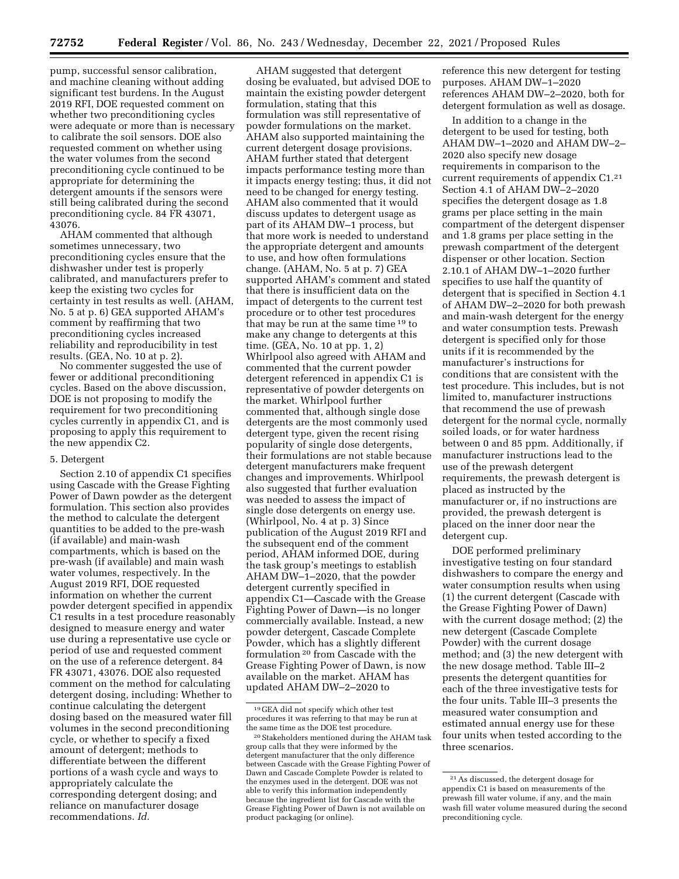pump, successful sensor calibration, and machine cleaning without adding significant test burdens. In the August 2019 RFI, DOE requested comment on whether two preconditioning cycles were adequate or more than is necessary to calibrate the soil sensors. DOE also requested comment on whether using the water volumes from the second preconditioning cycle continued to be appropriate for determining the detergent amounts if the sensors were still being calibrated during the second preconditioning cycle. 84 FR 43071, 43076.

AHAM commented that although sometimes unnecessary, two preconditioning cycles ensure that the dishwasher under test is properly calibrated, and manufacturers prefer to keep the existing two cycles for certainty in test results as well. (AHAM, No. 5 at p. 6) GEA supported AHAM's comment by reaffirming that two preconditioning cycles increased reliability and reproducibility in test results. (GEA, No. 10 at p. 2).

No commenter suggested the use of fewer or additional preconditioning cycles. Based on the above discussion, DOE is not proposing to modify the requirement for two preconditioning cycles currently in appendix C1, and is proposing to apply this requirement to the new appendix C2.

### 5. Detergent

Section 2.10 of appendix C1 specifies using Cascade with the Grease Fighting Power of Dawn powder as the detergent formulation. This section also provides the method to calculate the detergent quantities to be added to the pre-wash (if available) and main-wash compartments, which is based on the pre-wash (if available) and main wash water volumes, respectively. In the August 2019 RFI, DOE requested information on whether the current powder detergent specified in appendix C1 results in a test procedure reasonably designed to measure energy and water use during a representative use cycle or period of use and requested comment on the use of a reference detergent. 84 FR 43071, 43076. DOE also requested comment on the method for calculating detergent dosing, including: Whether to continue calculating the detergent dosing based on the measured water fill volumes in the second preconditioning cycle, or whether to specify a fixed amount of detergent; methods to differentiate between the different portions of a wash cycle and ways to appropriately calculate the corresponding detergent dosing; and reliance on manufacturer dosage recommendations. *Id.* 

AHAM suggested that detergent dosing be evaluated, but advised DOE to maintain the existing powder detergent formulation, stating that this formulation was still representative of powder formulations on the market. AHAM also supported maintaining the current detergent dosage provisions. AHAM further stated that detergent impacts performance testing more than it impacts energy testing; thus, it did not need to be changed for energy testing. AHAM also commented that it would discuss updates to detergent usage as part of its AHAM DW–1 process, but that more work is needed to understand the appropriate detergent and amounts to use, and how often formulations change. (AHAM, No. 5 at p. 7) GEA supported AHAM's comment and stated that there is insufficient data on the impact of detergents to the current test procedure or to other test procedures that may be run at the same time 19 to make any change to detergents at this time. (GEA, No. 10 at pp. 1, 2) Whirlpool also agreed with AHAM and commented that the current powder detergent referenced in appendix C1 is representative of powder detergents on the market. Whirlpool further commented that, although single dose detergents are the most commonly used detergent type, given the recent rising popularity of single dose detergents, their formulations are not stable because detergent manufacturers make frequent changes and improvements. Whirlpool also suggested that further evaluation was needed to assess the impact of single dose detergents on energy use. (Whirlpool, No. 4 at p. 3) Since publication of the August 2019 RFI and the subsequent end of the comment period, AHAM informed DOE, during the task group's meetings to establish AHAM DW–1–2020, that the powder detergent currently specified in appendix C1—Cascade with the Grease Fighting Power of Dawn—is no longer commercially available. Instead, a new powder detergent, Cascade Complete Powder, which has a slightly different formulation 20 from Cascade with the Grease Fighting Power of Dawn, is now available on the market. AHAM has updated AHAM DW–2–2020 to

reference this new detergent for testing purposes. AHAM DW–1–2020 references AHAM DW–2–2020, both for detergent formulation as well as dosage.

In addition to a change in the detergent to be used for testing, both AHAM DW–1–2020 and AHAM DW–2– 2020 also specify new dosage requirements in comparison to the current requirements of appendix C1.21 Section 4.1 of AHAM DW–2–2020 specifies the detergent dosage as 1.8 grams per place setting in the main compartment of the detergent dispenser and 1.8 grams per place setting in the prewash compartment of the detergent dispenser or other location. Section 2.10.1 of AHAM DW–1–2020 further specifies to use half the quantity of detergent that is specified in Section 4.1 of AHAM DW–2–2020 for both prewash and main-wash detergent for the energy and water consumption tests. Prewash detergent is specified only for those units if it is recommended by the manufacturer's instructions for conditions that are consistent with the test procedure. This includes, but is not limited to, manufacturer instructions that recommend the use of prewash detergent for the normal cycle, normally soiled loads, or for water hardness between 0 and 85 ppm. Additionally, if manufacturer instructions lead to the use of the prewash detergent requirements, the prewash detergent is placed as instructed by the manufacturer or, if no instructions are provided, the prewash detergent is placed on the inner door near the detergent cup.

DOE performed preliminary investigative testing on four standard dishwashers to compare the energy and water consumption results when using (1) the current detergent (Cascade with the Grease Fighting Power of Dawn) with the current dosage method; (2) the new detergent (Cascade Complete Powder) with the current dosage method; and (3) the new detergent with the new dosage method. Table III–2 presents the detergent quantities for each of the three investigative tests for the four units. Table III–3 presents the measured water consumption and estimated annual energy use for these four units when tested according to the three scenarios.

<sup>19</sup> GEA did not specify which other test procedures it was referring to that may be run at the same time as the DOE test procedure.

<sup>20</sup>Stakeholders mentioned during the AHAM task group calls that they were informed by the detergent manufacturer that the only difference between Cascade with the Grease Fighting Power of Dawn and Cascade Complete Powder is related to the enzymes used in the detergent. DOE was not able to verify this information independently because the ingredient list for Cascade with the Grease Fighting Power of Dawn is not available on product packaging (or online).

<sup>21</sup>As discussed, the detergent dosage for appendix C1 is based on measurements of the prewash fill water volume, if any, and the main wash fill water volume measured during the second preconditioning cycle.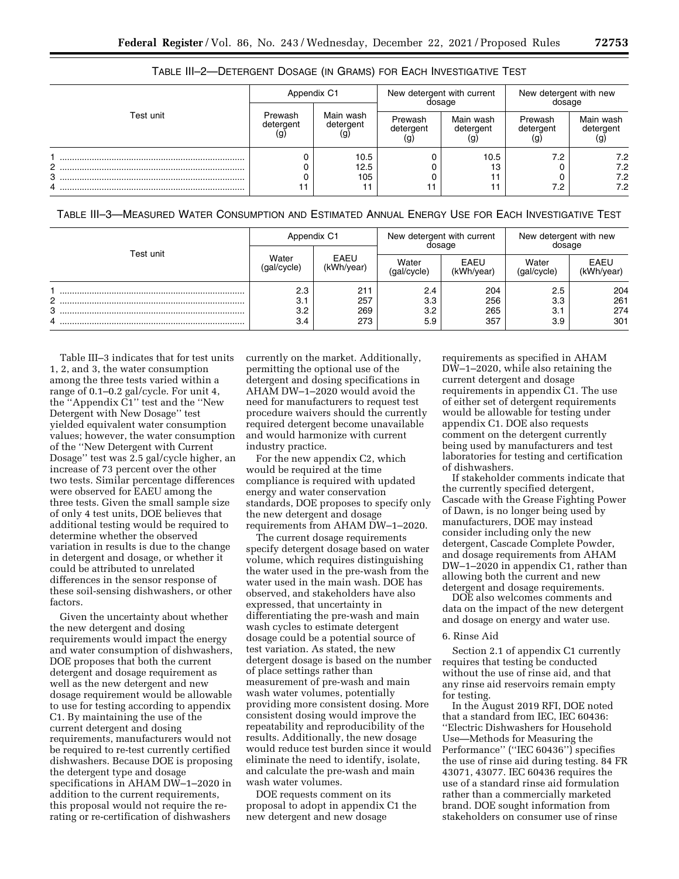|           | Appendix C1          |                               | dosage               | New detergent with current | New detergent with new<br>dosage |                          |  |
|-----------|----------------------|-------------------------------|----------------------|----------------------------|----------------------------------|--------------------------|--|
| Test unit | Prewash<br>detergent | Main wash<br>detergent<br>(g) | Prewash<br>detergent | Main wash<br>detergent     | Prewash<br>detergent             | Main wash<br>detergent   |  |
| c<br>з    |                      | 10.5<br>12.5<br>105           |                      | 10.5<br>13                 | 7.2<br>7.2                       | 7.2<br>7.2<br>7.2<br>7.2 |  |

TABLE III–2—DETERGENT DOSAGE (IN GRAMS) FOR EACH INVESTIGATIVE TEST

# TABLE III–3—MEASURED WATER CONSUMPTION AND ESTIMATED ANNUAL ENERGY USE FOR EACH INVESTIGATIVE TEST

|           | Appendix C1              |                          |                                                  | New detergent with current<br>dosage | New detergent with new<br>dosage |                          |  |
|-----------|--------------------------|--------------------------|--------------------------------------------------|--------------------------------------|----------------------------------|--------------------------|--|
| Test unit | Water<br>aal/cvcle)      | EAEU<br>(kWh/year)       | Water<br><b>EAEU</b><br>(kWh/year)<br>gal/cycle) |                                      | Water<br>(gal/cycle)             | EAEU<br>(kWh/year)       |  |
| ົ<br>3    | 2.3<br>3.1<br>3.2<br>3.4 | 211<br>257<br>269<br>273 | 2.4<br>3.3<br>3.2<br>5.9                         | 204<br>256<br>265<br>357             | 2.5<br>3.3<br>3.1<br>3.9         | 204<br>261<br>274<br>301 |  |

Table III–3 indicates that for test units 1, 2, and 3, the water consumption among the three tests varied within a range of 0.1–0.2 gal/cycle. For unit 4, the ''Appendix C1'' test and the ''New Detergent with New Dosage'' test yielded equivalent water consumption values; however, the water consumption of the ''New Detergent with Current Dosage'' test was 2.5 gal/cycle higher, an increase of 73 percent over the other two tests. Similar percentage differences were observed for EAEU among the three tests. Given the small sample size of only 4 test units, DOE believes that additional testing would be required to determine whether the observed variation in results is due to the change in detergent and dosage, or whether it could be attributed to unrelated differences in the sensor response of these soil-sensing dishwashers, or other factors.

Given the uncertainty about whether the new detergent and dosing requirements would impact the energy and water consumption of dishwashers, DOE proposes that both the current detergent and dosage requirement as well as the new detergent and new dosage requirement would be allowable to use for testing according to appendix C1. By maintaining the use of the current detergent and dosing requirements, manufacturers would not be required to re-test currently certified dishwashers. Because DOE is proposing the detergent type and dosage specifications in AHAM DW–1–2020 in addition to the current requirements, this proposal would not require the rerating or re-certification of dishwashers

currently on the market. Additionally, permitting the optional use of the detergent and dosing specifications in AHAM DW–1–2020 would avoid the need for manufacturers to request test procedure waivers should the currently required detergent become unavailable and would harmonize with current industry practice.

For the new appendix C2, which would be required at the time compliance is required with updated energy and water conservation standards, DOE proposes to specify only the new detergent and dosage requirements from AHAM DW–1–2020.

The current dosage requirements specify detergent dosage based on water volume, which requires distinguishing the water used in the pre-wash from the water used in the main wash. DOE has observed, and stakeholders have also expressed, that uncertainty in differentiating the pre-wash and main wash cycles to estimate detergent dosage could be a potential source of test variation. As stated, the new detergent dosage is based on the number of place settings rather than measurement of pre-wash and main wash water volumes, potentially providing more consistent dosing. More consistent dosing would improve the repeatability and reproducibility of the results. Additionally, the new dosage would reduce test burden since it would eliminate the need to identify, isolate, and calculate the pre-wash and main wash water volumes.

DOE requests comment on its proposal to adopt in appendix C1 the new detergent and new dosage

requirements as specified in AHAM DW–1–2020, while also retaining the current detergent and dosage requirements in appendix C1. The use of either set of detergent requirements would be allowable for testing under appendix C1. DOE also requests comment on the detergent currently being used by manufacturers and test laboratories for testing and certification of dishwashers.

If stakeholder comments indicate that the currently specified detergent, Cascade with the Grease Fighting Power of Dawn, is no longer being used by manufacturers, DOE may instead consider including only the new detergent, Cascade Complete Powder, and dosage requirements from AHAM DW–1–2020 in appendix C1, rather than allowing both the current and new detergent and dosage requirements.

DOE also welcomes comments and data on the impact of the new detergent and dosage on energy and water use.

#### 6. Rinse Aid

Section 2.1 of appendix C1 currently requires that testing be conducted without the use of rinse aid, and that any rinse aid reservoirs remain empty for testing.

In the August 2019 RFI, DOE noted that a standard from IEC, IEC 60436: ''Electric Dishwashers for Household Use—Methods for Measuring the Performance'' (''IEC 60436'') specifies the use of rinse aid during testing. 84 FR 43071, 43077. IEC 60436 requires the use of a standard rinse aid formulation rather than a commercially marketed brand. DOE sought information from stakeholders on consumer use of rinse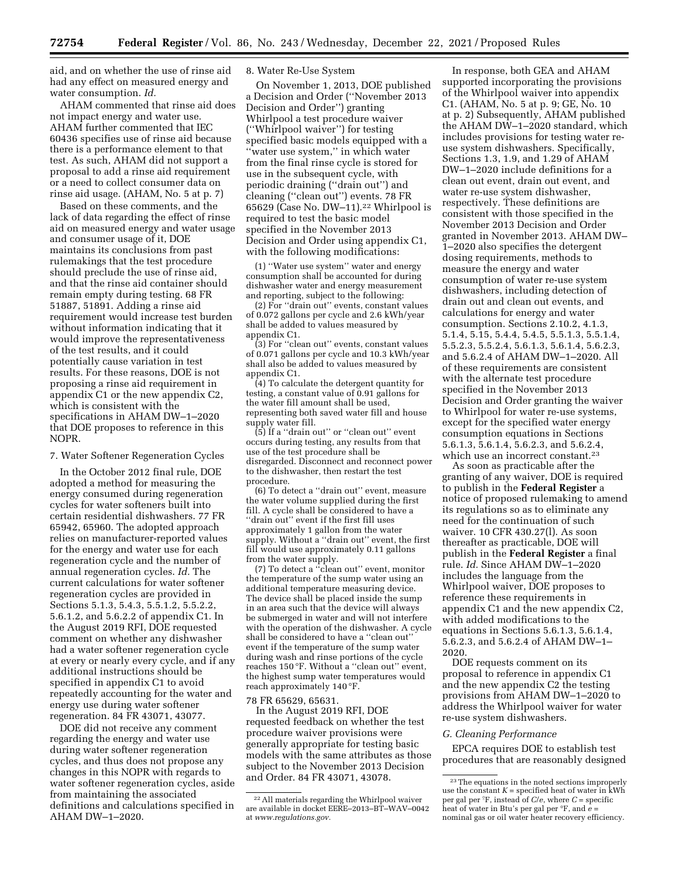aid, and on whether the use of rinse aid had any effect on measured energy and water consumption. *Id.* 

AHAM commented that rinse aid does not impact energy and water use. AHAM further commented that IEC 60436 specifies use of rinse aid because there is a performance element to that test. As such, AHAM did not support a proposal to add a rinse aid requirement or a need to collect consumer data on rinse aid usage. (AHAM, No. 5 at p. 7)

Based on these comments, and the lack of data regarding the effect of rinse aid on measured energy and water usage and consumer usage of it, DOE maintains its conclusions from past rulemakings that the test procedure should preclude the use of rinse aid, and that the rinse aid container should remain empty during testing. 68 FR 51887, 51891. Adding a rinse aid requirement would increase test burden without information indicating that it would improve the representativeness of the test results, and it could potentially cause variation in test results. For these reasons, DOE is not proposing a rinse aid requirement in appendix C1 or the new appendix C2, which is consistent with the specifications in AHAM DW–1–2020 that DOE proposes to reference in this NOPR.

7. Water Softener Regeneration Cycles

In the October 2012 final rule, DOE adopted a method for measuring the energy consumed during regeneration cycles for water softeners built into certain residential dishwashers. 77 FR 65942, 65960. The adopted approach relies on manufacturer-reported values for the energy and water use for each regeneration cycle and the number of annual regeneration cycles. *Id.* The current calculations for water softener regeneration cycles are provided in Sections 5.1.3, 5.4.3, 5.5.1.2, 5.5.2.2, 5.6.1.2, and 5.6.2.2 of appendix C1. In the August 2019 RFI, DOE requested comment on whether any dishwasher had a water softener regeneration cycle at every or nearly every cycle, and if any additional instructions should be specified in appendix C1 to avoid repeatedly accounting for the water and energy use during water softener regeneration. 84 FR 43071, 43077.

DOE did not receive any comment regarding the energy and water use during water softener regeneration cycles, and thus does not propose any changes in this NOPR with regards to water softener regeneration cycles, aside from maintaining the associated definitions and calculations specified in AHAM DW–1–2020.

8. Water Re-Use System

On November 1, 2013, DOE published a Decision and Order (''November 2013 Decision and Order'') granting Whirlpool a test procedure waiver (''Whirlpool waiver'') for testing specified basic models equipped with a ''water use system,'' in which water from the final rinse cycle is stored for use in the subsequent cycle, with periodic draining (''drain out'') and cleaning (''clean out'') events. 78 FR 65629 (Case No. DW–11).22 Whirlpool is required to test the basic model specified in the November 2013 Decision and Order using appendix C1, with the following modifications:

(1) ''Water use system'' water and energy consumption shall be accounted for during dishwasher water and energy measurement and reporting, subject to the following:

(2) For ''drain out'' events, constant values of 0.072 gallons per cycle and 2.6 kWh/year shall be added to values measured by appendix C1.

(3) For ''clean out'' events, constant values of 0.071 gallons per cycle and 10.3 kWh/year shall also be added to values measured by appendix C1.

(4) To calculate the detergent quantity for testing, a constant value of 0.91 gallons for the water fill amount shall be used, representing both saved water fill and house supply water fill.

(5) If a ''drain out'' or ''clean out'' event occurs during testing, any results from that use of the test procedure shall be disregarded. Disconnect and reconnect power to the dishwasher, then restart the test procedure.

(6) To detect a ''drain out'' event, measure the water volume supplied during the first fill. A cycle shall be considered to have a ''drain out'' event if the first fill uses approximately 1 gallon from the water supply. Without a "drain out" event, the first fill would use approximately 0.11 gallons from the water supply.

(7) To detect a ''clean out'' event, monitor the temperature of the sump water using an additional temperature measuring device. The device shall be placed inside the sump in an area such that the device will always be submerged in water and will not interfere with the operation of the dishwasher. A cycle shall be considered to have a ''clean out'' event if the temperature of the sump water during wash and rinse portions of the cycle reaches 150 °F. Without a ''clean out'' event, the highest sump water temperatures would reach approximately 140 °F.

78 FR 65629, 65631.

In the August 2019 RFI, DOE requested feedback on whether the test procedure waiver provisions were generally appropriate for testing basic models with the same attributes as those subject to the November 2013 Decision and Order. 84 FR 43071, 43078.

In response, both GEA and AHAM supported incorporating the provisions of the Whirlpool waiver into appendix C1. (AHAM, No. 5 at p. 9; GE, No. 10 at p. 2) Subsequently, AHAM published the AHAM DW–1–2020 standard, which includes provisions for testing water reuse system dishwashers. Specifically, Sections 1.3, 1.9, and 1.29 of AHAM DW–1–2020 include definitions for a clean out event, drain out event, and water re-use system dishwasher, respectively. These definitions are consistent with those specified in the November 2013 Decision and Order granted in November 2013. AHAM DW– 1–2020 also specifies the detergent dosing requirements, methods to measure the energy and water consumption of water re-use system dishwashers, including detection of drain out and clean out events, and calculations for energy and water consumption. Sections 2.10.2, 4.1.3, 5.1.4, 5.15, 5.4.4, 5.4.5, 5.5.1.3, 5.5.1.4, 5.5.2.3, 5.5.2.4, 5.6.1.3, 5.6.1.4, 5.6.2.3, and 5.6.2.4 of AHAM DW–1–2020. All of these requirements are consistent with the alternate test procedure specified in the November 2013 Decision and Order granting the waiver to Whirlpool for water re-use systems, except for the specified water energy consumption equations in Sections 5.6.1.3, 5.6.1.4, 5.6.2.3, and 5.6.2.4, which use an incorrect constant.<sup>23</sup>

As soon as practicable after the granting of any waiver, DOE is required to publish in the **Federal Register** a notice of proposed rulemaking to amend its regulations so as to eliminate any need for the continuation of such waiver. 10 CFR 430.27(l). As soon thereafter as practicable, DOE will publish in the **Federal Register** a final rule. *Id.* Since AHAM DW–1–2020 includes the language from the Whirlpool waiver, DOE proposes to reference these requirements in appendix C1 and the new appendix C2, with added modifications to the equations in Sections 5.6.1.3, 5.6.1.4, 5.6.2.3, and 5.6.2.4 of AHAM DW–1– 2020.

DOE requests comment on its proposal to reference in appendix C1 and the new appendix C2 the testing provisions from AHAM DW–1–2020 to address the Whirlpool waiver for water re-use system dishwashers.

#### *G. Cleaning Performance*

EPCA requires DOE to establish test procedures that are reasonably designed

<sup>22</sup>All materials regarding the Whirlpool waiver are available in docket EERE–2013–BT–WAV–0042 at *[www.regulations.gov.](http://www.regulations.gov)* 

<sup>23</sup>The equations in the noted sections improperly use the constant  $K =$  specified heat of water in  $\hat{k}Wh$ per gal per  ${}^{\circ}$ F, instead of *C*/*e*, where *C* = specific heat of water in Btu's per gal per °F, and *e* = nominal gas or oil water heater recovery efficiency.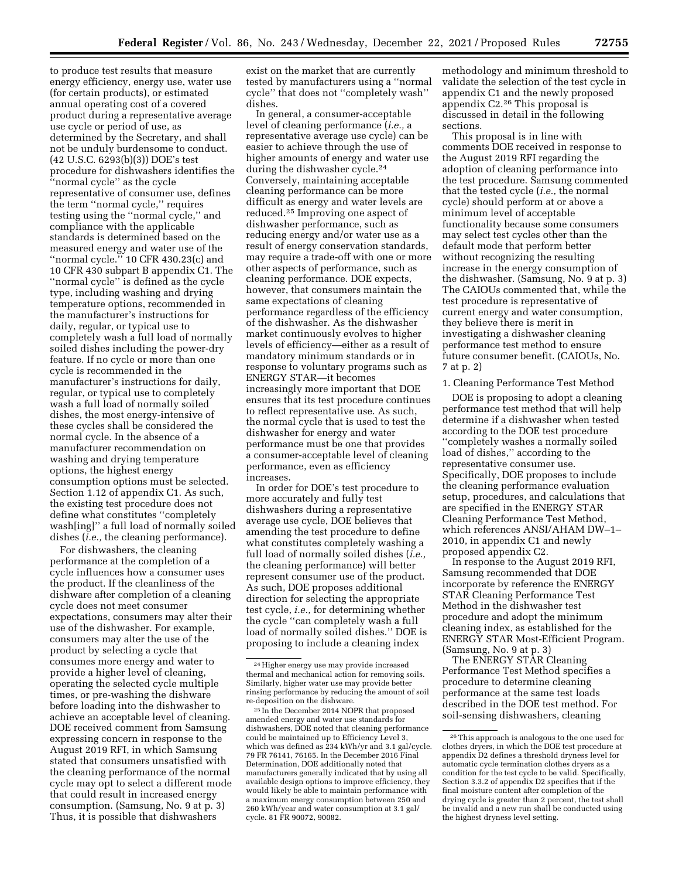to produce test results that measure energy efficiency, energy use, water use (for certain products), or estimated annual operating cost of a covered product during a representative average use cycle or period of use, as determined by the Secretary, and shall not be unduly burdensome to conduct. (42 U.S.C. 6293(b)(3)) DOE's test procedure for dishwashers identifies the ''normal cycle'' as the cycle representative of consumer use, defines the term ''normal cycle,'' requires testing using the ''normal cycle,'' and compliance with the applicable standards is determined based on the measured energy and water use of the ''normal cycle.'' 10 CFR 430.23(c) and 10 CFR 430 subpart B appendix C1. The ''normal cycle'' is defined as the cycle type, including washing and drying temperature options, recommended in the manufacturer's instructions for daily, regular, or typical use to completely wash a full load of normally soiled dishes including the power-dry feature. If no cycle or more than one cycle is recommended in the manufacturer's instructions for daily, regular, or typical use to completely wash a full load of normally soiled dishes, the most energy-intensive of these cycles shall be considered the normal cycle. In the absence of a manufacturer recommendation on washing and drying temperature options, the highest energy consumption options must be selected. Section 1.12 of appendix C1. As such, the existing test procedure does not define what constitutes ''completely wash[ing]'' a full load of normally soiled dishes (*i.e.,* the cleaning performance).

For dishwashers, the cleaning performance at the completion of a cycle influences how a consumer uses the product. If the cleanliness of the dishware after completion of a cleaning cycle does not meet consumer expectations, consumers may alter their use of the dishwasher. For example, consumers may alter the use of the product by selecting a cycle that consumes more energy and water to provide a higher level of cleaning, operating the selected cycle multiple times, or pre-washing the dishware before loading into the dishwasher to achieve an acceptable level of cleaning. DOE received comment from Samsung expressing concern in response to the August 2019 RFI, in which Samsung stated that consumers unsatisfied with the cleaning performance of the normal cycle may opt to select a different mode that could result in increased energy consumption. (Samsung, No. 9 at p. 3) Thus, it is possible that dishwashers

exist on the market that are currently tested by manufacturers using a ''normal cycle'' that does not ''completely wash'' dishes.

In general, a consumer-acceptable level of cleaning performance (*i.e.,* a representative average use cycle) can be easier to achieve through the use of higher amounts of energy and water use during the dishwasher cycle.24 Conversely, maintaining acceptable cleaning performance can be more difficult as energy and water levels are reduced.25 Improving one aspect of dishwasher performance, such as reducing energy and/or water use as a result of energy conservation standards, may require a trade-off with one or more other aspects of performance, such as cleaning performance. DOE expects, however, that consumers maintain the same expectations of cleaning performance regardless of the efficiency of the dishwasher. As the dishwasher market continuously evolves to higher levels of efficiency—either as a result of mandatory minimum standards or in response to voluntary programs such as ENERGY STAR—it becomes increasingly more important that DOE ensures that its test procedure continues to reflect representative use. As such, the normal cycle that is used to test the dishwasher for energy and water performance must be one that provides a consumer-acceptable level of cleaning performance, even as efficiency increases.

In order for DOE's test procedure to more accurately and fully test dishwashers during a representative average use cycle, DOE believes that amending the test procedure to define what constitutes completely washing a full load of normally soiled dishes (*i.e.,*  the cleaning performance) will better represent consumer use of the product. As such, DOE proposes additional direction for selecting the appropriate test cycle, *i.e.,* for determining whether the cycle ''can completely wash a full load of normally soiled dishes.'' DOE is proposing to include a cleaning index

25 In the December 2014 NOPR that proposed amended energy and water use standards for dishwashers, DOE noted that cleaning performance could be maintained up to Efficiency Level 3, which was defined as 234 kWh/yr and 3.1 gal/cycle. 79 FR 76141, 76165. In the December 2016 Final Determination, DOE additionally noted that manufacturers generally indicated that by using all available design options to improve efficiency, they would likely be able to maintain performance with a maximum energy consumption between 250 and 260 kWh/year and water consumption at 3.1 gal/ cycle. 81 FR 90072, 90082.

methodology and minimum threshold to validate the selection of the test cycle in appendix C1 and the newly proposed appendix C2.26 This proposal is discussed in detail in the following sections.

This proposal is in line with comments DOE received in response to the August 2019 RFI regarding the adoption of cleaning performance into the test procedure. Samsung commented that the tested cycle (*i.e.,* the normal cycle) should perform at or above a minimum level of acceptable functionality because some consumers may select test cycles other than the default mode that perform better without recognizing the resulting increase in the energy consumption of the dishwasher. (Samsung, No. 9 at p. 3) The CAIOUs commented that, while the test procedure is representative of current energy and water consumption, they believe there is merit in investigating a dishwasher cleaning performance test method to ensure future consumer benefit. (CAIOUs, No. 7 at p. 2)

# 1. Cleaning Performance Test Method

DOE is proposing to adopt a cleaning performance test method that will help determine if a dishwasher when tested according to the DOE test procedure ''completely washes a normally soiled load of dishes,'' according to the representative consumer use. Specifically, DOE proposes to include the cleaning performance evaluation setup, procedures, and calculations that are specified in the ENERGY STAR Cleaning Performance Test Method, which references ANSI/AHAM DW–1– 2010, in appendix C1 and newly proposed appendix C2.

In response to the August 2019 RFI, Samsung recommended that DOE incorporate by reference the ENERGY STAR Cleaning Performance Test Method in the dishwasher test procedure and adopt the minimum cleaning index, as established for the ENERGY STAR Most-Efficient Program. (Samsung, No. 9 at p. 3)

The ENERGY STAR Cleaning Performance Test Method specifies a procedure to determine cleaning performance at the same test loads described in the DOE test method. For soil-sensing dishwashers, cleaning

<sup>24</sup>Higher energy use may provide increased thermal and mechanical action for removing soils. Similarly, higher water use may provide better rinsing performance by reducing the amount of soil re-deposition on the dishware.

<sup>26</sup>This approach is analogous to the one used for clothes dryers, in which the DOE test procedure at appendix D2 defines a threshold dryness level for automatic cycle termination clothes dryers as a condition for the test cycle to be valid. Specifically, Section 3.3.2 of appendix D2 specifies that if the final moisture content after completion of the drying cycle is greater than 2 percent, the test shall be invalid and a new run shall be conducted using the highest dryness level setting.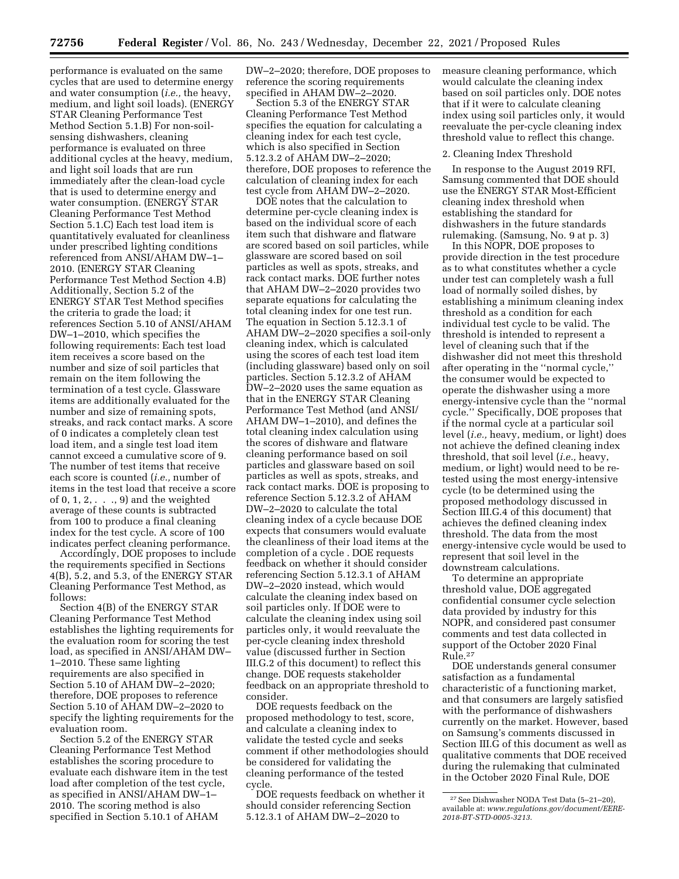performance is evaluated on the same cycles that are used to determine energy and water consumption (*i.e.,* the heavy, medium, and light soil loads). (ENERGY STAR Cleaning Performance Test Method Section 5.1.B) For non-soilsensing dishwashers, cleaning performance is evaluated on three additional cycles at the heavy, medium, and light soil loads that are run immediately after the clean-load cycle that is used to determine energy and water consumption. (ENERGY STAR Cleaning Performance Test Method Section 5.1.C) Each test load item is quantitatively evaluated for cleanliness under prescribed lighting conditions referenced from ANSI/AHAM DW–1– 2010. (ENERGY STAR Cleaning Performance Test Method Section 4.B) Additionally, Section 5.2 of the ENERGY STAR Test Method specifies the criteria to grade the load; it references Section 5.10 of ANSI/AHAM DW–1–2010, which specifies the following requirements: Each test load item receives a score based on the number and size of soil particles that remain on the item following the termination of a test cycle. Glassware items are additionally evaluated for the number and size of remaining spots, streaks, and rack contact marks. A score of 0 indicates a completely clean test load item, and a single test load item cannot exceed a cumulative score of 9. The number of test items that receive each score is counted (*i.e.,* number of items in the test load that receive a score of 0, 1, 2, . . ., 9) and the weighted average of these counts is subtracted from 100 to produce a final cleaning index for the test cycle. A score of 100 indicates perfect cleaning performance.

Accordingly, DOE proposes to include the requirements specified in Sections 4(B), 5.2, and 5.3, of the ENERGY STAR Cleaning Performance Test Method, as follows:

Section 4(B) of the ENERGY STAR Cleaning Performance Test Method establishes the lighting requirements for the evaluation room for scoring the test load, as specified in ANSI/AHAM DW– 1–2010. These same lighting requirements are also specified in Section 5.10 of AHAM DW–2–2020; therefore, DOE proposes to reference Section 5.10 of AHAM DW–2–2020 to specify the lighting requirements for the evaluation room.

Section 5.2 of the ENERGY STAR Cleaning Performance Test Method establishes the scoring procedure to evaluate each dishware item in the test load after completion of the test cycle, as specified in ANSI/AHAM DW–1– 2010. The scoring method is also specified in Section 5.10.1 of AHAM

DW–2–2020; therefore, DOE proposes to reference the scoring requirements specified in AHAM DW–2–2020.

Section 5.3 of the ENERGY STAR Cleaning Performance Test Method specifies the equation for calculating a cleaning index for each test cycle, which is also specified in Section 5.12.3.2 of AHAM DW–2–2020; therefore, DOE proposes to reference the calculation of cleaning index for each test cycle from AHAM DW–2–2020.

DOE notes that the calculation to determine per-cycle cleaning index is based on the individual score of each item such that dishware and flatware are scored based on soil particles, while glassware are scored based on soil particles as well as spots, streaks, and rack contact marks. DOE further notes that AHAM DW–2–2020 provides two separate equations for calculating the total cleaning index for one test run. The equation in Section 5.12.3.1 of AHAM DW–2–2020 specifies a soil-only cleaning index, which is calculated using the scores of each test load item (including glassware) based only on soil particles. Section 5.12.3.2 of AHAM DW–2–2020 uses the same equation as that in the ENERGY STAR Cleaning Performance Test Method (and ANSI/ AHAM DW–1–2010), and defines the total cleaning index calculation using the scores of dishware and flatware cleaning performance based on soil particles and glassware based on soil particles as well as spots, streaks, and rack contact marks. DOE is proposing to reference Section 5.12.3.2 of AHAM DW–2–2020 to calculate the total cleaning index of a cycle because DOE expects that consumers would evaluate the cleanliness of their load items at the completion of a cycle . DOE requests feedback on whether it should consider referencing Section 5.12.3.1 of AHAM DW–2–2020 instead, which would calculate the cleaning index based on soil particles only. If DOE were to calculate the cleaning index using soil particles only, it would reevaluate the per-cycle cleaning index threshold value (discussed further in Section III.G.2 of this document) to reflect this change. DOE requests stakeholder feedback on an appropriate threshold to consider.

DOE requests feedback on the proposed methodology to test, score, and calculate a cleaning index to validate the tested cycle and seeks comment if other methodologies should be considered for validating the cleaning performance of the tested cycle.

DOE requests feedback on whether it should consider referencing Section 5.12.3.1 of AHAM DW–2–2020 to

measure cleaning performance, which would calculate the cleaning index based on soil particles only. DOE notes that if it were to calculate cleaning index using soil particles only, it would reevaluate the per-cycle cleaning index threshold value to reflect this change.

#### 2. Cleaning Index Threshold

In response to the August 2019 RFI, Samsung commented that DOE should use the ENERGY STAR Most-Efficient cleaning index threshold when establishing the standard for dishwashers in the future standards rulemaking. (Samsung, No. 9 at p. 3)

In this NOPR, DOE proposes to provide direction in the test procedure as to what constitutes whether a cycle under test can completely wash a full load of normally soiled dishes, by establishing a minimum cleaning index threshold as a condition for each individual test cycle to be valid. The threshold is intended to represent a level of cleaning such that if the dishwasher did not meet this threshold after operating in the ''normal cycle,'' the consumer would be expected to operate the dishwasher using a more energy-intensive cycle than the ''normal cycle.'' Specifically, DOE proposes that if the normal cycle at a particular soil level (*i.e.,* heavy, medium, or light) does not achieve the defined cleaning index threshold, that soil level (*i.e.,* heavy, medium, or light) would need to be retested using the most energy-intensive cycle (to be determined using the proposed methodology discussed in Section III.G.4 of this document) that achieves the defined cleaning index threshold. The data from the most energy-intensive cycle would be used to represent that soil level in the downstream calculations.

To determine an appropriate threshold value, DOE aggregated confidential consumer cycle selection data provided by industry for this NOPR, and considered past consumer comments and test data collected in support of the October 2020 Final Rule.27

DOE understands general consumer satisfaction as a fundamental characteristic of a functioning market, and that consumers are largely satisfied with the performance of dishwashers currently on the market. However, based on Samsung's comments discussed in Section III.G of this document as well as qualitative comments that DOE received during the rulemaking that culminated in the October 2020 Final Rule, DOE

<sup>27</sup>See Dishwasher NODA Test Data (5–21–20), available at: *[www.regulations.gov/document/EERE-](http://www.regulations.gov/document/EERE-2018-BT-STD-0005-3213)[2018-BT-STD-0005-3213](http://www.regulations.gov/document/EERE-2018-BT-STD-0005-3213)*.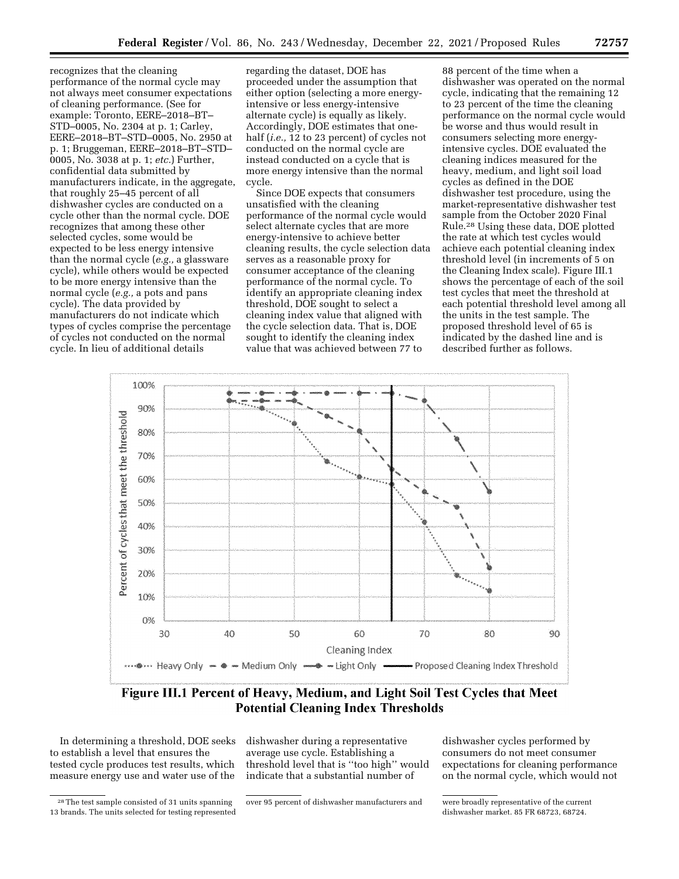recognizes that the cleaning performance of the normal cycle may not always meet consumer expectations of cleaning performance. (See for example: Toronto, EERE–2018–BT– STD–0005, No. 2304 at p. 1; Carley, EERE–2018–BT–STD–0005, No. 2950 at p. 1; Bruggeman, EERE–2018–BT–STD– 0005, No. 3038 at p. 1; *etc.*) Further, confidential data submitted by manufacturers indicate, in the aggregate, that roughly 25–45 percent of all dishwasher cycles are conducted on a cycle other than the normal cycle. DOE recognizes that among these other selected cycles, some would be expected to be less energy intensive than the normal cycle (*e.g.,* a glassware cycle), while others would be expected to be more energy intensive than the normal cycle (*e.g.,* a pots and pans cycle). The data provided by manufacturers do not indicate which types of cycles comprise the percentage of cycles not conducted on the normal cycle. In lieu of additional details

regarding the dataset, DOE has proceeded under the assumption that either option (selecting a more energyintensive or less energy-intensive alternate cycle) is equally as likely. Accordingly, DOE estimates that onehalf (*i.e.,* 12 to 23 percent) of cycles not conducted on the normal cycle are instead conducted on a cycle that is more energy intensive than the normal cycle.

Since DOE expects that consumers unsatisfied with the cleaning performance of the normal cycle would select alternate cycles that are more energy-intensive to achieve better cleaning results, the cycle selection data serves as a reasonable proxy for consumer acceptance of the cleaning performance of the normal cycle. To identify an appropriate cleaning index threshold, DOE sought to select a cleaning index value that aligned with the cycle selection data. That is, DOE sought to identify the cleaning index value that was achieved between 77 to

88 percent of the time when a dishwasher was operated on the normal cycle, indicating that the remaining 12 to 23 percent of the time the cleaning performance on the normal cycle would be worse and thus would result in consumers selecting more energyintensive cycles. DOE evaluated the cleaning indices measured for the heavy, medium, and light soil load cycles as defined in the DOE dishwasher test procedure, using the market-representative dishwasher test sample from the October 2020 Final Rule.28 Using these data, DOE plotted the rate at which test cycles would achieve each potential cleaning index threshold level (in increments of 5 on the Cleaning Index scale). Figure III.1 shows the percentage of each of the soil test cycles that meet the threshold at each potential threshold level among all the units in the test sample. The proposed threshold level of 65 is indicated by the dashed line and is described further as follows.



**Figure 111.1 Percent of Heavy, Medium, and Light Soil Test Cycles that Meet Potential Cleaning Index Thresholds** 

In determining a threshold, DOE seeks to establish a level that ensures the tested cycle produces test results, which measure energy use and water use of the

dishwasher during a representative average use cycle. Establishing a threshold level that is ''too high'' would indicate that a substantial number of

dishwasher cycles performed by consumers do not meet consumer expectations for cleaning performance on the normal cycle, which would not

<sup>28</sup>The test sample consisted of 31 units spanning 13 brands. The units selected for testing represented

over 95 percent of dishwasher manufacturers and were broadly representative of the current

dishwasher market. 85 FR 68723, 68724.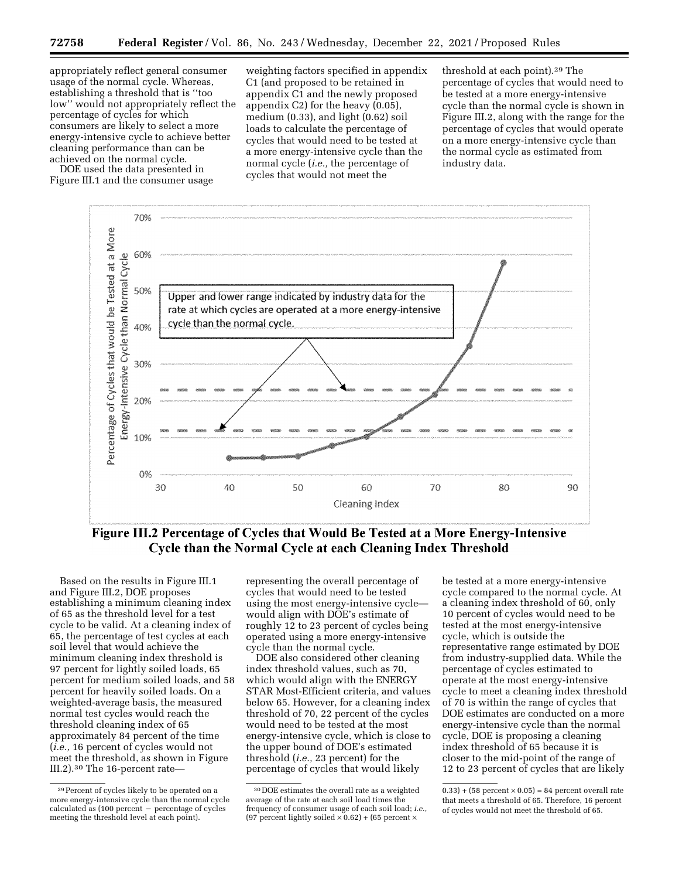appropriately reflect general consumer usage of the normal cycle. Whereas, establishing a threshold that is ''too low'' would not appropriately reflect the percentage of cycles for which consumers are likely to select a more energy-intensive cycle to achieve better cleaning performance than can be achieved on the normal cycle.

DOE used the data presented in Figure III.1 and the consumer usage

weighting factors specified in appendix C1 (and proposed to be retained in appendix C1 and the newly proposed appendix C2) for the heavy (0.05), medium (0.33), and light (0.62) soil loads to calculate the percentage of cycles that would need to be tested at a more energy-intensive cycle than the normal cycle (*i.e.,* the percentage of cycles that would not meet the

threshold at each point).29 The percentage of cycles that would need to be tested at a more energy-intensive cycle than the normal cycle is shown in Figure III.2, along with the range for the percentage of cycles that would operate on a more energy-intensive cycle than the normal cycle as estimated from industry data.



**Figure 111.2 Percentage of Cycles that Would Be Tested at a More Energy-Intensive Cycle than the Normal Cycle at each Cleaning Index Threshold** 

Based on the results in Figure III.1 and Figure III.2, DOE proposes establishing a minimum cleaning index of 65 as the threshold level for a test cycle to be valid. At a cleaning index of 65, the percentage of test cycles at each soil level that would achieve the minimum cleaning index threshold is 97 percent for lightly soiled loads, 65 percent for medium soiled loads, and 58 percent for heavily soiled loads. On a weighted-average basis, the measured normal test cycles would reach the threshold cleaning index of 65 approximately 84 percent of the time (*i.e.,* 16 percent of cycles would not meet the threshold, as shown in Figure III.2).30 The 16-percent raterepresenting the overall percentage of cycles that would need to be tested using the most energy-intensive cycle would align with DOE's estimate of roughly 12 to 23 percent of cycles being operated using a more energy-intensive cycle than the normal cycle.

DOE also considered other cleaning index threshold values, such as 70, which would align with the ENERGY STAR Most-Efficient criteria, and values below 65. However, for a cleaning index threshold of 70, 22 percent of the cycles would need to be tested at the most energy-intensive cycle, which is close to the upper bound of DOE's estimated threshold (*i.e.,* 23 percent) for the percentage of cycles that would likely

be tested at a more energy-intensive cycle compared to the normal cycle. At a cleaning index threshold of 60, only 10 percent of cycles would need to be tested at the most energy-intensive cycle, which is outside the representative range estimated by DOE from industry-supplied data. While the percentage of cycles estimated to operate at the most energy-intensive cycle to meet a cleaning index threshold of 70 is within the range of cycles that DOE estimates are conducted on a more energy-intensive cycle than the normal cycle, DOE is proposing a cleaning index threshold of 65 because it is closer to the mid-point of the range of 12 to 23 percent of cycles that are likely

<sup>29</sup>Percent of cycles likely to be operated on a more energy-intensive cycle than the normal cycle  $cal$  calculated as (100 percent  $-$  percentage of cycles meeting the threshold level at each point).

<sup>30</sup> DOE estimates the overall rate as a weighted average of the rate at each soil load times the frequency of consumer usage of each soil load; *i.e.,*  (97 percent lightly soiled  $\times$  0.62) + (65 percent  $\times$ 

 $(0.33) + (58$  percent  $\times$   $(0.05) = 84$  percent overall rate that meets a threshold of 65. Therefore, 16 percent of cycles would not meet the threshold of 65.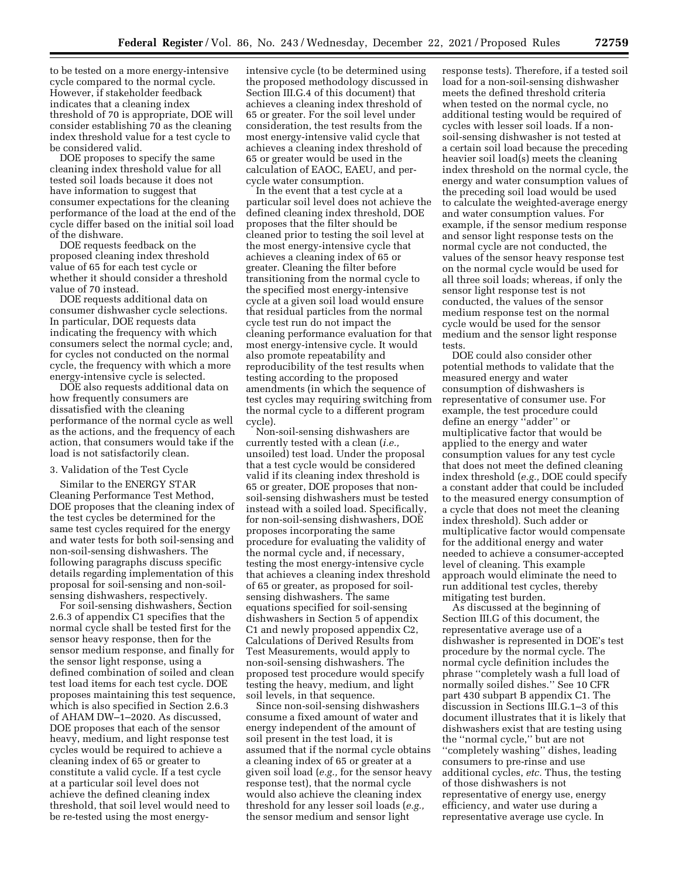to be tested on a more energy-intensive cycle compared to the normal cycle. However, if stakeholder feedback indicates that a cleaning index threshold of 70 is appropriate, DOE will consider establishing 70 as the cleaning index threshold value for a test cycle to be considered valid.

DOE proposes to specify the same cleaning index threshold value for all tested soil loads because it does not have information to suggest that consumer expectations for the cleaning performance of the load at the end of the cycle differ based on the initial soil load of the dishware.

DOE requests feedback on the proposed cleaning index threshold value of 65 for each test cycle or whether it should consider a threshold value of 70 instead.

DOE requests additional data on consumer dishwasher cycle selections. In particular, DOE requests data indicating the frequency with which consumers select the normal cycle; and, for cycles not conducted on the normal cycle, the frequency with which a more energy-intensive cycle is selected.

DOE also requests additional data on how frequently consumers are dissatisfied with the cleaning performance of the normal cycle as well as the actions, and the frequency of each action, that consumers would take if the load is not satisfactorily clean.

#### 3. Validation of the Test Cycle

Similar to the ENERGY STAR Cleaning Performance Test Method, DOE proposes that the cleaning index of the test cycles be determined for the same test cycles required for the energy and water tests for both soil-sensing and non-soil-sensing dishwashers. The following paragraphs discuss specific details regarding implementation of this proposal for soil-sensing and non-soilsensing dishwashers, respectively.

For soil-sensing dishwashers, Section 2.6.3 of appendix C1 specifies that the normal cycle shall be tested first for the sensor heavy response, then for the sensor medium response, and finally for the sensor light response, using a defined combination of soiled and clean test load items for each test cycle. DOE proposes maintaining this test sequence, which is also specified in Section 2.6.3 of AHAM DW–1–2020. As discussed, DOE proposes that each of the sensor heavy, medium, and light response test cycles would be required to achieve a cleaning index of 65 or greater to constitute a valid cycle. If a test cycle at a particular soil level does not achieve the defined cleaning index threshold, that soil level would need to be re-tested using the most energyintensive cycle (to be determined using the proposed methodology discussed in Section III.G.4 of this document) that achieves a cleaning index threshold of 65 or greater. For the soil level under consideration, the test results from the most energy-intensive valid cycle that achieves a cleaning index threshold of 65 or greater would be used in the calculation of EAOC, EAEU, and percycle water consumption.

In the event that a test cycle at a particular soil level does not achieve the defined cleaning index threshold, DOE proposes that the filter should be cleaned prior to testing the soil level at the most energy-intensive cycle that achieves a cleaning index of 65 or greater. Cleaning the filter before transitioning from the normal cycle to the specified most energy-intensive cycle at a given soil load would ensure that residual particles from the normal cycle test run do not impact the cleaning performance evaluation for that most energy-intensive cycle. It would also promote repeatability and reproducibility of the test results when testing according to the proposed amendments (in which the sequence of test cycles may requiring switching from the normal cycle to a different program cycle).

Non-soil-sensing dishwashers are currently tested with a clean (*i.e.,*  unsoiled) test load. Under the proposal that a test cycle would be considered valid if its cleaning index threshold is 65 or greater, DOE proposes that nonsoil-sensing dishwashers must be tested instead with a soiled load. Specifically, for non-soil-sensing dishwashers, DOE proposes incorporating the same procedure for evaluating the validity of the normal cycle and, if necessary, testing the most energy-intensive cycle that achieves a cleaning index threshold of 65 or greater, as proposed for soilsensing dishwashers. The same equations specified for soil-sensing dishwashers in Section 5 of appendix C1 and newly proposed appendix C2, Calculations of Derived Results from Test Measurements, would apply to non-soil-sensing dishwashers. The proposed test procedure would specify testing the heavy, medium, and light soil levels, in that sequence.

Since non-soil-sensing dishwashers consume a fixed amount of water and energy independent of the amount of soil present in the test load, it is assumed that if the normal cycle obtains a cleaning index of 65 or greater at a given soil load (*e.g.,* for the sensor heavy response test), that the normal cycle would also achieve the cleaning index threshold for any lesser soil loads (*e.g.,*  the sensor medium and sensor light

response tests). Therefore, if a tested soil load for a non-soil-sensing dishwasher meets the defined threshold criteria when tested on the normal cycle, no additional testing would be required of cycles with lesser soil loads. If a nonsoil-sensing dishwasher is not tested at a certain soil load because the preceding heavier soil load(s) meets the cleaning index threshold on the normal cycle, the energy and water consumption values of the preceding soil load would be used to calculate the weighted-average energy and water consumption values. For example, if the sensor medium response and sensor light response tests on the normal cycle are not conducted, the values of the sensor heavy response test on the normal cycle would be used for all three soil loads; whereas, if only the sensor light response test is not conducted, the values of the sensor medium response test on the normal cycle would be used for the sensor medium and the sensor light response tests.

DOE could also consider other potential methods to validate that the measured energy and water consumption of dishwashers is representative of consumer use. For example, the test procedure could define an energy ''adder'' or multiplicative factor that would be applied to the energy and water consumption values for any test cycle that does not meet the defined cleaning index threshold (*e.g.,* DOE could specify a constant adder that could be included to the measured energy consumption of a cycle that does not meet the cleaning index threshold). Such adder or multiplicative factor would compensate for the additional energy and water needed to achieve a consumer-accepted level of cleaning. This example approach would eliminate the need to run additional test cycles, thereby mitigating test burden.

As discussed at the beginning of Section III.G of this document, the representative average use of a dishwasher is represented in DOE's test procedure by the normal cycle. The normal cycle definition includes the phrase ''completely wash a full load of normally soiled dishes.'' See 10 CFR part 430 subpart B appendix C1. The discussion in Sections III.G.1–3 of this document illustrates that it is likely that dishwashers exist that are testing using the ''normal cycle,'' but are not ''completely washing'' dishes, leading consumers to pre-rinse and use additional cycles, *etc.* Thus, the testing of those dishwashers is not representative of energy use, energy efficiency, and water use during a representative average use cycle. In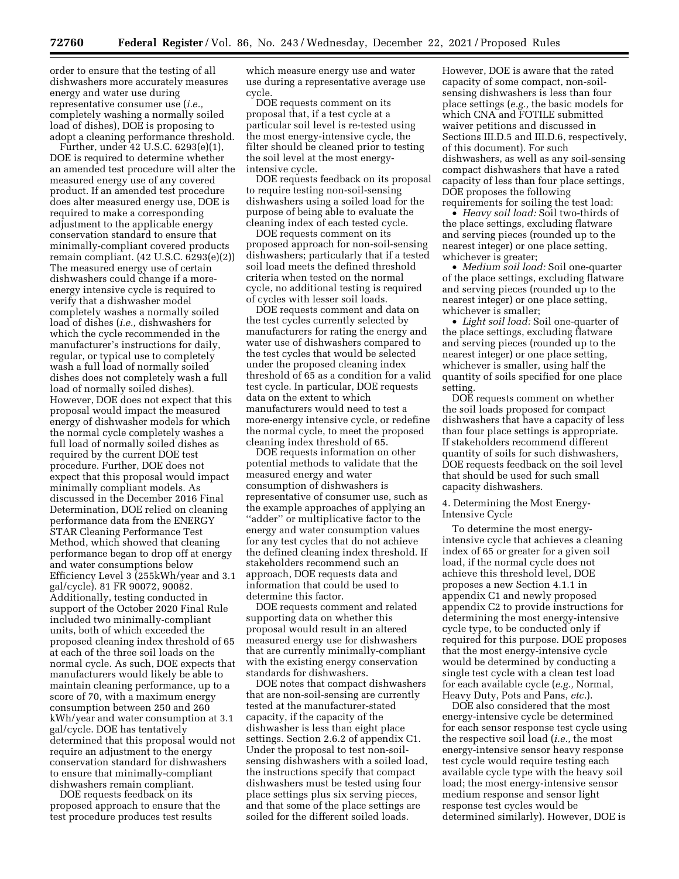order to ensure that the testing of all dishwashers more accurately measures energy and water use during representative consumer use (*i.e.,*  completely washing a normally soiled load of dishes), DOE is proposing to adopt a cleaning performance threshold.

Further, under 42 U.S.C. 6293(e)(1), DOE is required to determine whether an amended test procedure will alter the measured energy use of any covered product. If an amended test procedure does alter measured energy use, DOE is required to make a corresponding adjustment to the applicable energy conservation standard to ensure that minimally-compliant covered products remain compliant. (42 U.S.C. 6293(e)(2)) The measured energy use of certain dishwashers could change if a moreenergy intensive cycle is required to verify that a dishwasher model completely washes a normally soiled load of dishes (*i.e.,* dishwashers for which the cycle recommended in the manufacturer's instructions for daily, regular, or typical use to completely wash a full load of normally soiled dishes does not completely wash a full load of normally soiled dishes). However, DOE does not expect that this proposal would impact the measured energy of dishwasher models for which the normal cycle completely washes a full load of normally soiled dishes as required by the current DOE test procedure. Further, DOE does not expect that this proposal would impact minimally compliant models. As discussed in the December 2016 Final Determination, DOE relied on cleaning performance data from the ENERGY STAR Cleaning Performance Test Method, which showed that cleaning performance began to drop off at energy and water consumptions below Efficiency Level 3 (255kWh/year and 3.1 gal/cycle). 81 FR 90072, 90082. Additionally, testing conducted in support of the October 2020 Final Rule included two minimally-compliant units, both of which exceeded the proposed cleaning index threshold of 65 at each of the three soil loads on the normal cycle. As such, DOE expects that manufacturers would likely be able to maintain cleaning performance, up to a score of 70, with a maximum energy consumption between 250 and 260 kWh/year and water consumption at 3.1 gal/cycle. DOE has tentatively determined that this proposal would not require an adjustment to the energy conservation standard for dishwashers to ensure that minimally-compliant dishwashers remain compliant.

DOE requests feedback on its proposed approach to ensure that the test procedure produces test results

which measure energy use and water use during a representative average use cycle.

DOE requests comment on its proposal that, if a test cycle at a particular soil level is re-tested using the most energy-intensive cycle, the filter should be cleaned prior to testing the soil level at the most energyintensive cycle.

DOE requests feedback on its proposal to require testing non-soil-sensing dishwashers using a soiled load for the purpose of being able to evaluate the cleaning index of each tested cycle.

DOE requests comment on its proposed approach for non-soil-sensing dishwashers; particularly that if a tested soil load meets the defined threshold criteria when tested on the normal cycle, no additional testing is required of cycles with lesser soil loads.

DOE requests comment and data on the test cycles currently selected by manufacturers for rating the energy and water use of dishwashers compared to the test cycles that would be selected under the proposed cleaning index threshold of 65 as a condition for a valid test cycle. In particular, DOE requests data on the extent to which manufacturers would need to test a more-energy intensive cycle, or redefine the normal cycle, to meet the proposed cleaning index threshold of 65.

DOE requests information on other potential methods to validate that the measured energy and water consumption of dishwashers is representative of consumer use, such as the example approaches of applying an ''adder'' or multiplicative factor to the energy and water consumption values for any test cycles that do not achieve the defined cleaning index threshold. If stakeholders recommend such an approach, DOE requests data and information that could be used to determine this factor.

DOE requests comment and related supporting data on whether this proposal would result in an altered measured energy use for dishwashers that are currently minimally-compliant with the existing energy conservation standards for dishwashers.

DOE notes that compact dishwashers that are non-soil-sensing are currently tested at the manufacturer-stated capacity, if the capacity of the dishwasher is less than eight place settings. Section 2.6.2 of appendix C1. Under the proposal to test non-soilsensing dishwashers with a soiled load, the instructions specify that compact dishwashers must be tested using four place settings plus six serving pieces, and that some of the place settings are soiled for the different soiled loads.

However, DOE is aware that the rated capacity of some compact, non-soilsensing dishwashers is less than four place settings (*e.g.,* the basic models for which CNA and FOTILE submitted waiver petitions and discussed in Sections III.D.5 and III.D.6, respectively, of this document). For such dishwashers, as well as any soil-sensing compact dishwashers that have a rated capacity of less than four place settings, DOE proposes the following requirements for soiling the test load:

• *Heavy soil load:* Soil two-thirds of the place settings, excluding flatware and serving pieces (rounded up to the nearest integer) or one place setting, whichever is greater;

• *Medium soil load:* Soil one-quarter of the place settings, excluding flatware and serving pieces (rounded up to the nearest integer) or one place setting, whichever is smaller;

• *Light soil load:* Soil one-quarter of the place settings, excluding flatware and serving pieces (rounded up to the nearest integer) or one place setting, whichever is smaller, using half the quantity of soils specified for one place setting.

DOE requests comment on whether the soil loads proposed for compact dishwashers that have a capacity of less than four place settings is appropriate. If stakeholders recommend different quantity of soils for such dishwashers, DOE requests feedback on the soil level that should be used for such small capacity dishwashers.

#### 4. Determining the Most Energy-Intensive Cycle

To determine the most energyintensive cycle that achieves a cleaning index of 65 or greater for a given soil load, if the normal cycle does not achieve this threshold level, DOE proposes a new Section 4.1.1 in appendix C1 and newly proposed appendix C2 to provide instructions for determining the most energy-intensive cycle type, to be conducted only if required for this purpose. DOE proposes that the most energy-intensive cycle would be determined by conducting a single test cycle with a clean test load for each available cycle (*e.g.,* Normal, Heavy Duty, Pots and Pans, *etc.*).

DOE also considered that the most energy-intensive cycle be determined for each sensor response test cycle using the respective soil load (*i.e.,* the most energy-intensive sensor heavy response test cycle would require testing each available cycle type with the heavy soil load; the most energy-intensive sensor medium response and sensor light response test cycles would be determined similarly). However, DOE is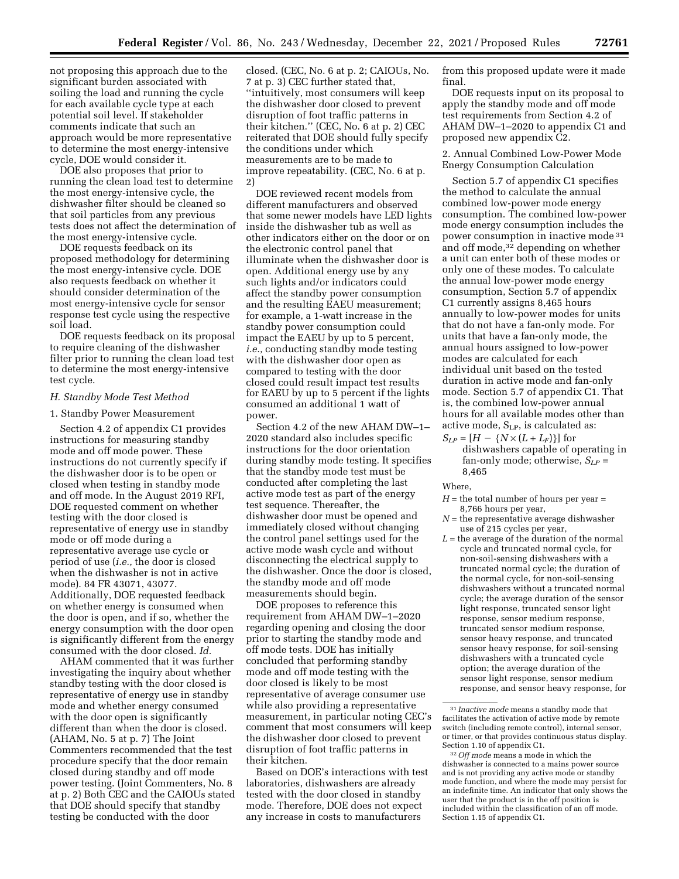not proposing this approach due to the significant burden associated with soiling the load and running the cycle for each available cycle type at each potential soil level. If stakeholder comments indicate that such an approach would be more representative to determine the most energy-intensive cycle, DOE would consider it.

DOE also proposes that prior to running the clean load test to determine the most energy-intensive cycle, the dishwasher filter should be cleaned so that soil particles from any previous tests does not affect the determination of the most energy-intensive cycle.

DOE requests feedback on its proposed methodology for determining the most energy-intensive cycle. DOE also requests feedback on whether it should consider determination of the most energy-intensive cycle for sensor response test cycle using the respective soil load.

DOE requests feedback on its proposal to require cleaning of the dishwasher filter prior to running the clean load test to determine the most energy-intensive test cycle.

#### *H. Standby Mode Test Method*

### 1. Standby Power Measurement

Section 4.2 of appendix C1 provides instructions for measuring standby mode and off mode power. These instructions do not currently specify if the dishwasher door is to be open or closed when testing in standby mode and off mode. In the August 2019 RFI, DOE requested comment on whether testing with the door closed is representative of energy use in standby mode or off mode during a representative average use cycle or period of use (*i.e.,* the door is closed when the dishwasher is not in active mode). 84 FR 43071, 43077. Additionally, DOE requested feedback on whether energy is consumed when the door is open, and if so, whether the energy consumption with the door open is significantly different from the energy consumed with the door closed. *Id.* 

AHAM commented that it was further investigating the inquiry about whether standby testing with the door closed is representative of energy use in standby mode and whether energy consumed with the door open is significantly different than when the door is closed. (AHAM, No. 5 at p. 7) The Joint Commenters recommended that the test procedure specify that the door remain closed during standby and off mode power testing. (Joint Commenters, No. 8 at p. 2) Both CEC and the CAIOUs stated that DOE should specify that standby testing be conducted with the door

closed. (CEC, No. 6 at p. 2; CAIOUs, No. 7 at p. 3) CEC further stated that, ''intuitively, most consumers will keep the dishwasher door closed to prevent disruption of foot traffic patterns in their kitchen.'' (CEC, No. 6 at p. 2) CEC reiterated that DOE should fully specify the conditions under which measurements are to be made to improve repeatability. (CEC, No. 6 at p. 2)

DOE reviewed recent models from different manufacturers and observed that some newer models have LED lights inside the dishwasher tub as well as other indicators either on the door or on the electronic control panel that illuminate when the dishwasher door is open. Additional energy use by any such lights and/or indicators could affect the standby power consumption and the resulting EAEU measurement; for example, a 1-watt increase in the standby power consumption could impact the EAEU by up to 5 percent, *i.e.,* conducting standby mode testing with the dishwasher door open as compared to testing with the door closed could result impact test results for EAEU by up to 5 percent if the lights consumed an additional 1 watt of power.

Section 4.2 of the new AHAM DW–1– 2020 standard also includes specific instructions for the door orientation during standby mode testing. It specifies that the standby mode test must be conducted after completing the last active mode test as part of the energy test sequence. Thereafter, the dishwasher door must be opened and immediately closed without changing the control panel settings used for the active mode wash cycle and without disconnecting the electrical supply to the dishwasher. Once the door is closed, the standby mode and off mode measurements should begin.

DOE proposes to reference this requirement from AHAM DW–1–2020 regarding opening and closing the door prior to starting the standby mode and off mode tests. DOE has initially concluded that performing standby mode and off mode testing with the door closed is likely to be most representative of average consumer use while also providing a representative measurement, in particular noting CEC's comment that most consumers will keep the dishwasher door closed to prevent disruption of foot traffic patterns in their kitchen.

Based on DOE's interactions with test laboratories, dishwashers are already tested with the door closed in standby mode. Therefore, DOE does not expect any increase in costs to manufacturers

from this proposed update were it made final.

DOE requests input on its proposal to apply the standby mode and off mode test requirements from Section 4.2 of AHAM DW–1–2020 to appendix C1 and proposed new appendix C2.

2. Annual Combined Low-Power Mode Energy Consumption Calculation

Section 5.7 of appendix C1 specifies the method to calculate the annual combined low-power mode energy consumption. The combined low-power mode energy consumption includes the power consumption in inactive mode 31 and off mode,32 depending on whether a unit can enter both of these modes or only one of these modes. To calculate the annual low-power mode energy consumption, Section 5.7 of appendix C1 currently assigns 8,465 hours annually to low-power modes for units that do not have a fan-only mode. For units that have a fan-only mode, the annual hours assigned to low-power modes are calculated for each individual unit based on the tested duration in active mode and fan-only mode. Section 5.7 of appendix C1. That is, the combined low-power annual hours for all available modes other than active mode,  $S_{LP}$ , is calculated as:

 $S_{LP} = [H - \{N \times (L + L_F)\}]$  for dishwashers capable of operating in fan-only mode; otherwise, *SLP* = 8,465

Where,

- $H =$  the total number of hours per year  $=$ 8,766 hours per year,
- $N =$  the representative average dishwasher use of 215 cycles per year,
- *L* = the average of the duration of the normal cycle and truncated normal cycle, for non-soil-sensing dishwashers with a truncated normal cycle; the duration of the normal cycle, for non-soil-sensing dishwashers without a truncated normal cycle; the average duration of the sensor light response, truncated sensor light response, sensor medium response, truncated sensor medium response, sensor heavy response, and truncated sensor heavy response, for soil-sensing dishwashers with a truncated cycle option; the average duration of the sensor light response, sensor medium response, and sensor heavy response, for

<sup>31</sup> *Inactive mode* means a standby mode that facilitates the activation of active mode by remote switch (including remote control), internal sensor, or timer, or that provides continuous status display. Section 1.10 of appendix C1.

<sup>32</sup>*Off mode* means a mode in which the dishwasher is connected to a mains power source and is not providing any active mode or standby mode function, and where the mode may persist for an indefinite time. An indicator that only shows the user that the product is in the off position is included within the classification of an off mode. Section 1.15 of appendix C1.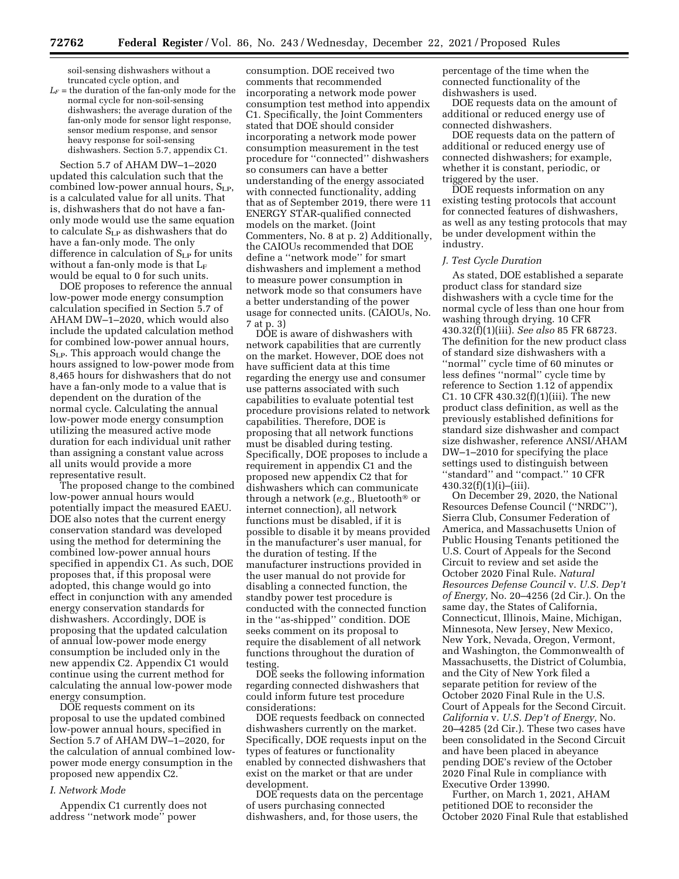soil-sensing dishwashers without a truncated cycle option, and

 $L_F$  = the duration of the fan-only mode for the normal cycle for non-soil-sensing dishwashers; the average duration of the fan-only mode for sensor light response, sensor medium response, and sensor heavy response for soil-sensing dishwashers. Section 5.7, appendix C1.

Section 5.7 of AHAM DW–1–2020 updated this calculation such that the combined low-power annual hours,  $S_{LP}$ , is a calculated value for all units. That is, dishwashers that do not have a fanonly mode would use the same equation to calculate SLP as dishwashers that do have a fan-only mode. The only difference in calculation of  $S_{LP}$  for units without a fan-only mode is that  $L_F$ would be equal to 0 for such units.

DOE proposes to reference the annual low-power mode energy consumption calculation specified in Section 5.7 of AHAM DW–1–2020, which would also include the updated calculation method for combined low-power annual hours, SLP. This approach would change the hours assigned to low-power mode from 8,465 hours for dishwashers that do not have a fan-only mode to a value that is dependent on the duration of the normal cycle. Calculating the annual low-power mode energy consumption utilizing the measured active mode duration for each individual unit rather than assigning a constant value across all units would provide a more representative result.

The proposed change to the combined low-power annual hours would potentially impact the measured EAEU. DOE also notes that the current energy conservation standard was developed using the method for determining the combined low-power annual hours specified in appendix C1. As such, DOE proposes that, if this proposal were adopted, this change would go into effect in conjunction with any amended energy conservation standards for dishwashers. Accordingly, DOE is proposing that the updated calculation of annual low-power mode energy consumption be included only in the new appendix C2. Appendix C1 would continue using the current method for calculating the annual low-power mode energy consumption.

DOE requests comment on its proposal to use the updated combined low-power annual hours, specified in Section 5.7 of AHAM DW–1–2020, for the calculation of annual combined lowpower mode energy consumption in the proposed new appendix C2.

## *I. Network Mode*

Appendix C1 currently does not address ''network mode'' power

consumption. DOE received two comments that recommended incorporating a network mode power consumption test method into appendix C1. Specifically, the Joint Commenters stated that DOE should consider incorporating a network mode power consumption measurement in the test procedure for ''connected'' dishwashers so consumers can have a better understanding of the energy associated with connected functionality, adding that as of September 2019, there were 11 ENERGY STAR-qualified connected models on the market. (Joint Commenters, No. 8 at p. 2) Additionally, the CAIOUs recommended that DOE define a ''network mode'' for smart dishwashers and implement a method to measure power consumption in network mode so that consumers have a better understanding of the power usage for connected units. (CAIOUs, No. 7 at p. 3)

DOE is aware of dishwashers with network capabilities that are currently on the market. However, DOE does not have sufficient data at this time regarding the energy use and consumer use patterns associated with such capabilities to evaluate potential test procedure provisions related to network capabilities. Therefore, DOE is proposing that all network functions must be disabled during testing. Specifically, DOE proposes to include a requirement in appendix C1 and the proposed new appendix C2 that for dishwashers which can communicate through a network (*e.g.,* Bluetooth® or internet connection), all network functions must be disabled, if it is possible to disable it by means provided in the manufacturer's user manual, for the duration of testing. If the manufacturer instructions provided in the user manual do not provide for disabling a connected function, the standby power test procedure is conducted with the connected function in the ''as-shipped'' condition. DOE seeks comment on its proposal to require the disablement of all network functions throughout the duration of testing.

DOE seeks the following information regarding connected dishwashers that could inform future test procedure considerations:

DOE requests feedback on connected dishwashers currently on the market. Specifically, DOE requests input on the types of features or functionality enabled by connected dishwashers that exist on the market or that are under development.

DOE requests data on the percentage of users purchasing connected dishwashers, and, for those users, the

percentage of the time when the connected functionality of the dishwashers is used.

DOE requests data on the amount of additional or reduced energy use of connected dishwashers.

DOE requests data on the pattern of additional or reduced energy use of connected dishwashers; for example, whether it is constant, periodic, or triggered by the user.

DOE requests information on any existing testing protocols that account for connected features of dishwashers, as well as any testing protocols that may be under development within the industry.

### *J. Test Cycle Duration*

As stated, DOE established a separate product class for standard size dishwashers with a cycle time for the normal cycle of less than one hour from washing through drying. 10 CFR 430.32(f)(1)(iii). *See also* 85 FR 68723. The definition for the new product class of standard size dishwashers with a ''normal'' cycle time of 60 minutes or less defines ''normal'' cycle time by reference to Section 1.12 of appendix C1. 10 CFR  $430.32(f)(1)(iii)$ . The new product class definition, as well as the previously established definitions for standard size dishwasher and compact size dishwasher, reference ANSI/AHAM DW–1–2010 for specifying the place settings used to distinguish between "standard" and "compact." 10 CFR  $430.32(f)(1)(i)$ –(iii).

On December 29, 2020, the National Resources Defense Council (''NRDC''), Sierra Club, Consumer Federation of America, and Massachusetts Union of Public Housing Tenants petitioned the U.S. Court of Appeals for the Second Circuit to review and set aside the October 2020 Final Rule. *Natural Resources Defense Council* v. *U.S. Dep't of Energy,* No. 20–4256 (2d Cir.). On the same day, the States of California, Connecticut, Illinois, Maine, Michigan, Minnesota, New Jersey, New Mexico, New York, Nevada, Oregon, Vermont, and Washington, the Commonwealth of Massachusetts, the District of Columbia, and the City of New York filed a separate petition for review of the October 2020 Final Rule in the U.S. Court of Appeals for the Second Circuit. *California* v. *U.S. Dep't of Energy,* No. 20–4285 (2d Cir.). These two cases have been consolidated in the Second Circuit and have been placed in abeyance pending DOE's review of the October 2020 Final Rule in compliance with Executive Order 13990.

Further, on March 1, 2021, AHAM petitioned DOE to reconsider the October 2020 Final Rule that established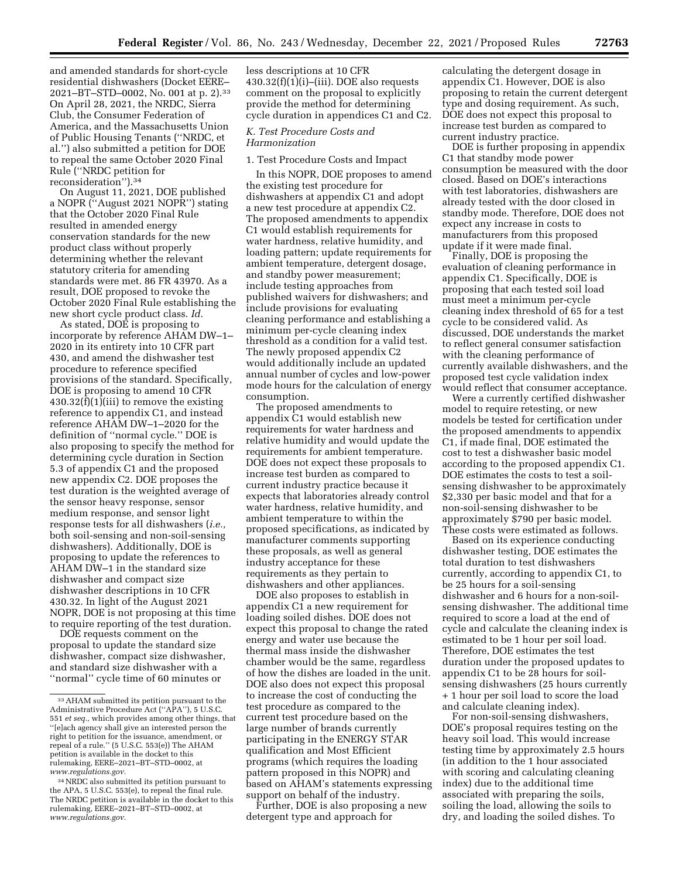and amended standards for short-cycle residential dishwashers (Docket EERE– 2021–BT–STD–0002, No. 001 at p. 2).33 On April 28, 2021, the NRDC, Sierra Club, the Consumer Federation of America, and the Massachusetts Union of Public Housing Tenants (''NRDC, et al.'') also submitted a petition for DOE to repeal the same October 2020 Final Rule (''NRDC petition for reconsideration'').34

On August 11, 2021, DOE published a NOPR (''August 2021 NOPR'') stating that the October 2020 Final Rule resulted in amended energy conservation standards for the new product class without properly determining whether the relevant statutory criteria for amending standards were met. 86 FR 43970. As a result, DOE proposed to revoke the October 2020 Final Rule establishing the new short cycle product class. *Id.* 

As stated, DOE is proposing to incorporate by reference AHAM DW–1– 2020 in its entirety into 10 CFR part 430, and amend the dishwasher test procedure to reference specified provisions of the standard. Specifically, DOE is proposing to amend 10 CFR  $430.32(f)(1)(iii)$  to remove the existing reference to appendix C1, and instead reference AHAM DW–1–2020 for the definition of ''normal cycle.'' DOE is also proposing to specify the method for determining cycle duration in Section 5.3 of appendix C1 and the proposed new appendix C2. DOE proposes the test duration is the weighted average of the sensor heavy response, sensor medium response, and sensor light response tests for all dishwashers (*i.e.,*  both soil-sensing and non-soil-sensing dishwashers). Additionally, DOE is proposing to update the references to AHAM DW–1 in the standard size dishwasher and compact size dishwasher descriptions in 10 CFR 430.32. In light of the August 2021 NOPR, DOE is not proposing at this time to require reporting of the test duration.

DOE requests comment on the proposal to update the standard size dishwasher, compact size dishwasher, and standard size dishwasher with a ''normal'' cycle time of 60 minutes or

less descriptions at 10 CFR  $430.32(f)(1)(i)$ –(iii). DOE also requests comment on the proposal to explicitly provide the method for determining cycle duration in appendices C1 and C2.

# *K. Test Procedure Costs and Harmonization*

1. Test Procedure Costs and Impact

In this NOPR, DOE proposes to amend the existing test procedure for dishwashers at appendix C1 and adopt a new test procedure at appendix C2. The proposed amendments to appendix C1 would establish requirements for water hardness, relative humidity, and loading pattern; update requirements for ambient temperature, detergent dosage, and standby power measurement; include testing approaches from published waivers for dishwashers; and include provisions for evaluating cleaning performance and establishing a minimum per-cycle cleaning index threshold as a condition for a valid test. The newly proposed appendix C2 would additionally include an updated annual number of cycles and low-power mode hours for the calculation of energy consumption.

The proposed amendments to appendix C1 would establish new requirements for water hardness and relative humidity and would update the requirements for ambient temperature. DOE does not expect these proposals to increase test burden as compared to current industry practice because it expects that laboratories already control water hardness, relative humidity, and ambient temperature to within the proposed specifications, as indicated by manufacturer comments supporting these proposals, as well as general industry acceptance for these requirements as they pertain to dishwashers and other appliances.

DOE also proposes to establish in appendix C1 a new requirement for loading soiled dishes. DOE does not expect this proposal to change the rated energy and water use because the thermal mass inside the dishwasher chamber would be the same, regardless of how the dishes are loaded in the unit. DOE also does not expect this proposal to increase the cost of conducting the test procedure as compared to the current test procedure based on the large number of brands currently participating in the ENERGY STAR qualification and Most Efficient programs (which requires the loading pattern proposed in this NOPR) and based on AHAM's statements expressing support on behalf of the industry.

Further, DOE is also proposing a new detergent type and approach for

calculating the detergent dosage in appendix C1. However, DOE is also proposing to retain the current detergent type and dosing requirement. As such, DOE does not expect this proposal to increase test burden as compared to current industry practice.

DOE is further proposing in appendix C1 that standby mode power consumption be measured with the door closed. Based on DOE's interactions with test laboratories, dishwashers are already tested with the door closed in standby mode. Therefore, DOE does not expect any increase in costs to manufacturers from this proposed update if it were made final.

Finally, DOE is proposing the evaluation of cleaning performance in appendix C1. Specifically, DOE is proposing that each tested soil load must meet a minimum per-cycle cleaning index threshold of 65 for a test cycle to be considered valid. As discussed, DOE understands the market to reflect general consumer satisfaction with the cleaning performance of currently available dishwashers, and the proposed test cycle validation index would reflect that consumer acceptance.

Were a currently certified dishwasher model to require retesting, or new models be tested for certification under the proposed amendments to appendix C1, if made final, DOE estimated the cost to test a dishwasher basic model according to the proposed appendix C1. DOE estimates the costs to test a soilsensing dishwasher to be approximately \$2,330 per basic model and that for a non-soil-sensing dishwasher to be approximately \$790 per basic model. These costs were estimated as follows.

Based on its experience conducting dishwasher testing, DOE estimates the total duration to test dishwashers currently, according to appendix C1, to be 25 hours for a soil-sensing dishwasher and 6 hours for a non-soilsensing dishwasher. The additional time required to score a load at the end of cycle and calculate the cleaning index is estimated to be 1 hour per soil load. Therefore, DOE estimates the test duration under the proposed updates to appendix C1 to be 28 hours for soilsensing dishwashers (25 hours currently + 1 hour per soil load to score the load and calculate cleaning index).

For non-soil-sensing dishwashers, DOE's proposal requires testing on the heavy soil load. This would increase testing time by approximately 2.5 hours (in addition to the 1 hour associated with scoring and calculating cleaning index) due to the additional time associated with preparing the soils, soiling the load, allowing the soils to dry, and loading the soiled dishes. To

<sup>33</sup>AHAM submitted its petition pursuant to the Administrative Procedure Act (''APA''), 5 U.S.C. 551 *et seq.,* which provides among other things, that ''[e]ach agency shall give an interested person the right to petition for the issuance, amendment, or repeal of a rule.'' (5 U.S.C. 553(e)) The AHAM petition is available in the docket to this rulemaking, EERE–2021–BT–STD–0002, at *[www.regulations.gov.](http://www.regulations.gov)* 

<sup>34</sup>NRDC also submitted its petition pursuant to the APA, 5 U.S.C. 553(e), to repeal the final rule. The NRDC petition is available in the docket to this rulemaking, EERE–2021–BT–STD–0002, at *[www.regulations.gov.](http://www.regulations.gov)*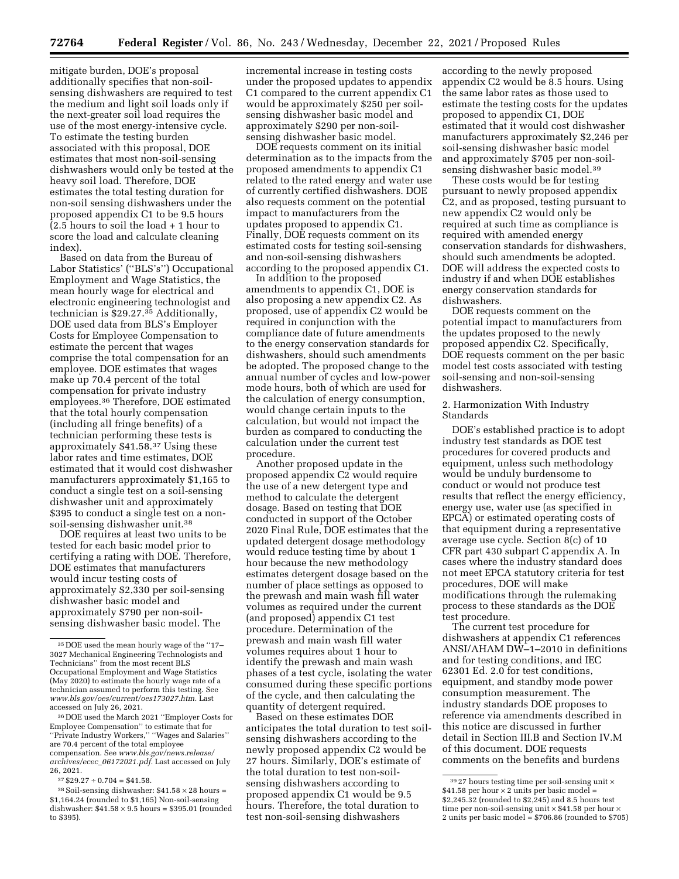mitigate burden, DOE's proposal additionally specifies that non-soilsensing dishwashers are required to test the medium and light soil loads only if the next-greater soil load requires the use of the most energy-intensive cycle. To estimate the testing burden associated with this proposal, DOE estimates that most non-soil-sensing dishwashers would only be tested at the heavy soil load. Therefore, DOE estimates the total testing duration for non-soil sensing dishwashers under the proposed appendix C1 to be 9.5 hours (2.5 hours to soil the load + 1 hour to score the load and calculate cleaning index).

Based on data from the Bureau of Labor Statistics' (''BLS's'') Occupational Employment and Wage Statistics, the mean hourly wage for electrical and electronic engineering technologist and technician is \$29.27.35 Additionally, DOE used data from BLS's Employer Costs for Employee Compensation to estimate the percent that wages comprise the total compensation for an employee. DOE estimates that wages make up 70.4 percent of the total compensation for private industry employees.36 Therefore, DOE estimated that the total hourly compensation (including all fringe benefits) of a technician performing these tests is approximately \$41.58.37 Using these labor rates and time estimates, DOE estimated that it would cost dishwasher manufacturers approximately \$1,165 to conduct a single test on a soil-sensing dishwasher unit and approximately \$395 to conduct a single test on a nonsoil-sensing dishwasher unit.38

DOE requires at least two units to be tested for each basic model prior to certifying a rating with DOE. Therefore, DOE estimates that manufacturers would incur testing costs of approximately \$2,330 per soil-sensing dishwasher basic model and approximately \$790 per non-soilsensing dishwasher basic model. The

36 DOE used the March 2021 ''Employer Costs for Employee Compensation'' to estimate that for ''Private Industry Workers,'' ''Wages and Salaries'' are 70.4 percent of the total employee compensation. See *[www.bls.gov/news.release/](http://www.bls.gov/news.release/archives/ecec_06172021.pdf) archives/ecec*\_*[06172021.pdf.](http://www.bls.gov/news.release/archives/ecec_06172021.pdf)* Last accessed on July 26, 2021.

 $37 $29.27 \div 0.704 = $41.58.$ 

 $38$  Soil-sensing dishwasher:  $$41.58 \times 28$  hours = \$1,164.24 (rounded to \$1,165) Non-soil-sensing dishwasher:  $$41.58 \times 9.5$  hours = \$395.01 (rounded to \$395).

incremental increase in testing costs under the proposed updates to appendix C1 compared to the current appendix C1 would be approximately \$250 per soilsensing dishwasher basic model and approximately \$290 per non-soilsensing dishwasher basic model.

DOE requests comment on its initial determination as to the impacts from the proposed amendments to appendix C1 related to the rated energy and water use of currently certified dishwashers. DOE also requests comment on the potential impact to manufacturers from the updates proposed to appendix C1. Finally, DOE requests comment on its estimated costs for testing soil-sensing and non-soil-sensing dishwashers according to the proposed appendix C1.

In addition to the proposed amendments to appendix C1, DOE is also proposing a new appendix C2. As proposed, use of appendix C2 would be required in conjunction with the compliance date of future amendments to the energy conservation standards for dishwashers, should such amendments be adopted. The proposed change to the annual number of cycles and low-power mode hours, both of which are used for the calculation of energy consumption, would change certain inputs to the calculation, but would not impact the burden as compared to conducting the calculation under the current test procedure.

Another proposed update in the proposed appendix C2 would require the use of a new detergent type and method to calculate the detergent dosage. Based on testing that DOE conducted in support of the October 2020 Final Rule, DOE estimates that the updated detergent dosage methodology would reduce testing time by about 1 hour because the new methodology estimates detergent dosage based on the number of place settings as opposed to the prewash and main wash fill water volumes as required under the current (and proposed) appendix C1 test procedure. Determination of the prewash and main wash fill water volumes requires about 1 hour to identify the prewash and main wash phases of a test cycle, isolating the water consumed during these specific portions of the cycle, and then calculating the quantity of detergent required.

Based on these estimates DOE anticipates the total duration to test soilsensing dishwashers according to the newly proposed appendix C2 would be 27 hours. Similarly, DOE's estimate of the total duration to test non-soilsensing dishwashers according to proposed appendix C1 would be 9.5 hours. Therefore, the total duration to test non-soil-sensing dishwashers

according to the newly proposed appendix C2 would be 8.5 hours. Using the same labor rates as those used to estimate the testing costs for the updates proposed to appendix C1, DOE estimated that it would cost dishwasher manufacturers approximately \$2,246 per soil-sensing dishwasher basic model and approximately \$705 per non-soilsensing dishwasher basic model.39

These costs would be for testing pursuant to newly proposed appendix C2, and as proposed, testing pursuant to new appendix C2 would only be required at such time as compliance is required with amended energy conservation standards for dishwashers, should such amendments be adopted. DOE will address the expected costs to industry if and when DOE establishes energy conservation standards for dishwashers.

DOE requests comment on the potential impact to manufacturers from the updates proposed to the newly proposed appendix C2. Specifically, DOE requests comment on the per basic model test costs associated with testing soil-sensing and non-soil-sensing dishwashers.

## 2. Harmonization With Industry Standards

DOE's established practice is to adopt industry test standards as DOE test procedures for covered products and equipment, unless such methodology would be unduly burdensome to conduct or would not produce test results that reflect the energy efficiency, energy use, water use (as specified in EPCA) or estimated operating costs of that equipment during a representative average use cycle. Section 8(c) of 10 CFR part 430 subpart C appendix A. In cases where the industry standard does not meet EPCA statutory criteria for test procedures, DOE will make modifications through the rulemaking process to these standards as the DOE test procedure.

The current test procedure for dishwashers at appendix C1 references ANSI/AHAM DW–1–2010 in definitions and for testing conditions, and IEC 62301 Ed. 2.0 for test conditions, equipment, and standby mode power consumption measurement. The industry standards DOE proposes to reference via amendments described in this notice are discussed in further detail in Section III.B and Section IV.M of this document. DOE requests comments on the benefits and burdens

<sup>35</sup> DOE used the mean hourly wage of the ''17– 3027 Mechanical Engineering Technologists and Technicians'' from the most recent BLS Occupational Employment and Wage Statistics (May 2020) to estimate the hourly wage rate of a technician assumed to perform this testing. See *[www.bls.gov/oes/current/oes173027.htm.](http://www.bls.gov/oes/current/oes173027.htm)* Last accessed on July 26, 2021.

 $^{39}$  27 hours testing time per soil-sensing unit  $\times$ \$41.58 per hour  $\times$  2 units per basic model = \$2,245.32 (rounded to \$2,245) and 8.5 hours test time per non-soil-sensing unit  $\times$  \$41.58 per hour  $\times$ 2 units per basic model  $= $706.86$  (rounded to \$705)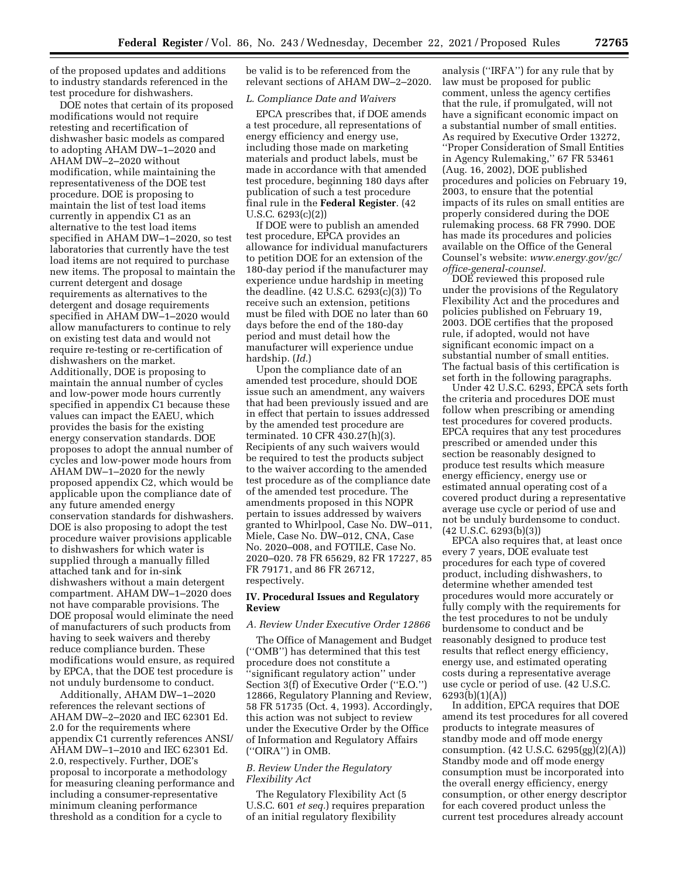of the proposed updates and additions to industry standards referenced in the test procedure for dishwashers.

DOE notes that certain of its proposed modifications would not require retesting and recertification of dishwasher basic models as compared to adopting AHAM DW–1–2020 and AHAM DW–2–2020 without modification, while maintaining the representativeness of the DOE test procedure. DOE is proposing to maintain the list of test load items currently in appendix C1 as an alternative to the test load items specified in AHAM DW–1–2020, so test laboratories that currently have the test load items are not required to purchase new items. The proposal to maintain the current detergent and dosage requirements as alternatives to the detergent and dosage requirements specified in AHAM DW–1–2020 would allow manufacturers to continue to rely on existing test data and would not require re-testing or re-certification of dishwashers on the market. Additionally, DOE is proposing to maintain the annual number of cycles and low-power mode hours currently specified in appendix C1 because these values can impact the EAEU, which provides the basis for the existing energy conservation standards. DOE proposes to adopt the annual number of cycles and low-power mode hours from AHAM DW–1–2020 for the newly proposed appendix C2, which would be applicable upon the compliance date of any future amended energy conservation standards for dishwashers. DOE is also proposing to adopt the test procedure waiver provisions applicable to dishwashers for which water is supplied through a manually filled attached tank and for in-sink dishwashers without a main detergent compartment. AHAM DW–1–2020 does not have comparable provisions. The DOE proposal would eliminate the need of manufacturers of such products from having to seek waivers and thereby reduce compliance burden. These modifications would ensure, as required by EPCA, that the DOE test procedure is not unduly burdensome to conduct.

Additionally, AHAM DW–1–2020 references the relevant sections of AHAM DW–2–2020 and IEC 62301 Ed. 2.0 for the requirements where appendix C1 currently references ANSI/ AHAM DW–1–2010 and IEC 62301 Ed. 2.0, respectively. Further, DOE's proposal to incorporate a methodology for measuring cleaning performance and including a consumer-representative minimum cleaning performance threshold as a condition for a cycle to

be valid is to be referenced from the relevant sections of AHAM DW–2–2020.

## *L. Compliance Date and Waivers*

EPCA prescribes that, if DOE amends a test procedure, all representations of energy efficiency and energy use, including those made on marketing materials and product labels, must be made in accordance with that amended test procedure, beginning 180 days after publication of such a test procedure final rule in the **Federal Register**. (42 U.S.C. 6293(c)(2))

If DOE were to publish an amended test procedure, EPCA provides an allowance for individual manufacturers to petition DOE for an extension of the 180-day period if the manufacturer may experience undue hardship in meeting the deadline. (42 U.S.C. 6293(c)(3)) To receive such an extension, petitions must be filed with DOE no later than 60 days before the end of the 180-day period and must detail how the manufacturer will experience undue hardship. (*Id.*)

Upon the compliance date of an amended test procedure, should DOE issue such an amendment, any waivers that had been previously issued and are in effect that pertain to issues addressed by the amended test procedure are terminated. 10 CFR 430.27(h)(3). Recipients of any such waivers would be required to test the products subject to the waiver according to the amended test procedure as of the compliance date of the amended test procedure. The amendments proposed in this NOPR pertain to issues addressed by waivers granted to Whirlpool, Case No. DW–011, Miele, Case No. DW–012, CNA, Case No. 2020–008, and FOTILE, Case No. 2020–020. 78 FR 65629, 82 FR 17227, 85 FR 79171, and 86 FR 26712, respectively.

# **IV. Procedural Issues and Regulatory Review**

## *A. Review Under Executive Order 12866*

The Office of Management and Budget (''OMB'') has determined that this test procedure does not constitute a ''significant regulatory action'' under Section 3(f) of Executive Order (''E.O.'') 12866, Regulatory Planning and Review, 58 FR 51735 (Oct. 4, 1993). Accordingly, this action was not subject to review under the Executive Order by the Office of Information and Regulatory Affairs (''OIRA'') in OMB.

# *B. Review Under the Regulatory Flexibility Act*

The Regulatory Flexibility Act (5 U.S.C. 601 *et seq.*) requires preparation of an initial regulatory flexibility

analysis (''IRFA'') for any rule that by law must be proposed for public comment, unless the agency certifies that the rule, if promulgated, will not have a significant economic impact on a substantial number of small entities. As required by Executive Order 13272, ''Proper Consideration of Small Entities in Agency Rulemaking,'' 67 FR 53461 (Aug. 16, 2002), DOE published procedures and policies on February 19, 2003, to ensure that the potential impacts of its rules on small entities are properly considered during the DOE rulemaking process. 68 FR 7990. DOE has made its procedures and policies available on the Office of the General Counsel's website: *[www.energy.gov/gc/](http://www.energy.gov/gc/office-general-counsel)  [office-general-counsel.](http://www.energy.gov/gc/office-general-counsel)* 

DOE reviewed this proposed rule under the provisions of the Regulatory Flexibility Act and the procedures and policies published on February 19, 2003. DOE certifies that the proposed rule, if adopted, would not have significant economic impact on a substantial number of small entities. The factual basis of this certification is set forth in the following paragraphs.

Under 42 U.S.C. 6293, EPCA sets forth the criteria and procedures DOE must follow when prescribing or amending test procedures for covered products. EPCA requires that any test procedures prescribed or amended under this section be reasonably designed to produce test results which measure energy efficiency, energy use or estimated annual operating cost of a covered product during a representative average use cycle or period of use and not be unduly burdensome to conduct. (42 U.S.C. 6293(b)(3))

EPCA also requires that, at least once every 7 years, DOE evaluate test procedures for each type of covered product, including dishwashers, to determine whether amended test procedures would more accurately or fully comply with the requirements for the test procedures to not be unduly burdensome to conduct and be reasonably designed to produce test results that reflect energy efficiency, energy use, and estimated operating costs during a representative average use cycle or period of use. (42 U.S.C. 6293(b)(1)(A))

In addition, EPCA requires that DOE amend its test procedures for all covered products to integrate measures of standby mode and off mode energy consumption. (42 U.S.C. 6295(gg)(2)(A)) Standby mode and off mode energy consumption must be incorporated into the overall energy efficiency, energy consumption, or other energy descriptor for each covered product unless the current test procedures already account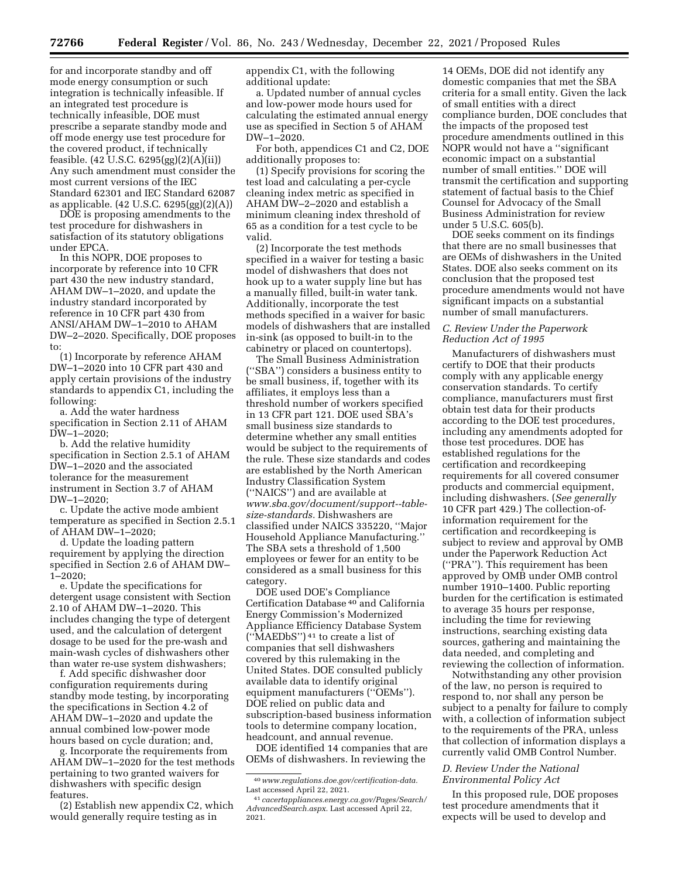for and incorporate standby and off mode energy consumption or such integration is technically infeasible. If an integrated test procedure is technically infeasible, DOE must prescribe a separate standby mode and off mode energy use test procedure for the covered product, if technically feasible. (42 U.S.C. 6295(gg)(2)(A)(ii)) Any such amendment must consider the most current versions of the IEC Standard 62301 and IEC Standard 62087 as applicable. (42 U.S.C. 6295(gg)(2)(A))

DOE is proposing amendments to the test procedure for dishwashers in satisfaction of its statutory obligations under EPCA.

In this NOPR, DOE proposes to incorporate by reference into 10 CFR part 430 the new industry standard, AHAM DW–1–2020, and update the industry standard incorporated by reference in 10 CFR part 430 from ANSI/AHAM DW–1–2010 to AHAM DW–2–2020. Specifically, DOE proposes to:

(1) Incorporate by reference AHAM DW–1–2020 into 10 CFR part 430 and apply certain provisions of the industry standards to appendix C1, including the following:

a. Add the water hardness specification in Section 2.11 of AHAM DW–1–2020;

b. Add the relative humidity specification in Section 2.5.1 of AHAM DW–1–2020 and the associated tolerance for the measurement instrument in Section 3.7 of AHAM DW–1–2020;

c. Update the active mode ambient temperature as specified in Section 2.5.1 of AHAM DW–1–2020;

d. Update the loading pattern requirement by applying the direction specified in Section 2.6 of AHAM DW– 1–2020;

e. Update the specifications for detergent usage consistent with Section 2.10 of AHAM DW–1–2020. This includes changing the type of detergent used, and the calculation of detergent dosage to be used for the pre-wash and main-wash cycles of dishwashers other than water re-use system dishwashers;

f. Add specific dishwasher door configuration requirements during standby mode testing, by incorporating the specifications in Section 4.2 of AHAM DW–1–2020 and update the annual combined low-power mode hours based on cycle duration; and,

g. Incorporate the requirements from AHAM DW–1–2020 for the test methods pertaining to two granted waivers for dishwashers with specific design features.

(2) Establish new appendix C2, which would generally require testing as in

appendix C1, with the following additional update:

a. Updated number of annual cycles and low-power mode hours used for calculating the estimated annual energy use as specified in Section 5 of AHAM DW–1–2020.

For both, appendices C1 and C2, DOE additionally proposes to:

(1) Specify provisions for scoring the test load and calculating a per-cycle cleaning index metric as specified in AHAM DW–2–2020 and establish a minimum cleaning index threshold of 65 as a condition for a test cycle to be valid.

(2) Incorporate the test methods specified in a waiver for testing a basic model of dishwashers that does not hook up to a water supply line but has a manually filled, built-in water tank. Additionally, incorporate the test methods specified in a waiver for basic models of dishwashers that are installed in-sink (as opposed to built-in to the cabinetry or placed on countertops).

The Small Business Administration (''SBA'') considers a business entity to be small business, if, together with its affiliates, it employs less than a threshold number of workers specified in 13 CFR part 121. DOE used SBA's small business size standards to determine whether any small entities would be subject to the requirements of the rule. These size standards and codes are established by the North American Industry Classification System (''NAICS'') and are available at *[www.sba.gov/document/support--table](http://www.sba.gov/document/support--table-size-standards)[size-standards.](http://www.sba.gov/document/support--table-size-standards)* Dishwashers are classified under NAICS 335220, ''Major Household Appliance Manufacturing.'' The SBA sets a threshold of 1,500 employees or fewer for an entity to be considered as a small business for this category.

DOE used DOE's Compliance Certification Database 40 and California Energy Commission's Modernized Appliance Efficiency Database System (''MAEDbS'') 41 to create a list of companies that sell dishwashers covered by this rulemaking in the United States. DOE consulted publicly available data to identify original equipment manufacturers (''OEMs''). DOE relied on public data and subscription-based business information tools to determine company location, headcount, and annual revenue.

DOE identified 14 companies that are OEMs of dishwashers. In reviewing the

14 OEMs, DOE did not identify any domestic companies that met the SBA criteria for a small entity. Given the lack of small entities with a direct compliance burden, DOE concludes that the impacts of the proposed test procedure amendments outlined in this NOPR would not have a ''significant economic impact on a substantial number of small entities.'' DOE will transmit the certification and supporting statement of factual basis to the Chief Counsel for Advocacy of the Small Business Administration for review under 5 U.S.C. 605(b).

DOE seeks comment on its findings that there are no small businesses that are OEMs of dishwashers in the United States. DOE also seeks comment on its conclusion that the proposed test procedure amendments would not have significant impacts on a substantial number of small manufacturers.

# *C. Review Under the Paperwork Reduction Act of 1995*

Manufacturers of dishwashers must certify to DOE that their products comply with any applicable energy conservation standards. To certify compliance, manufacturers must first obtain test data for their products according to the DOE test procedures, including any amendments adopted for those test procedures. DOE has established regulations for the certification and recordkeeping requirements for all covered consumer products and commercial equipment, including dishwashers. (*See generally*  10 CFR part 429.) The collection-ofinformation requirement for the certification and recordkeeping is subject to review and approval by OMB under the Paperwork Reduction Act (''PRA''). This requirement has been approved by OMB under OMB control number 1910–1400. Public reporting burden for the certification is estimated to average 35 hours per response, including the time for reviewing instructions, searching existing data sources, gathering and maintaining the data needed, and completing and reviewing the collection of information.

Notwithstanding any other provision of the law, no person is required to respond to, nor shall any person be subject to a penalty for failure to comply with, a collection of information subject to the requirements of the PRA, unless that collection of information displays a currently valid OMB Control Number.

# *D. Review Under the National Environmental Policy Act*

In this proposed rule, DOE proposes test procedure amendments that it expects will be used to develop and

<sup>40</sup>*[www.regulations.doe.gov/certification-data.](http://www.regulations.doe.gov/certification-data)*  Last accessed April 22, 2021.

<sup>41</sup> *cacertappliances.energy.ca.gov/Pages/Search/ AdvancedSearch.aspx.* Last accessed April 22, 2021.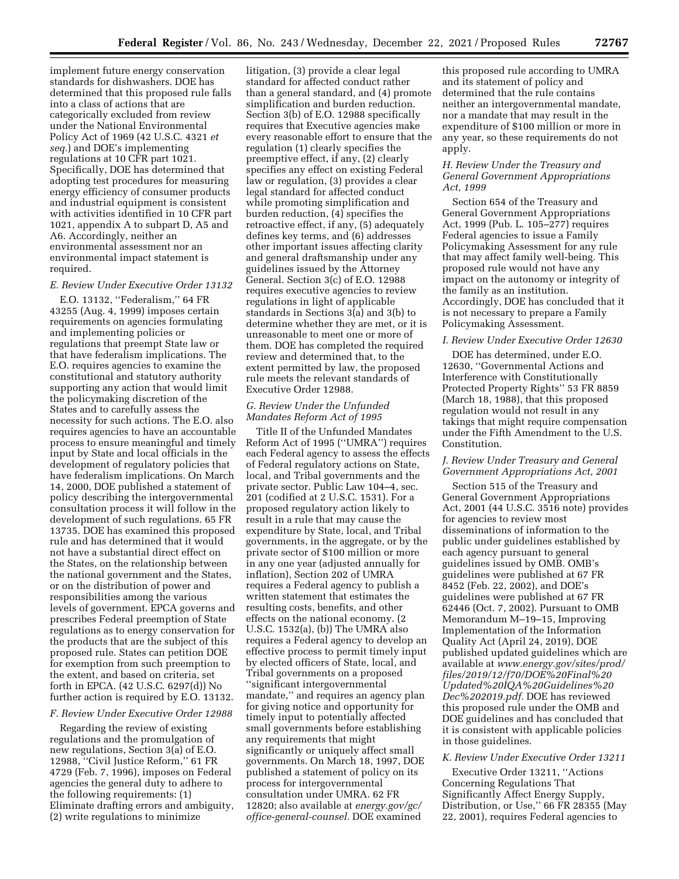implement future energy conservation standards for dishwashers. DOE has determined that this proposed rule falls into a class of actions that are categorically excluded from review under the National Environmental Policy Act of 1969 (42 U.S.C. 4321 *et seq.*) and DOE's implementing regulations at 10 CFR part 1021. Specifically, DOE has determined that adopting test procedures for measuring energy efficiency of consumer products and industrial equipment is consistent with activities identified in 10 CFR part 1021, appendix A to subpart D, A5 and A6. Accordingly, neither an environmental assessment nor an environmental impact statement is required.

### *E. Review Under Executive Order 13132*

E.O. 13132, ''Federalism,'' 64 FR 43255 (Aug. 4, 1999) imposes certain requirements on agencies formulating and implementing policies or regulations that preempt State law or that have federalism implications. The E.O. requires agencies to examine the constitutional and statutory authority supporting any action that would limit the policymaking discretion of the States and to carefully assess the necessity for such actions. The E.O. also requires agencies to have an accountable process to ensure meaningful and timely input by State and local officials in the development of regulatory policies that have federalism implications. On March 14, 2000, DOE published a statement of policy describing the intergovernmental consultation process it will follow in the development of such regulations. 65 FR 13735. DOE has examined this proposed rule and has determined that it would not have a substantial direct effect on the States, on the relationship between the national government and the States, or on the distribution of power and responsibilities among the various levels of government. EPCA governs and prescribes Federal preemption of State regulations as to energy conservation for the products that are the subject of this proposed rule. States can petition DOE for exemption from such preemption to the extent, and based on criteria, set forth in EPCA. (42 U.S.C. 6297(d)) No further action is required by E.O. 13132.

# *F. Review Under Executive Order 12988*

Regarding the review of existing regulations and the promulgation of new regulations, Section 3(a) of E.O. 12988, ''Civil Justice Reform,'' 61 FR 4729 (Feb. 7, 1996), imposes on Federal agencies the general duty to adhere to the following requirements: (1) Eliminate drafting errors and ambiguity, (2) write regulations to minimize

litigation, (3) provide a clear legal standard for affected conduct rather than a general standard, and (4) promote simplification and burden reduction. Section 3(b) of E.O. 12988 specifically requires that Executive agencies make every reasonable effort to ensure that the regulation (1) clearly specifies the preemptive effect, if any, (2) clearly specifies any effect on existing Federal law or regulation, (3) provides a clear legal standard for affected conduct while promoting simplification and burden reduction, (4) specifies the retroactive effect, if any, (5) adequately defines key terms, and (6) addresses other important issues affecting clarity and general draftsmanship under any guidelines issued by the Attorney General. Section 3(c) of E.O. 12988 requires executive agencies to review regulations in light of applicable standards in Sections 3(a) and 3(b) to determine whether they are met, or it is unreasonable to meet one or more of them. DOE has completed the required review and determined that, to the extent permitted by law, the proposed rule meets the relevant standards of Executive Order 12988.

## *G. Review Under the Unfunded Mandates Reform Act of 1995*

Title II of the Unfunded Mandates Reform Act of 1995 (''UMRA'') requires each Federal agency to assess the effects of Federal regulatory actions on State, local, and Tribal governments and the private sector. Public Law 104–4, sec. 201 (codified at 2 U.S.C. 1531). For a proposed regulatory action likely to result in a rule that may cause the expenditure by State, local, and Tribal governments, in the aggregate, or by the private sector of \$100 million or more in any one year (adjusted annually for inflation), Section 202 of UMRA requires a Federal agency to publish a written statement that estimates the resulting costs, benefits, and other effects on the national economy. (2 U.S.C. 1532(a), (b)) The UMRA also requires a Federal agency to develop an effective process to permit timely input by elected officers of State, local, and Tribal governments on a proposed ''significant intergovernmental mandate,'' and requires an agency plan for giving notice and opportunity for timely input to potentially affected small governments before establishing any requirements that might significantly or uniquely affect small governments. On March 18, 1997, DOE published a statement of policy on its process for intergovernmental consultation under UMRA. 62 FR 12820; also available at *energy.gov/gc/ office-general-counsel.* DOE examined

this proposed rule according to UMRA and its statement of policy and determined that the rule contains neither an intergovernmental mandate, nor a mandate that may result in the expenditure of \$100 million or more in any year, so these requirements do not apply.

# *H. Review Under the Treasury and General Government Appropriations Act, 1999*

Section 654 of the Treasury and General Government Appropriations Act, 1999 (Pub. L. 105–277) requires Federal agencies to issue a Family Policymaking Assessment for any rule that may affect family well-being. This proposed rule would not have any impact on the autonomy or integrity of the family as an institution. Accordingly, DOE has concluded that it is not necessary to prepare a Family Policymaking Assessment.

# *I. Review Under Executive Order 12630*

DOE has determined, under E.O. 12630, ''Governmental Actions and Interference with Constitutionally Protected Property Rights'' 53 FR 8859 (March 18, 1988), that this proposed regulation would not result in any takings that might require compensation under the Fifth Amendment to the U.S. Constitution.

# *J. Review Under Treasury and General Government Appropriations Act, 2001*

Section 515 of the Treasury and General Government Appropriations Act, 2001 (44 U.S.C. 3516 note) provides for agencies to review most disseminations of information to the public under guidelines established by each agency pursuant to general guidelines issued by OMB. OMB's guidelines were published at 67 FR 8452 (Feb. 22, 2002), and DOE's guidelines were published at 67 FR 62446 (Oct. 7, 2002). Pursuant to OMB Memorandum M–19–15, Improving Implementation of the Information Quality Act (April 24, 2019), DOE published updated guidelines which are available at *[www.energy.gov/sites/prod/](http://www.energy.gov/sites/prod/files/2019/12/f70/DOE%20Final%20Updated%20IQA%20Guidelines%20Dec%202019.pdf)  [files/2019/12/f70/DOE%20Final%20](http://www.energy.gov/sites/prod/files/2019/12/f70/DOE%20Final%20Updated%20IQA%20Guidelines%20Dec%202019.pdf) [Updated%20IQA%20Guidelines%20](http://www.energy.gov/sites/prod/files/2019/12/f70/DOE%20Final%20Updated%20IQA%20Guidelines%20Dec%202019.pdf) [Dec%202019.pdf.](http://www.energy.gov/sites/prod/files/2019/12/f70/DOE%20Final%20Updated%20IQA%20Guidelines%20Dec%202019.pdf)* DOE has reviewed this proposed rule under the OMB and DOE guidelines and has concluded that it is consistent with applicable policies in those guidelines.

## *K. Review Under Executive Order 13211*

Executive Order 13211, ''Actions Concerning Regulations That Significantly Affect Energy Supply, Distribution, or Use,'' 66 FR 28355 (May 22, 2001), requires Federal agencies to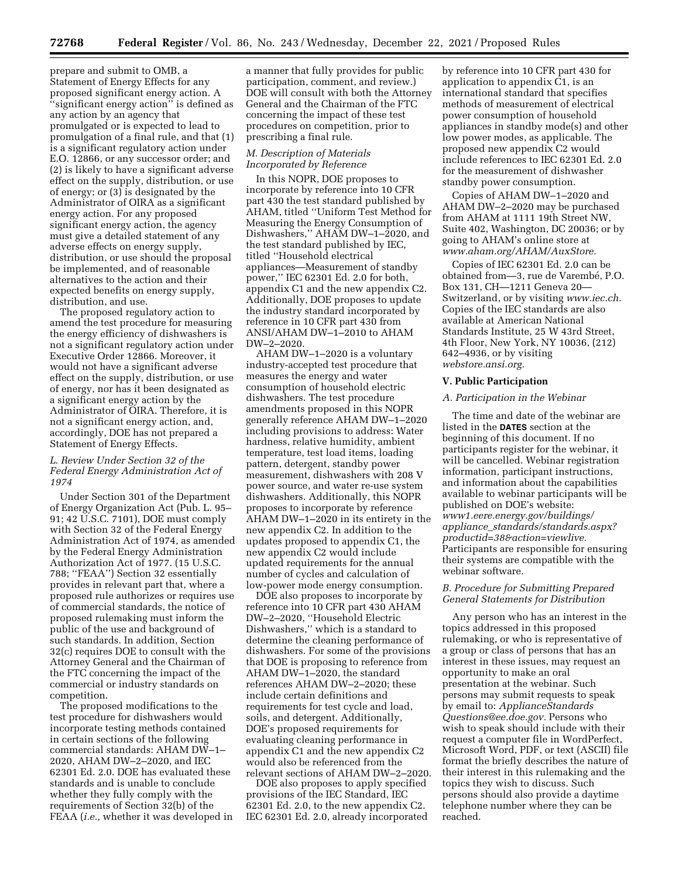prepare and submit to OMB, a Statement of Energy Effects for any proposed significant energy action. A ''significant energy action'' is defined as any action by an agency that promulgated or is expected to lead to promulgation of a final rule, and that (1) is a significant regulatory action under E.O. 12866, or any successor order; and (2) is likely to have a significant adverse effect on the supply, distribution, or use of energy; or (3) is designated by the Administrator of OIRA as a significant energy action. For any proposed significant energy action, the agency must give a detailed statement of any adverse effects on energy supply, distribution, or use should the proposal be implemented, and of reasonable alternatives to the action and their expected benefits on energy supply, distribution, and use.

The proposed regulatory action to amend the test procedure for measuring the energy efficiency of dishwashers is not a significant regulatory action under Executive Order 12866. Moreover, it would not have a significant adverse effect on the supply, distribution, or use of energy, nor has it been designated as a significant energy action by the Administrator of OIRA. Therefore, it is not a significant energy action, and, accordingly, DOE has not prepared a Statement of Energy Effects.

# *L. Review Under Section 32 of the Federal Energy Administration Act of 1974*

Under Section 301 of the Department of Energy Organization Act (Pub. L. 95– 91; 42 U.S.C. 7101), DOE must comply with Section 32 of the Federal Energy Administration Act of 1974, as amended by the Federal Energy Administration Authorization Act of 1977. (15 U.S.C. 788; ''FEAA'') Section 32 essentially provides in relevant part that, where a proposed rule authorizes or requires use of commercial standards, the notice of proposed rulemaking must inform the public of the use and background of such standards. In addition, Section 32(c) requires DOE to consult with the Attorney General and the Chairman of the FTC concerning the impact of the commercial or industry standards on competition.

The proposed modifications to the test procedure for dishwashers would incorporate testing methods contained in certain sections of the following commercial standards: AHAM DW–1– 2020, AHAM DW–2–2020, and IEC 62301 Ed. 2.0. DOE has evaluated these standards and is unable to conclude whether they fully comply with the requirements of Section 32(b) of the FEAA (*i.e.,* whether it was developed in

a manner that fully provides for public participation, comment, and review.) DOE will consult with both the Attorney General and the Chairman of the FTC concerning the impact of these test procedures on competition, prior to prescribing a final rule.

# *M. Description of Materials Incorporated by Reference*

In this NOPR, DOE proposes to incorporate by reference into 10 CFR part 430 the test standard published by AHAM, titled ''Uniform Test Method for Measuring the Energy Consumption of Dishwashers,'' AHAM DW–1–2020, and the test standard published by IEC, titled ''Household electrical appliances—Measurement of standby power,'' IEC 62301 Ed. 2.0 for both, appendix C1 and the new appendix C2. Additionally, DOE proposes to update the industry standard incorporated by reference in 10 CFR part 430 from ANSI/AHAM DW–1–2010 to AHAM DW–2–2020.

AHAM DW–1–2020 is a voluntary industry-accepted test procedure that measures the energy and water consumption of household electric dishwashers. The test procedure amendments proposed in this NOPR generally reference AHAM DW–1–2020 including provisions to address: Water hardness, relative humidity, ambient temperature, test load items, loading pattern, detergent, standby power measurement, dishwashers with 208 V power source, and water re-use system dishwashers. Additionally, this NOPR proposes to incorporate by reference AHAM DW–1–2020 in its entirety in the new appendix C2. In addition to the updates proposed to appendix C1, the new appendix C2 would include updated requirements for the annual number of cycles and calculation of low-power mode energy consumption.

DOE also proposes to incorporate by reference into 10 CFR part 430 AHAM DW–2–2020, ''Household Electric Dishwashers,'' which is a standard to determine the cleaning performance of dishwashers. For some of the provisions that DOE is proposing to reference from AHAM DW–1–2020, the standard references AHAM DW–2–2020; these include certain definitions and requirements for test cycle and load, soils, and detergent. Additionally, DOE's proposed requirements for evaluating cleaning performance in appendix C1 and the new appendix C2 would also be referenced from the relevant sections of AHAM DW–2–2020.

DOE also proposes to apply specified provisions of the IEC Standard, IEC 62301 Ed. 2.0, to the new appendix C2. IEC 62301 Ed. 2.0, already incorporated

by reference into 10 CFR part 430 for application to appendix C1, is an international standard that specifies methods of measurement of electrical power consumption of household appliances in standby mode(s) and other low power modes, as applicable. The proposed new appendix C2 would include references to IEC 62301 Ed. 2.0 for the measurement of dishwasher standby power consumption.

Copies of AHAM DW–1–2020 and AHAM DW–2–2020 may be purchased from AHAM at 1111 19th Street NW, Suite 402, Washington, DC 20036; or by going to AHAM's online store at *[www.aham.org/AHAM/AuxStore.](http://www.aham.org/AHAM/AuxStore)* 

Copies of IEC 62301 Ed. 2.0 can be obtained from-3, rue de Varembé, P.O. Box 131, CH—1211 Geneva 20— Switzerland, or by visiting *[www.iec.ch.](http://www.iec.ch)*  Copies of the IEC standards are also available at American National Standards Institute, 25 W 43rd Street, 4th Floor, New York, NY 10036, (212) 642–4936, or by visiting *webstore.ansi.org.* 

# **V. Public Participation**

#### *A. Participation in the Webinar*

The time and date of the webinar are listed in the **DATES** section at the beginning of this document. If no participants register for the webinar, it will be cancelled. Webinar registration information, participant instructions, and information about the capabilities available to webinar participants will be published on DOE's website: *[www1.eere.energy.gov/buildings/](http://www1.eere.energy.gov/buildings/appliance_standards/standards.aspx?productid=38&action=viewlive)  appliance*\_*[standards/standards.aspx?](http://www1.eere.energy.gov/buildings/appliance_standards/standards.aspx?productid=38&action=viewlive) [productid=38&action=viewlive.](http://www1.eere.energy.gov/buildings/appliance_standards/standards.aspx?productid=38&action=viewlive)*  Participants are responsible for ensuring their systems are compatible with the webinar software.

# *B. Procedure for Submitting Prepared General Statements for Distribution*

Any person who has an interest in the topics addressed in this proposed rulemaking, or who is representative of a group or class of persons that has an interest in these issues, may request an opportunity to make an oral presentation at the webinar. Such persons may submit requests to speak by email to: *[ApplianceStandards](mailto:ApplianceStandardsQuestions@ee.doe.gov) [Questions@ee.doe.gov.](mailto:ApplianceStandardsQuestions@ee.doe.gov)* Persons who wish to speak should include with their request a computer file in WordPerfect, Microsoft Word, PDF, or text (ASCII) file format the briefly describes the nature of their interest in this rulemaking and the topics they wish to discuss. Such persons should also provide a daytime telephone number where they can be reached.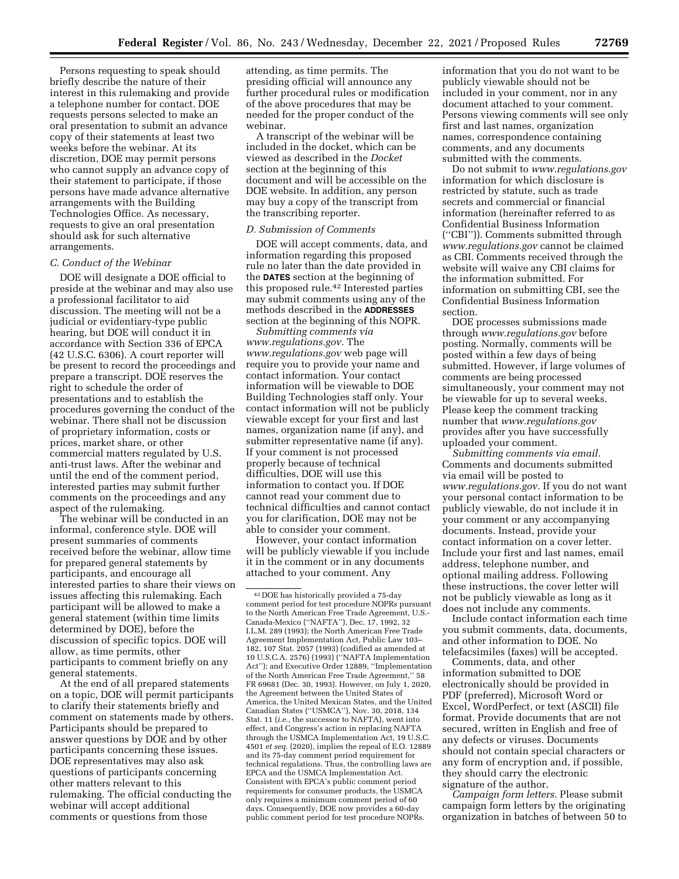Persons requesting to speak should briefly describe the nature of their interest in this rulemaking and provide a telephone number for contact. DOE requests persons selected to make an oral presentation to submit an advance copy of their statements at least two weeks before the webinar. At its discretion, DOE may permit persons who cannot supply an advance copy of their statement to participate, if those persons have made advance alternative arrangements with the Building Technologies Office. As necessary, requests to give an oral presentation should ask for such alternative arrangements.

### *C. Conduct of the Webinar*

DOE will designate a DOE official to preside at the webinar and may also use a professional facilitator to aid discussion. The meeting will not be a judicial or evidentiary-type public hearing, but DOE will conduct it in accordance with Section 336 of EPCA (42 U.S.C. 6306). A court reporter will be present to record the proceedings and prepare a transcript. DOE reserves the right to schedule the order of presentations and to establish the procedures governing the conduct of the webinar. There shall not be discussion of proprietary information, costs or prices, market share, or other commercial matters regulated by U.S. anti-trust laws. After the webinar and until the end of the comment period, interested parties may submit further comments on the proceedings and any aspect of the rulemaking.

The webinar will be conducted in an informal, conference style. DOE will present summaries of comments received before the webinar, allow time for prepared general statements by participants, and encourage all interested parties to share their views on issues affecting this rulemaking. Each participant will be allowed to make a general statement (within time limits determined by DOE), before the discussion of specific topics. DOE will allow, as time permits, other participants to comment briefly on any general statements.

At the end of all prepared statements on a topic, DOE will permit participants to clarify their statements briefly and comment on statements made by others. Participants should be prepared to answer questions by DOE and by other participants concerning these issues. DOE representatives may also ask questions of participants concerning other matters relevant to this rulemaking. The official conducting the webinar will accept additional comments or questions from those

attending, as time permits. The presiding official will announce any further procedural rules or modification of the above procedures that may be needed for the proper conduct of the webinar.

A transcript of the webinar will be included in the docket, which can be viewed as described in the *Docket*  section at the beginning of this document and will be accessible on the DOE website. In addition, any person may buy a copy of the transcript from the transcribing reporter.

### *D. Submission of Comments*

DOE will accept comments, data, and information regarding this proposed rule no later than the date provided in the **DATES** section at the beginning of this proposed rule.42 Interested parties may submit comments using any of the methods described in the **ADDRESSES** section at the beginning of this NOPR.

*Submitting comments via [www.regulations.gov.](http://www.regulations.gov)* The *[www.regulations.gov](http://www.regulations.gov)* web page will require you to provide your name and contact information. Your contact information will be viewable to DOE Building Technologies staff only. Your contact information will not be publicly viewable except for your first and last names, organization name (if any), and submitter representative name (if any). If your comment is not processed properly because of technical difficulties, DOE will use this information to contact you. If DOE cannot read your comment due to technical difficulties and cannot contact you for clarification, DOE may not be able to consider your comment.

However, your contact information will be publicly viewable if you include it in the comment or in any documents attached to your comment. Any

information that you do not want to be publicly viewable should not be included in your comment, nor in any document attached to your comment. Persons viewing comments will see only first and last names, organization names, correspondence containing comments, and any documents submitted with the comments.

Do not submit to *[www.regulations.gov](http://www.regulations.gov)*  information for which disclosure is restricted by statute, such as trade secrets and commercial or financial information (hereinafter referred to as Confidential Business Information (''CBI'')). Comments submitted through *[www.regulations.gov](http://www.regulations.gov)* cannot be claimed as CBI. Comments received through the website will waive any CBI claims for the information submitted. For information on submitting CBI, see the Confidential Business Information section.

DOE processes submissions made through *[www.regulations.gov](http://www.regulations.gov)* before posting. Normally, comments will be posted within a few days of being submitted. However, if large volumes of comments are being processed simultaneously, your comment may not be viewable for up to several weeks. Please keep the comment tracking number that *[www.regulations.gov](http://www.regulations.gov)*  provides after you have successfully uploaded your comment.

*Submitting comments via email.*  Comments and documents submitted via email will be posted to *[www.regulations.gov.](http://www.regulations.gov)* If you do not want your personal contact information to be publicly viewable, do not include it in your comment or any accompanying documents. Instead, provide your contact information on a cover letter. Include your first and last names, email address, telephone number, and optional mailing address. Following these instructions, the cover letter will not be publicly viewable as long as it does not include any comments.

Include contact information each time you submit comments, data, documents, and other information to DOE. No telefacsimiles (faxes) will be accepted.

Comments, data, and other information submitted to DOE electronically should be provided in PDF (preferred), Microsoft Word or Excel, WordPerfect, or text (ASCII) file format. Provide documents that are not secured, written in English and free of any defects or viruses. Documents should not contain special characters or any form of encryption and, if possible, they should carry the electronic signature of the author.

*Campaign form letters.* Please submit campaign form letters by the originating organization in batches of between 50 to

<sup>42</sup> DOE has historically provided a 75-day comment period for test procedure NOPRs pursuant to the North American Free Trade Agreement, U.S.- Canada-Mexico (''NAFTA''), Dec. 17, 1992, 32 I.L.M. 289 (1993); the North American Free Trade Agreement Implementation Act, Public Law 103– 182, 107 Stat. 2057 (1993) (codified as amended at 10 U.S.C.A. 2576) (1993) (''NAFTA Implementation Act''); and Executive Order 12889, ''Implementation of the North American Free Trade Agreement,'' 58 FR 69681 (Dec. 30, 1993). However, on July 1, 2020, the Agreement between the United States of America, the United Mexican States, and the United Canadian States (''USMCA''), Nov. 30, 2018, 134 Stat. 11 (*i.e.,* the successor to NAFTA), went into effect, and Congress's action in replacing NAFTA through the USMCA Implementation Act, 19 U.S.C. 4501 *et seq.* (2020), implies the repeal of E.O. 12889 and its 75-day comment period requirement for technical regulations. Thus, the controlling laws are EPCA and the USMCA Implementation Act. Consistent with EPCA's public comment period requirements for consumer products, the USMCA only requires a minimum comment period of 60 days. Consequently, DOE now provides a 60-day public comment period for test procedure NOPRs.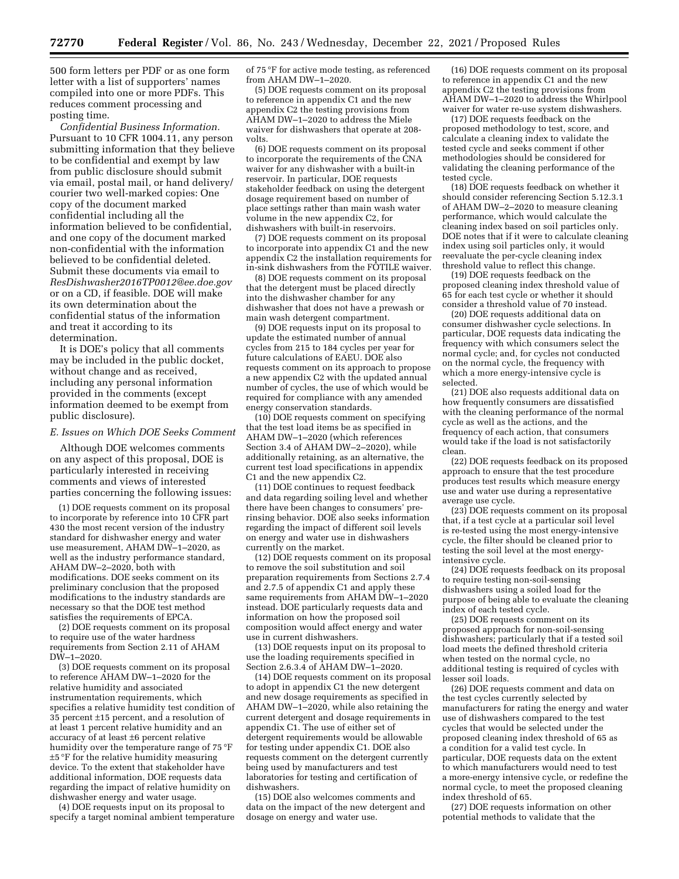500 form letters per PDF or as one form letter with a list of supporters' names compiled into one or more PDFs. This reduces comment processing and posting time.

*Confidential Business Information.*  Pursuant to 10 CFR 1004.11, any person submitting information that they believe to be confidential and exempt by law from public disclosure should submit via email, postal mail, or hand delivery/ courier two well-marked copies: One copy of the document marked confidential including all the information believed to be confidential, and one copy of the document marked non-confidential with the information believed to be confidential deleted. Submit these documents via email to *[ResDishwasher2016TP0012@ee.doe.gov](mailto:ResDishwasher2016TP0012@ee.doe.gov)*  or on a CD, if feasible. DOE will make its own determination about the confidential status of the information and treat it according to its determination.

It is DOE's policy that all comments may be included in the public docket, without change and as received, including any personal information provided in the comments (except information deemed to be exempt from public disclosure).

### *E. Issues on Which DOE Seeks Comment*

Although DOE welcomes comments on any aspect of this proposal, DOE is particularly interested in receiving comments and views of interested parties concerning the following issues:

(1) DOE requests comment on its proposal to incorporate by reference into 10 CFR part 430 the most recent version of the industry standard for dishwasher energy and water use measurement, AHAM DW–1–2020, as well as the industry performance standard, AHAM DW–2–2020, both with modifications. DOE seeks comment on its preliminary conclusion that the proposed modifications to the industry standards are necessary so that the DOE test method satisfies the requirements of EPCA.

(2) DOE requests comment on its proposal to require use of the water hardness requirements from Section 2.11 of AHAM DW–1–2020.

(3) DOE requests comment on its proposal to reference AHAM DW–1–2020 for the relative humidity and associated instrumentation requirements, which specifies a relative humidity test condition of 35 percent ±15 percent, and a resolution of at least 1 percent relative humidity and an accuracy of at least ±6 percent relative humidity over the temperature range of 75 °F ±5 °F for the relative humidity measuring device. To the extent that stakeholder have additional information, DOE requests data regarding the impact of relative humidity on dishwasher energy and water usage.

(4) DOE requests input on its proposal to specify a target nominal ambient temperature of 75 °F for active mode testing, as referenced from AHAM DW–1–2020.

(5) DOE requests comment on its proposal to reference in appendix C1 and the new appendix C2 the testing provisions from AHAM DW–1–2020 to address the Miele waiver for dishwashers that operate at 208 volts.

(6) DOE requests comment on its proposal to incorporate the requirements of the CNA waiver for any dishwasher with a built-in reservoir. In particular, DOE requests stakeholder feedback on using the detergent dosage requirement based on number of place settings rather than main wash water volume in the new appendix C2, for dishwashers with built-in reservoirs.

(7) DOE requests comment on its proposal to incorporate into appendix C1 and the new appendix C2 the installation requirements for in-sink dishwashers from the FOTILE waiver.

(8) DOE requests comment on its proposal that the detergent must be placed directly into the dishwasher chamber for any dishwasher that does not have a prewash or main wash detergent compartment.

(9) DOE requests input on its proposal to update the estimated number of annual cycles from 215 to 184 cycles per year for future calculations of EAEU. DOE also requests comment on its approach to propose a new appendix C2 with the updated annual number of cycles, the use of which would be required for compliance with any amended energy conservation standards.

(10) DOE requests comment on specifying that the test load items be as specified in AHAM DW–1–2020 (which references Section 3.4 of AHAM DW–2–2020), while additionally retaining, as an alternative, the current test load specifications in appendix C1 and the new appendix C2.

(11) DOE continues to request feedback and data regarding soiling level and whether there have been changes to consumers' prerinsing behavior. DOE also seeks information regarding the impact of different soil levels on energy and water use in dishwashers currently on the market.

(12) DOE requests comment on its proposal to remove the soil substitution and soil preparation requirements from Sections 2.7.4 and 2.7.5 of appendix C1 and apply these same requirements from AHAM DW-1-2020 instead. DOE particularly requests data and information on how the proposed soil composition would affect energy and water use in current dishwashers.

(13) DOE requests input on its proposal to use the loading requirements specified in Section 2.6.3.4 of AHAM DW–1–2020.

(14) DOE requests comment on its proposal to adopt in appendix C1 the new detergent and new dosage requirements as specified in AHAM DW–1–2020, while also retaining the current detergent and dosage requirements in appendix C1. The use of either set of detergent requirements would be allowable for testing under appendix C1. DOE also requests comment on the detergent currently being used by manufacturers and test laboratories for testing and certification of dishwashers.

(15) DOE also welcomes comments and data on the impact of the new detergent and dosage on energy and water use.

(16) DOE requests comment on its proposal to reference in appendix C1 and the new appendix C2 the testing provisions from AHAM DW–1–2020 to address the Whirlpool waiver for water re-use system dishwashers.

(17) DOE requests feedback on the proposed methodology to test, score, and calculate a cleaning index to validate the tested cycle and seeks comment if other methodologies should be considered for validating the cleaning performance of the tested cycle.

(18) DOE requests feedback on whether it should consider referencing Section 5.12.3.1 of AHAM DW–2–2020 to measure cleaning performance, which would calculate the cleaning index based on soil particles only. DOE notes that if it were to calculate cleaning index using soil particles only, it would reevaluate the per-cycle cleaning index threshold value to reflect this change.

(19) DOE requests feedback on the proposed cleaning index threshold value of 65 for each test cycle or whether it should consider a threshold value of 70 instead.

(20) DOE requests additional data on consumer dishwasher cycle selections. In particular, DOE requests data indicating the frequency with which consumers select the normal cycle; and, for cycles not conducted on the normal cycle, the frequency with which a more energy-intensive cycle is selected.

(21) DOE also requests additional data on how frequently consumers are dissatisfied with the cleaning performance of the normal cycle as well as the actions, and the frequency of each action, that consumers would take if the load is not satisfactorily clean.

(22) DOE requests feedback on its proposed approach to ensure that the test procedure produces test results which measure energy use and water use during a representative average use cycle.

(23) DOE requests comment on its proposal that, if a test cycle at a particular soil level is re-tested using the most energy-intensive cycle, the filter should be cleaned prior to testing the soil level at the most energyintensive cycle.

(24) DOE requests feedback on its proposal to require testing non-soil-sensing dishwashers using a soiled load for the purpose of being able to evaluate the cleaning index of each tested cycle.

(25) DOE requests comment on its proposed approach for non-soil-sensing dishwashers; particularly that if a tested soil load meets the defined threshold criteria when tested on the normal cycle, no additional testing is required of cycles with lesser soil loads.

(26) DOE requests comment and data on the test cycles currently selected by manufacturers for rating the energy and water use of dishwashers compared to the test cycles that would be selected under the proposed cleaning index threshold of 65 as a condition for a valid test cycle. In particular, DOE requests data on the extent to which manufacturers would need to test a more-energy intensive cycle, or redefine the normal cycle, to meet the proposed cleaning index threshold of 65.

(27) DOE requests information on other potential methods to validate that the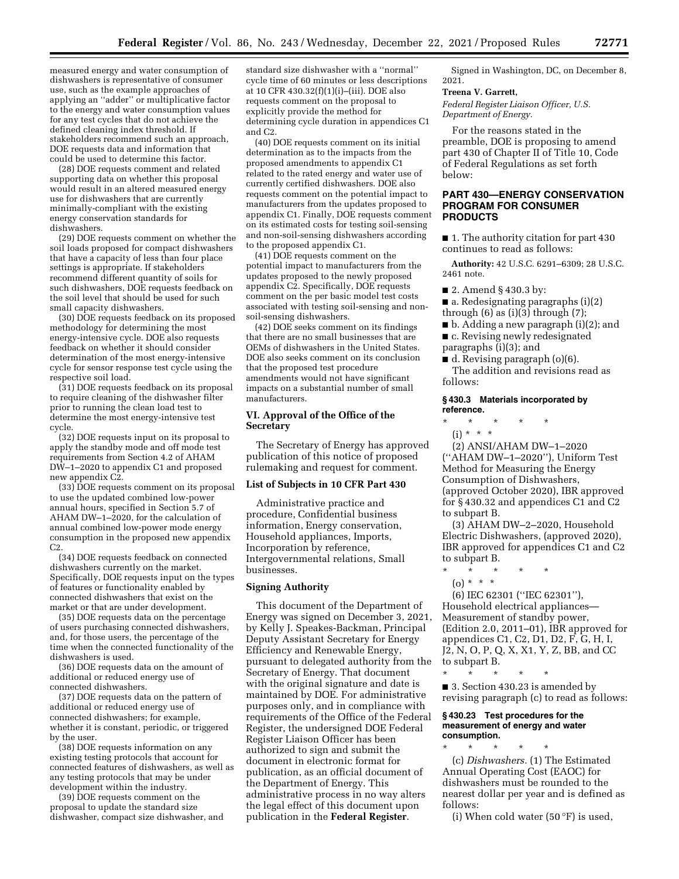measured energy and water consumption of dishwashers is representative of consumer use, such as the example approaches of applying an ''adder'' or multiplicative factor to the energy and water consumption values for any test cycles that do not achieve the defined cleaning index threshold. If stakeholders recommend such an approach, DOE requests data and information that could be used to determine this factor.

(28) DOE requests comment and related supporting data on whether this proposal would result in an altered measured energy use for dishwashers that are currently minimally-compliant with the existing energy conservation standards for dishwashers.

(29) DOE requests comment on whether the soil loads proposed for compact dishwashers that have a capacity of less than four place settings is appropriate. If stakeholders recommend different quantity of soils for such dishwashers, DOE requests feedback on the soil level that should be used for such small capacity dishwashers.

(30) DOE requests feedback on its proposed methodology for determining the most energy-intensive cycle. DOE also requests feedback on whether it should consider determination of the most energy-intensive cycle for sensor response test cycle using the respective soil load.

(31) DOE requests feedback on its proposal to require cleaning of the dishwasher filter prior to running the clean load test to determine the most energy-intensive test cycle.

(32) DOE requests input on its proposal to apply the standby mode and off mode test requirements from Section 4.2 of AHAM DW–1–2020 to appendix C1 and proposed new appendix C2.

(33) DOE requests comment on its proposal to use the updated combined low-power annual hours, specified in Section 5.7 of AHAM DW–1–2020, for the calculation of annual combined low-power mode energy consumption in the proposed new appendix C2.

(34) DOE requests feedback on connected dishwashers currently on the market. Specifically, DOE requests input on the types of features or functionality enabled by connected dishwashers that exist on the market or that are under development.

(35) DOE requests data on the percentage of users purchasing connected dishwashers, and, for those users, the percentage of the time when the connected functionality of the dishwashers is used.

(36) DOE requests data on the amount of additional or reduced energy use of connected dishwashers.

(37) DOE requests data on the pattern of additional or reduced energy use of connected dishwashers; for example, whether it is constant, periodic, or triggered by the user.

(38) DOE requests information on any existing testing protocols that account for connected features of dishwashers, as well as any testing protocols that may be under development within the industry.

(39) DOE requests comment on the proposal to update the standard size dishwasher, compact size dishwasher, and standard size dishwasher with a ''normal'' cycle time of 60 minutes or less descriptions at 10 CFR 430.32(f)(1)(i)–(iii). DOE also requests comment on the proposal to explicitly provide the method for determining cycle duration in appendices C1 and C2.

(40) DOE requests comment on its initial determination as to the impacts from the proposed amendments to appendix C1 related to the rated energy and water use of currently certified dishwashers. DOE also requests comment on the potential impact to manufacturers from the updates proposed to appendix C1. Finally, DOE requests comment on its estimated costs for testing soil-sensing and non-soil-sensing dishwashers according to the proposed appendix C1.

(41) DOE requests comment on the potential impact to manufacturers from the updates proposed to the newly proposed appendix C2. Specifically, DOE requests comment on the per basic model test costs associated with testing soil-sensing and nonsoil-sensing dishwashers.

(42) DOE seeks comment on its findings that there are no small businesses that are OEMs of dishwashers in the United States. DOE also seeks comment on its conclusion that the proposed test procedure amendments would not have significant impacts on a substantial number of small manufacturers.

## **VI. Approval of the Office of the Secretary**

The Secretary of Energy has approved publication of this notice of proposed rulemaking and request for comment.

# **List of Subjects in 10 CFR Part 430**

Administrative practice and procedure, Confidential business information, Energy conservation, Household appliances, Imports, Incorporation by reference, Intergovernmental relations, Small businesses.

#### **Signing Authority**

This document of the Department of Energy was signed on December 3, 2021, by Kelly J. Speakes-Backman, Principal Deputy Assistant Secretary for Energy Efficiency and Renewable Energy, pursuant to delegated authority from the Secretary of Energy. That document with the original signature and date is maintained by DOE. For administrative purposes only, and in compliance with requirements of the Office of the Federal Register, the undersigned DOE Federal Register Liaison Officer has been authorized to sign and submit the document in electronic format for publication, as an official document of the Department of Energy. This administrative process in no way alters the legal effect of this document upon publication in the **Federal Register**.

Signed in Washington, DC, on December 8, 2021.

#### **Treena V. Garrett,**

*Federal Register Liaison Officer, U.S. Department of Energy.* 

For the reasons stated in the preamble, DOE is proposing to amend part 430 of Chapter II of Title 10, Code of Federal Regulations as set forth below:

# **PART 430—ENERGY CONSERVATION PROGRAM FOR CONSUMER PRODUCTS**

■ 1. The authority citation for part 430 continues to read as follows:

**Authority:** 42 U.S.C. 6291–6309; 28 U.S.C. 2461 note.

■ 2. Amend § 430.3 by:

- $\blacksquare$  a. Redesignating paragraphs (i)(2) through  $(6)$  as  $(i)(3)$  through  $(7)$ ;
- b. Adding a new paragraph (i)(2); and ■ c. Revising newly redesignated
- paragraphs (i)(3); and
- d. Revising paragraph (o)(6).

The addition and revisions read as follows:

### **§ 430.3 Materials incorporated by reference.**

\* \* \* \* \* (i) \* \* \*

(2) ANSI/AHAM DW–1–2020 (''AHAM DW–1–2020''), Uniform Test Method for Measuring the Energy Consumption of Dishwashers, (approved October 2020), IBR approved for § 430.32 and appendices C1 and C2 to subpart B.

(3) AHAM DW–2–2020, Household Electric Dishwashers, (approved 2020), IBR approved for appendices C1 and C2 to subpart B.

\* \* \* \* \*  $(0) * * * *$ 

(6) IEC 62301 (''IEC 62301''), Household electrical appliances— Measurement of standby power, (Edition 2.0, 2011–01), IBR approved for appendices C1, C2, D1, D2, F, G, H, I, J2, N, O, P, Q, X, X1, Y, Z, BB, and CC to subpart B.

\* \* \* \* \* ■ 3. Section 430.23 is amended by revising paragraph (c) to read as follows:

#### **§ 430.23 Test procedures for the measurement of energy and water consumption.**

\* \* \* \* \* (c) *Dishwashers.* (1) The Estimated Annual Operating Cost (EAOC) for dishwashers must be rounded to the nearest dollar per year and is defined as follows:

(i) When cold water  $(50 °F)$  is used,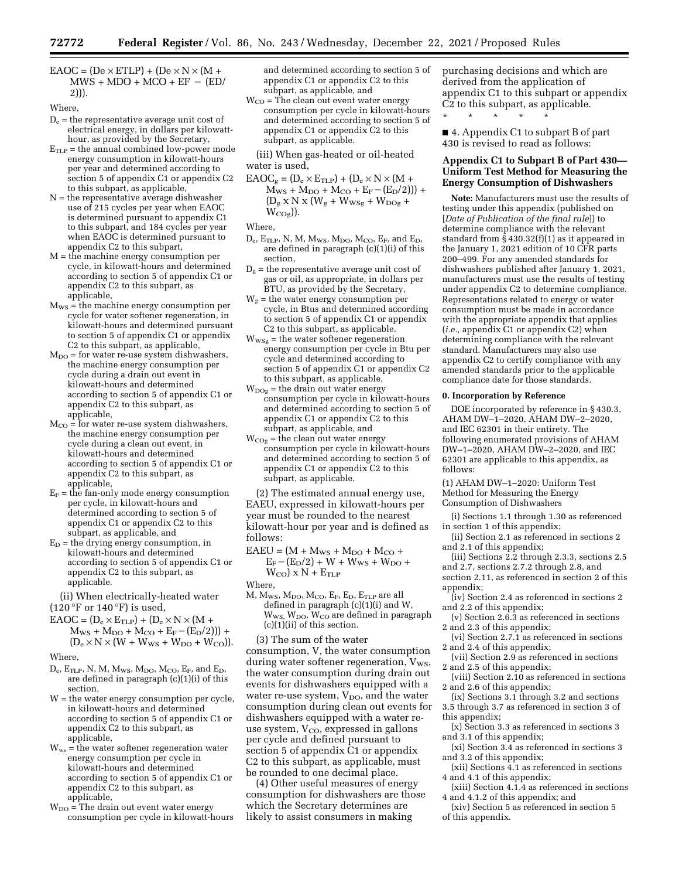$E A O C = (De \times E T L P) + (De \times N \times (M +$  $MWS + MDO + MCO + EF - (ED/$ 2))).

Where,

- $D_e$  = the representative average unit cost of electrical energy, in dollars per kilowatthour, as provided by the Secretary,
- $E_{TLP}$  = the annual combined low-power mode energy consumption in kilowatt-hours per year and determined according to section 5 of appendix C1 or appendix C2 to this subpart, as applicable,
- N = the representative average dishwasher use of 215 cycles per year when EAOC is determined pursuant to appendix C1 to this subpart, and 184 cycles per year when EAOC is determined pursuant to appendix C2 to this subpart,
- M = the machine energy consumption per cycle, in kilowatt-hours and determined according to section 5 of appendix C1 or appendix C2 to this subpart, as applicable,
- MWS = the machine energy consumption per cycle for water softener regeneration, in kilowatt-hours and determined pursuant to section 5 of appendix C1 or appendix C2 to this subpart, as applicable,
- $M_{\text{DO}}$  = for water re-use system dishwashers, the machine energy consumption per cycle during a drain out event in kilowatt-hours and determined according to section 5 of appendix C1 or appendix C2 to this subpart, as applicable,
- $M_{CO}$  = for water re-use system dishwashers, the machine energy consumption per cycle during a clean out event, in kilowatt-hours and determined according to section 5 of appendix C1 or appendix C2 to this subpart, as applicable,
- $E_F = \hat{the}$  fan-only mode energy consumption per cycle, in kilowatt-hours and determined according to section 5 of appendix C1 or appendix C2 to this subpart, as applicable, and
- $E_D$  = the drying energy consumption, in kilowatt-hours and determined according to section 5 of appendix C1 or appendix C2 to this subpart, as applicable.

(ii) When electrically-heated water  $(120 \degree F \text{ or } 140 \degree F)$  is used,

- $E A O C = (D_e \times E_{TLP}) + (D_e \times N \times (M +$  $M_{WS} + M_{DO} + M_{CO} + E_F - (E_D/2))$  +  $(D_e \times N \times (W + W_{WS} + W_{DO} + W_{CO})).$
- Where,
- D<sub>e</sub>, E<sub>TLP</sub>, N, M, M<sub>ws</sub>, M<sub>DO</sub>, M<sub>CO</sub>, E<sub>F</sub>, and E<sub>D</sub>, are defined in paragraph (c)(1)(i) of this section,
- W = the water energy consumption per cycle, in kilowatt-hours and determined according to section 5 of appendix C1 or appendix C2 to this subpart, as applicable,
- $W_{ws}$  = the water softener regeneration water energy consumption per cycle in kilowatt-hours and determined according to section 5 of appendix C1 or appendix C2 to this subpart, as applicable,
- $W_{\text{DO}}$  = The drain out event water energy consumption per cycle in kilowatt-hours

and determined according to section 5 of appendix C1 or appendix C2 to this subpart, as applicable, and

 $W_{CO}$  = The clean out event water energy consumption per cycle in kilowatt-hours and determined according to section 5 of appendix C1 or appendix C2 to this subpart, as applicable.

(iii) When gas-heated or oil-heated water is used,

 $E A O C_g = (D_e \times E_{TLP}) + (D_e \times N \times (M +$  $M_{WS} + M_{DO} + M_{CO} + E_F - (E_D/2))$  +  $(D_g \times N \times (W_g + W_{WSS} + W_{DOg} +$  $W_{COg}$ ).

- $D_e$ ,  $E_{TLP}$ , N, M,  $M_{WS}$ ,  $M_{DO}$ ,  $M_{CO}$ ,  $E_F$ , and  $E_D$ , are defined in paragraph (c)(1)(i) of this section,
- $D_g$  = the representative average unit cost of gas or oil, as appropriate, in dollars per BTU, as provided by the Secretary,
- $W_g$  = the water energy consumption per cycle, in Btus and determined according to section 5 of appendix C1 or appendix C2 to this subpart, as applicable.
- $W_{\text{WSg}}$  = the water softener regeneration energy consumption per cycle in Btu per cycle and determined according to section 5 of appendix C1 or appendix C2 to this subpart, as applicable,
- $W_{\text{DQg}}$  = the drain out water energy consumption per cycle in kilowatt-hours and determined according to section 5 of appendix C1 or appendix C2 to this subpart, as applicable, and
- $W_{COg}$  = the clean out water energy consumption per cycle in kilowatt-hours and determined according to section 5 of appendix C1 or appendix C2 to this subpart, as applicable.

(2) The estimated annual energy use, EAEU, expressed in kilowatt-hours per year must be rounded to the nearest kilowatt-hour per year and is defined as follows:

 $EAEU = (M + M_{WS} + M_{DO} + M_{CO} +$  $E_F - (E_D/2) + W + W_{WS} + W_{DO} +$  $W_{CO}$ ) x N +  $E_{TLP}$ 

Where,

M,  $M_{WS}$ ,  $M_{DO}$ ,  $M_{CO}$ ,  $E_F$ ,  $E_D$ ,  $E_{TLP}$  are all defined in paragraph (c)(1)(i) and W,  $W_{\text{WS}}$ ,  $W_{\text{DO}}$ ,  $W_{\text{CO}}$  are defined in paragraph (c)(1)(ii) of this section.

(3) The sum of the water consumption, V, the water consumption during water softener regeneration,  $V_{WS}$ , the water consumption during drain out events for dishwashers equipped with a water re-use system,  $V_{DO}$ , and the water consumption during clean out events for dishwashers equipped with a water reuse system,  $V_{CO}$ , expressed in gallons per cycle and defined pursuant to section 5 of appendix C1 or appendix C2 to this subpart, as applicable, must be rounded to one decimal place.

(4) Other useful measures of energy consumption for dishwashers are those which the Secretary determines are likely to assist consumers in making

purchasing decisions and which are derived from the application of appendix C1 to this subpart or appendix C2 to this subpart, as applicable. \* \* \* \* \*

■ 4. Appendix C1 to subpart B of part 430 is revised to read as follows:

# **Appendix C1 to Subpart B of Part 430— Uniform Test Method for Measuring the Energy Consumption of Dishwashers**

**Note:** Manufacturers must use the results of testing under this appendix (published on [*Date of Publication of the final rule*]) to determine compliance with the relevant standard from § 430.32(f)(1) as it appeared in the January 1, 2021 edition of 10 CFR parts 200–499. For any amended standards for dishwashers published after January 1, 2021, manufacturers must use the results of testing under appendix C2 to determine compliance. Representations related to energy or water consumption must be made in accordance with the appropriate appendix that applies (*i.e.,* appendix C1 or appendix C2) when determining compliance with the relevant standard. Manufacturers may also use appendix C2 to certify compliance with any amended standards prior to the applicable compliance date for those standards.

# **0. Incorporation by Reference**

DOE incorporated by reference in § 430.3, AHAM DW–1–2020, AHAM DW–2–2020, and IEC 62301 in their entirety. The following enumerated provisions of AHAM DW–1–2020, AHAM DW–2–2020, and IEC 62301 are applicable to this appendix, as follows:

(1) AHAM DW–1–2020: Uniform Test Method for Measuring the Energy Consumption of Dishwashers

- (i) Sections 1.1 through 1.30 as referenced in section 1 of this appendix;
- (ii) Section 2.1 as referenced in sections 2 and 2.1 of this appendix;

(iii) Sections 2.2 through 2.3.3, sections 2.5 and 2.7, sections 2.7.2 through 2.8, and section 2.11, as referenced in section 2 of this appendix;

- (iv) Section 2.4 as referenced in sections 2 and 2.2 of this appendix;
- (v) Section 2.6.3 as referenced in sections 2 and 2.3 of this appendix;
- (vi) Section 2.7.1 as referenced in sections 2 and 2.4 of this appendix;
- (vii) Section 2.9 as referenced in sections 2 and 2.5 of this appendix;
- (viii) Section 2.10 as referenced in sections 2 and 2.6 of this appendix;
- (ix) Sections 3.1 through 3.2 and sections 3.5 through 3.7 as referenced in section 3 of this appendix;
- (x) Section 3.3 as referenced in sections 3 and 3.1 of this appendix;
- (xi) Section 3.4 as referenced in sections 3 and 3.2 of this appendix;
- (xii) Sections 4.1 as referenced in sections 4 and 4.1 of this appendix;
- (xiii) Section 4.1.4 as referenced in sections 4 and 4.1.2 of this appendix; and
- (xiv) Section 5 as referenced in section 5 of this appendix.

Where,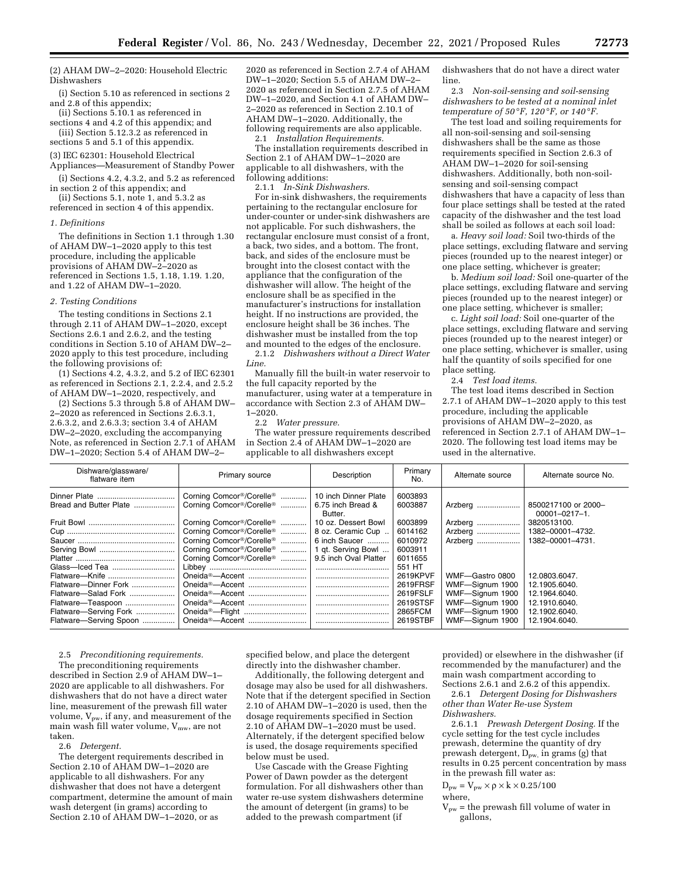(2) AHAM DW–2–2020: Household Electric Dishwashers

(i) Section 5.10 as referenced in sections 2 and 2.8 of this appendix;

(ii) Sections 5.10.1 as referenced in

sections 4 and 4.2 of this appendix; and (iii) Section 5.12.3.2 as referenced in sections 5 and 5.1 of this appendix.

(3) IEC 62301: Household Electrical

Appliances—Measurement of Standby Power (i) Sections 4.2, 4.3.2, and 5.2 as referenced

in section 2 of this appendix; and (ii) Sections 5.1, note 1, and 5.3.2 as

referenced in section 4 of this appendix.

#### *1. Definitions*

The definitions in Section 1.1 through 1.30 of AHAM DW–1–2020 apply to this test procedure, including the applicable provisions of AHAM DW–2–2020 as referenced in Sections 1.5, 1.18, 1.19. 1.20, and 1.22 of AHAM DW–1–2020.

#### *2. Testing Conditions*

The testing conditions in Sections 2.1 through 2.11 of AHAM DW–1–2020, except Sections 2.6.1 and 2.6.2, and the testing conditions in Section 5.10 of AHAM DW–2– 2020 apply to this test procedure, including the following provisions of:

(1) Sections 4.2, 4.3.2, and 5.2 of IEC 62301 as referenced in Sections 2.1, 2.2.4, and 2.5.2 of AHAM DW–1–2020, respectively, and

(2) Sections 5.3 through 5.8 of AHAM DW– 2–2020 as referenced in Sections 2.6.3.1, 2.6.3.2, and 2.6.3.3; section 3.4 of AHAM DW–2–2020, excluding the accompanying Note, as referenced in Section 2.7.1 of AHAM DW–1–2020; Section 5.4 of AHAM DW–2–

2020 as referenced in Section 2.7.4 of AHAM DW–1–2020; Section 5.5 of AHAM DW–2– 2020 as referenced in Section 2.7.5 of AHAM DW–1–2020, and Section 4.1 of AHAM DW– 2–2020 as referenced in Section 2.10.1 of AHAM DW–1–2020. Additionally, the following requirements are also applicable.

2.1 *Installation Requirements.* 

The installation requirements described in Section 2.1 of AHAM DW–1–2020 are applicable to all dishwashers, with the following additions:

2.1.1 *In-Sink Dishwashers.* 

For in-sink dishwashers, the requirements pertaining to the rectangular enclosure for under-counter or under-sink dishwashers are not applicable. For such dishwashers, the rectangular enclosure must consist of a front, a back, two sides, and a bottom. The front, back, and sides of the enclosure must be brought into the closest contact with the appliance that the configuration of the dishwasher will allow. The height of the enclosure shall be as specified in the manufacturer's instructions for installation height. If no instructions are provided, the enclosure height shall be 36 inches. The dishwasher must be installed from the top and mounted to the edges of the enclosure.

2.1.2 *Dishwashers without a Direct Water Line.* 

Manually fill the built-in water reservoir to the full capacity reported by the manufacturer, using water at a temperature in accordance with Section 2.3 of AHAM DW– 1–2020.

2.2 *Water pressure.* 

The water pressure requirements described in Section 2.4 of AHAM DW–1–2020 are applicable to all dishwashers except

dishwashers that do not have a direct water line.

2.3 *Non-soil-sensing and soil-sensing dishwashers to be tested at a nominal inlet temperature of 50* °*F, 120* °*F, or 140* °*F.* 

The test load and soiling requirements for all non-soil-sensing and soil-sensing dishwashers shall be the same as those requirements specified in Section 2.6.3 of AHAM DW–1–2020 for soil-sensing dishwashers. Additionally, both non-soilsensing and soil-sensing compact dishwashers that have a capacity of less than four place settings shall be tested at the rated capacity of the dishwasher and the test load shall be soiled as follows at each soil load:

a. *Heavy soil load:* Soil two-thirds of the place settings, excluding flatware and serving pieces (rounded up to the nearest integer) or one place setting, whichever is greater;

b. *Medium soil load:* Soil one-quarter of the place settings, excluding flatware and serving pieces (rounded up to the nearest integer) or one place setting, whichever is smaller;

c. *Light soil load:* Soil one-quarter of the place settings, excluding flatware and serving pieces (rounded up to the nearest integer) or one place setting, whichever is smaller, using half the quantity of soils specified for one place setting.

2.4 *Test load items.* 

The test load items described in Section 2.7.1 of AHAM DW–1–2020 apply to this test procedure, including the applicable provisions of AHAM DW–2–2020, as referenced in Section 2.7.1 of AHAM DW–1– 2020. The following test load items may be used in the alternative.

| Dishware/glassware/<br>flatware item                                                                                | Primary source                                                                                                                                                                                                                                                        | Description                                                                                              | Primary<br>No.                                                      | Alternate source                                                                                               | Alternate source No.                                                                               |
|---------------------------------------------------------------------------------------------------------------------|-----------------------------------------------------------------------------------------------------------------------------------------------------------------------------------------------------------------------------------------------------------------------|----------------------------------------------------------------------------------------------------------|---------------------------------------------------------------------|----------------------------------------------------------------------------------------------------------------|----------------------------------------------------------------------------------------------------|
| Bread and Butter Plate                                                                                              | Corning Comcor <sup>®</sup> /Corelle <sup>®</sup><br>Corning Comcor <sup>®</sup> /Corelle <sup>®</sup>                                                                                                                                                                | 10 inch Dinner Plate<br>6.75 inch Bread &<br>Butter.                                                     | 6003893<br>6003887                                                  | Arzberg                                                                                                        | 8500217100 or 2000-<br>$00001 - 0217 - 1$ .                                                        |
|                                                                                                                     | Corning Comcor <sup>®</sup> /Corelle <sup>®</sup><br>Corning Comcor <sup>®</sup> /Corelle <sup>®</sup><br>Corning Comcor <sup>®</sup> /Corelle <sup>®</sup><br>Corning Comcor <sup>®</sup> /Corelle <sup>®</sup><br>Corning Comcor <sup>®</sup> /Corelle <sup>®</sup> | 10 oz. Dessert Bowl<br>8 oz. Ceramic Cup<br>6 inch Saucer<br>1 gt. Serving Bowl<br>9.5 inch Oval Platter | 6003899<br>6014162<br>6010972<br>6003911<br>6011655<br>551 HT       | Arzberg<br>Arzberg<br>Arzberg                                                                                  | 3820513100.<br>1382-00001-4732.<br>1382-00001-4731.                                                |
| Flatware-Dinner Fork<br>Flatware-Salad Fork<br>Flatware-Teaspoon<br>Flatware-Serving Fork<br>Flatware-Serving Spoon | Oneida <sup>®</sup> —Accent<br>Oneida <sup>®</sup> —Accent<br>Oneida <sup>®</sup> —Accent<br>Oneida <sup>®</sup> —Accent<br>Oneida <sup>®</sup> —Flight<br>Oneida <sup>®</sup> —Accent                                                                                | <br><br><br>                                                                                             | 2619KPVF<br>2619FRSF<br>2619FSLF<br>2619STSF<br>2865FCM<br>2619STBF | WMF-Gastro 0800<br>WMF-Signum 1900<br>WMF-Signum 1900<br>WMF-Signum 1900<br>WMF-Signum 1900<br>WMF-Signum 1900 | 12.0803.6047.<br>12.1905.6040.<br>12.1964.6040.<br>12.1910.6040.<br>12.1902.6040.<br>12.1904.6040. |

#### 2.5 *Preconditioning requirements.*

The preconditioning requirements described in Section 2.9 of AHAM DW–1– 2020 are applicable to all dishwashers. For dishwashers that do not have a direct water line, measurement of the prewash fill water volume,  $V_{\text{pw}}$ , if any, and measurement of the main wash fill water volume, V<sub>mw</sub>, are not taken.

#### 2.6 *Detergent.*

The detergent requirements described in Section 2.10 of AHAM DW–1–2020 are applicable to all dishwashers. For any dishwasher that does not have a detergent compartment, determine the amount of main wash detergent (in grams) according to Section 2.10 of AHAM DW–1–2020, or as

specified below, and place the detergent directly into the dishwasher chamber.

Additionally, the following detergent and dosage may also be used for all dishwashers. Note that if the detergent specified in Section 2.10 of AHAM DW–1–2020 is used, then the dosage requirements specified in Section 2.10 of AHAM DW–1–2020 must be used. Alternately, if the detergent specified below is used, the dosage requirements specified below must be used.

Use Cascade with the Grease Fighting Power of Dawn powder as the detergent formulation. For all dishwashers other than water re-use system dishwashers determine the amount of detergent (in grams) to be added to the prewash compartment (if

provided) or elsewhere in the dishwasher (if recommended by the manufacturer) and the main wash compartment according to Sections 2.6.1 and 2.6.2 of this appendix.

2.6.1 *Detergent Dosing for Dishwashers other than Water Re-use System Dishwashers.* 

2.6.1.1 *Prewash Detergent Dosing.* If the cycle setting for the test cycle includes prewash, determine the quantity of dry prewash detergent,  $D_{pw}$ , in grams (g) that results in 0.25 percent concentration by mass in the prewash fill water as:

 $D_{\text{pw}} = V_{\text{pw}} \times \rho \times k \times 0.25/100$ 

where,

 $V_{pw}$  = the prewash fill volume of water in gallons,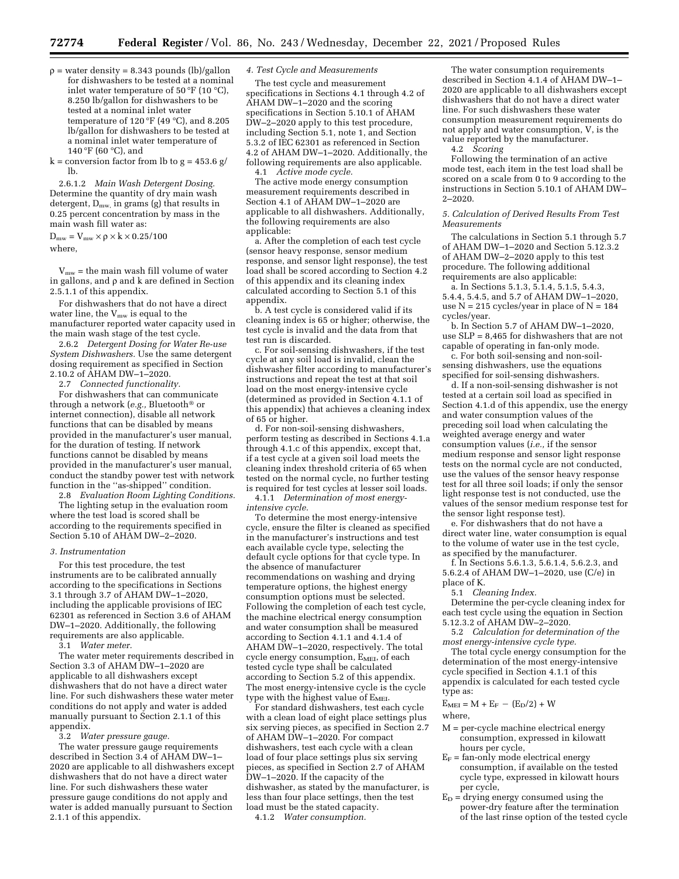$\rho$  = water density = 8.343 pounds (lb)/gallon for dishwashers to be tested at a nominal inlet water temperature of 50 °F (10 °C), 8.250 lb/gallon for dishwashers to be tested at a nominal inlet water temperature of 120 $\mathrm{P}$  (49 $\mathrm{C}$ ), and 8.205 lb/gallon for dishwashers to be tested at a nominal inlet water temperature of 140 °F (60 °C), and

 $k =$  conversion factor from lb to  $g = 453.6$  g/ lb.

2.6.1.2 *Main Wash Detergent Dosing.*  Determine the quantity of dry main wash detergent,  $D_{mw}$ , in grams (g) that results in 0.25 percent concentration by mass in the main wash fill water as:

 $D_{mw} = V_{mw} \times \rho \times k \times 0.25/100$ where,

 $V_{mw}$  = the main wash fill volume of water in gallons, and  $\rho$  and  $k$  are defined in Section 2.5.1.1 of this appendix.

For dishwashers that do not have a direct water line, the  $V_{mw}$  is equal to the manufacturer reported water capacity used in the main wash stage of the test cycle.

2.6.2 *Detergent Dosing for Water Re-use System Dishwashers.* Use the same detergent dosing requirement as specified in Section 2.10.2 of AHAM DW–1–2020.

2.7 *Connected functionality.* 

For dishwashers that can communicate through a network (*e.g.,* Bluetooth® or internet connection), disable all network functions that can be disabled by means provided in the manufacturer's user manual, for the duration of testing. If network functions cannot be disabled by means provided in the manufacturer's user manual, conduct the standby power test with network function in the "as-shipped" condition.

2.8 *Evaluation Room Lighting Conditions.*  The lighting setup in the evaluation room where the test load is scored shall be according to the requirements specified in Section 5.10 of AHAM DW–2–2020.

#### *3. Instrumentation*

For this test procedure, the test instruments are to be calibrated annually according to the specifications in Sections 3.1 through 3.7 of AHAM DW–1–2020, including the applicable provisions of IEC 62301 as referenced in Section 3.6 of AHAM DW–1–2020. Additionally, the following requirements are also applicable.

3.1 *Water meter.* 

The water meter requirements described in Section 3.3 of AHAM DW–1–2020 are applicable to all dishwashers except dishwashers that do not have a direct water line. For such dishwashers these water meter conditions do not apply and water is added manually pursuant to Section 2.1.1 of this appendix.

3.2 *Water pressure gauge.* 

The water pressure gauge requirements described in Section 3.4 of AHAM DW–1– 2020 are applicable to all dishwashers except dishwashers that do not have a direct water line. For such dishwashers these water pressure gauge conditions do not apply and water is added manually pursuant to Section 2.1.1 of this appendix.

# *4. Test Cycle and Measurements*

The test cycle and measurement specifications in Sections 4.1 through 4.2 of  $A$ HAM DW-1-2020 and the scoring specifications in Section 5.10.1 of AHAM DW–2–2020 apply to this test procedure, including Section 5.1, note 1, and Section 5.3.2 of IEC 62301 as referenced in Section 4.2 of AHAM DW–1–2020. Additionally, the following requirements are also applicable. 4.1 *Active mode cycle.* 

The active mode energy consumption measurement requirements described in

Section 4.1 of AHAM DW-1-2020 are applicable to all dishwashers. Additionally, the following requirements are also applicable:

a. After the completion of each test cycle (sensor heavy response, sensor medium response, and sensor light response), the test load shall be scored according to Section 4.2 of this appendix and its cleaning index calculated according to Section 5.1 of this appendix.

b. A test cycle is considered valid if its cleaning index is 65 or higher; otherwise, the test cycle is invalid and the data from that test run is discarded.

c. For soil-sensing dishwashers, if the test cycle at any soil load is invalid, clean the dishwasher filter according to manufacturer's instructions and repeat the test at that soil load on the most energy-intensive cycle (determined as provided in Section 4.1.1 of this appendix) that achieves a cleaning index of 65 or higher.

d. For non-soil-sensing dishwashers, perform testing as described in Sections 4.1.a through 4.1.c of this appendix, except that, if a test cycle at a given soil load meets the cleaning index threshold criteria of 65 when tested on the normal cycle, no further testing is required for test cycles at lesser soil loads.

4.1.1 *Determination of most energyintensive cycle.* 

To determine the most energy-intensive cycle, ensure the filter is cleaned as specified in the manufacturer's instructions and test each available cycle type, selecting the default cycle options for that cycle type. In the absence of manufacturer recommendations on washing and drying temperature options, the highest energy consumption options must be selected. Following the completion of each test cycle, the machine electrical energy consumption and water consumption shall be measured according to Section 4.1.1 and 4.1.4 of AHAM DW–1–2020, respectively. The total cycle energy consumption,  $E_{MEI}$ , of each tested cycle type shall be calculated according to Section 5.2 of this appendix. The most energy-intensive cycle is the cycle type with the highest value of E<sub>MEI</sub>.

For standard dishwashers, test each cycle with a clean load of eight place settings plus six serving pieces, as specified in Section 2.7 of AHAM DW–1–2020. For compact dishwashers, test each cycle with a clean load of four place settings plus six serving pieces, as specified in Section 2.7 of AHAM DW–1–2020. If the capacity of the dishwasher, as stated by the manufacturer, is less than four place settings, then the test load must be the stated capacity.

4.1.2 *Water consumption.* 

The water consumption requirements described in Section 4.1.4 of AHAM DW–1– 2020 are applicable to all dishwashers except dishwashers that do not have a direct water line. For such dishwashers these water consumption measurement requirements do not apply and water consumption, V, is the value reported by the manufacturer.

4.2 *Scoring* 

Following the termination of an active mode test, each item in the test load shall be scored on a scale from 0 to 9 according to the instructions in Section 5.10.1 of AHAM DW– 2–2020.

### *5. Calculation of Derived Results From Test Measurements*

The calculations in Section 5.1 through 5.7 of AHAM DW–1–2020 and Section 5.12.3.2 of AHAM DW–2–2020 apply to this test procedure. The following additional requirements are also applicable:

a. In Sections 5.1.3, 5.1.4, 5.1.5, 5.4.3, 5.4.4, 5.4.5, and 5.7 of AHAM DW–1–2020, use  $N = 215$  cycles/year in place of  $N = 184$ cycles/year.

b. In Section 5.7 of AHAM DW–1–2020, use SLP = 8,465 for dishwashers that are not capable of operating in fan-only mode.

c. For both soil-sensing and non-soilsensing dishwashers, use the equations specified for soil-sensing dishwashers.

d. If a non-soil-sensing dishwasher is not tested at a certain soil load as specified in Section 4.1.d of this appendix, use the energy and water consumption values of the preceding soil load when calculating the weighted average energy and water consumption values (*i.e.,* if the sensor medium response and sensor light response tests on the normal cycle are not conducted, use the values of the sensor heavy response test for all three soil loads; if only the sensor light response test is not conducted, use the values of the sensor medium response test for the sensor light response test).

e. For dishwashers that do not have a direct water line, water consumption is equal to the volume of water use in the test cycle, as specified by the manufacturer.

f. In Sections 5.6.1.3, 5.6.1.4, 5.6.2.3, and 5.6.2.4 of AHAM DW–1–2020, use (C/e) in place of K.

5.1 *Cleaning Index.* 

Determine the per-cycle cleaning index for each test cycle using the equation in Section 5.12.3.2 of AHAM DW–2–2020.

5.2 *Calculation for determination of the most energy-intensive cycle type.* 

The total cycle energy consumption for the determination of the most energy-intensive cycle specified in Section 4.1.1 of this appendix is calculated for each tested cycle type as:

$$
E_{\text{MEI}} = M + E_{\text{F}} - (E_{\text{D}}/2) + W
$$

where,

- M = per-cycle machine electrical energy consumption, expressed in kilowatt hours per cycle,
- $E_F$  = fan-only mode electrical energy consumption, if available on the tested cycle type, expressed in kilowatt hours per cycle,
- $E_D$  = drying energy consumed using the power-dry feature after the termination of the last rinse option of the tested cycle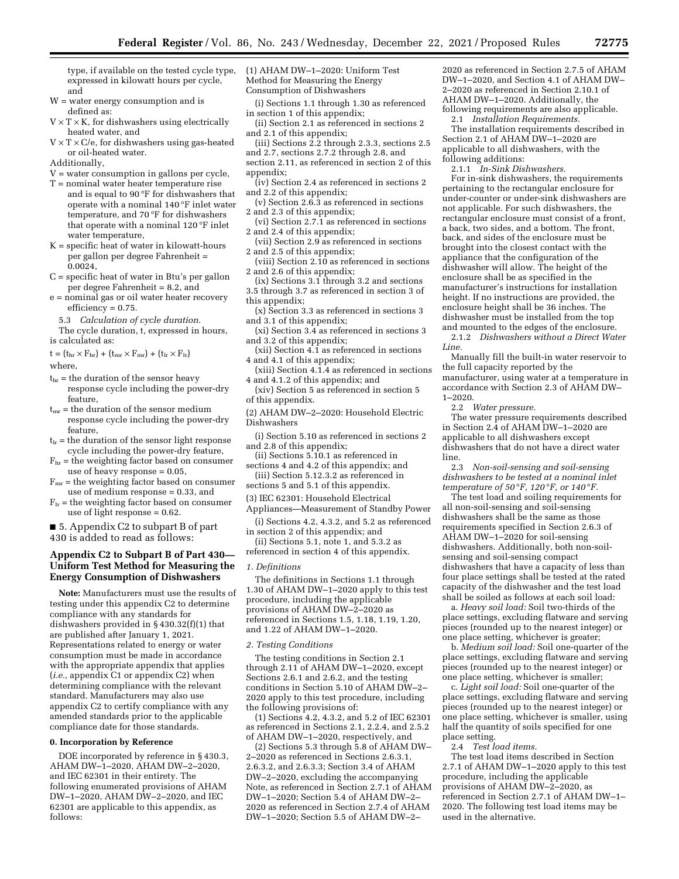type, if available on the tested cycle type, expressed in kilowatt hours per cycle, and

- W = water energy consumption and is defined as:
- $V \times T \times K$ , for dishwashers using electrically heated water, and
- $V \times T \times C/e$ , for dishwashers using gas-heated or oil-heated water.
- Additionally,
- $V =$  water consumption in gallons per cycle, T = nominal water heater temperature rise and is equal to 90 °F for dishwashers that operate with a nominal 140 °F inlet water temperature, and 70 °F for dishwashers
- that operate with a nominal 120 °F inlet water temperature,  $K =$  specific heat of water in kilowatt-hours
- per gallon per degree Fahrenheit = 0.0024,
- C = specific heat of water in Btu's per gallon per degree Fahrenheit = 8.2, and
- e = nominal gas or oil water heater recovery efficiency = 0.75.
	- 5.3 *Calculation of cycle duration.*
- The cycle duration, t, expressed in hours, is calculated as:

 $t = (t<sub>hr</sub> \times F<sub>hr</sub>) + (t<sub>mr</sub> \times F<sub>mr</sub>) + (t<sub>lr</sub> \times F<sub>lr</sub>)$ where,

- $t<sub>hr</sub>$  = the duration of the sensor heavy response cycle including the power-dry feature,
- $t<sub>mr</sub>$  = the duration of the sensor medium response cycle including the power-dry feature,
- $t_{\text{lr}}$  = the duration of the sensor light response cycle including the power-dry feature,
- $F_{\text{hr}}$  = the weighting factor based on consumer use of heavy response = 0.05,
- $F<sub>mr</sub>$  = the weighting factor based on consumer use of medium response = 0.33, and
- $F_{1r}$  = the weighting factor based on consumer use of light response = 0.62.

■ 5. Appendix C2 to subpart B of part 430 is added to read as follows:

# **Appendix C2 to Subpart B of Part 430— Uniform Test Method for Measuring the Energy Consumption of Dishwashers**

**Note:** Manufacturers must use the results of testing under this appendix C2 to determine compliance with any standards for dishwashers provided in § 430.32(f)(1) that are published after January 1, 2021. Representations related to energy or water consumption must be made in accordance with the appropriate appendix that applies (*i.e.,* appendix C1 or appendix C2) when determining compliance with the relevant standard. Manufacturers may also use appendix C2 to certify compliance with any amended standards prior to the applicable compliance date for those standards.

#### **0. Incorporation by Reference**

DOE incorporated by reference in § 430.3, AHAM DW–1–2020, AHAM DW–2–2020, and IEC 62301 in their entirety. The following enumerated provisions of AHAM DW–1–2020, AHAM DW–2–2020, and IEC 62301 are applicable to this appendix, as follows:

(1) AHAM DW–1–2020: Uniform Test Method for Measuring the Energy Consumption of Dishwashers

(i) Sections 1.1 through 1.30 as referenced in section 1 of this appendix;

- (ii) Section 2.1 as referenced in sections 2 and 2.1 of this appendix;
- (iii) Sections 2.2 through 2.3.3, sections 2.5 and 2.7, sections 2.7.2 through 2.8, and
- section 2.11, as referenced in section 2 of this appendix;
- (iv) Section 2.4 as referenced in sections 2 and 2.2 of this appendix;
- (v) Section 2.6.3 as referenced in sections 2 and 2.3 of this appendix;
- (vi) Section 2.7.1 as referenced in sections 2 and 2.4 of this appendix;
- (vii) Section 2.9 as referenced in sections 2 and 2.5 of this appendix;
- (viii) Section 2.10 as referenced in sections 2 and 2.6 of this appendix;
- (ix) Sections 3.1 through 3.2 and sections 3.5 through 3.7 as referenced in section 3 of this appendix;
- (x) Section 3.3 as referenced in sections 3 and 3.1 of this appendix;
- (xi) Section 3.4 as referenced in sections 3 and 3.2 of this appendix;
- (xii) Section 4.1 as referenced in sections 4 and 4.1 of this appendix;
- (xiii) Section 4.1.4 as referenced in sections 4 and 4.1.2 of this appendix; and
- (xiv) Section 5 as referenced in section 5 of this appendix.
- (2) AHAM DW–2–2020: Household Electric
- Dishwashers
- (i) Section 5.10 as referenced in sections 2 and 2.8 of this appendix;
- (ii) Sections 5.10.1 as referenced in sections 4 and 4.2 of this appendix; and
- (iii) Section 5.12.3.2 as referenced in
- sections 5 and 5.1 of this appendix.
- (3) IEC 62301: Household Electrical
- Appliances—Measurement of Standby Power (i) Sections 4.2, 4.3.2, and 5.2 as referenced
- in section 2 of this appendix; and (ii) Sections 5.1, note 1, and 5.3.2 as
- referenced in section 4 of this appendix.

# *1. Definitions*

The definitions in Sections 1.1 through 1.30 of AHAM DW–1–2020 apply to this test procedure, including the applicable provisions of AHAM DW–2–2020 as referenced in Sections 1.5, 1.18, 1.19, 1.20, and 1.22 of AHAM DW–1–2020.

#### *2. Testing Conditions*

The testing conditions in Section 2.1 through 2.11 of AHAM DW–1–2020, except Sections 2.6.1 and 2.6.2, and the testing conditions in Section 5.10 of AHAM DW–2– 2020 apply to this test procedure, including the following provisions of:

(1) Sections 4.2, 4.3.2, and 5.2 of IEC 62301 as referenced in Sections 2.1, 2.2.4, and 2.5.2 of AHAM DW–1–2020, respectively, and

(2) Sections 5.3 through 5.8 of AHAM DW– 2–2020 as referenced in Sections 2.6.3.1, 2.6.3.2, and 2.6.3.3; Section 3.4 of AHAM DW–2–2020, excluding the accompanying Note, as referenced in Section 2.7.1 of AHAM DW–1–2020; Section 5.4 of AHAM DW–2– 2020 as referenced in Section 2.7.4 of AHAM DW–1–2020; Section 5.5 of AHAM DW–2–

2020 as referenced in Section 2.7.5 of AHAM DW–1–2020, and Section 4.1 of AHAM DW– 2–2020 as referenced in Section 2.10.1 of AHAM DW–1–2020. Additionally, the following requirements are also applicable. 2.1 *Installation Requirements.* 

The installation requirements described in Section 2.1 of AHAM DW–1–2020 are applicable to all dishwashers, with the following additions:

2.1.1 *In-Sink Dishwashers.* 

For in-sink dishwashers, the requirements pertaining to the rectangular enclosure for under-counter or under-sink dishwashers are not applicable. For such dishwashers, the rectangular enclosure must consist of a front, a back, two sides, and a bottom. The front, back, and sides of the enclosure must be brought into the closest contact with the appliance that the configuration of the dishwasher will allow. The height of the enclosure shall be as specified in the manufacturer's instructions for installation height. If no instructions are provided, the enclosure height shall be 36 inches. The dishwasher must be installed from the top and mounted to the edges of the enclosure.

2.1.2 *Dishwashers without a Direct Water Line.* 

Manually fill the built-in water reservoir to the full capacity reported by the manufacturer, using water at a temperature in accordance with Section 2.3 of AHAM DW– 1–2020.

2.2 *Water pressure.* 

The water pressure requirements described in Section 2.4 of AHAM DW–1–2020 are applicable to all dishwashers except dishwashers that do not have a direct water line.

2.3 *Non-soil-sensing and soil-sensing dishwashers to be tested at a nominal inlet temperature of 50* °*F, 120* °*F, or 140* °*F.* 

The test load and soiling requirements for all non-soil-sensing and soil-sensing dishwashers shall be the same as those requirements specified in Section 2.6.3 of AHAM DW–1–2020 for soil-sensing dishwashers. Additionally, both non-soilsensing and soil-sensing compact dishwashers that have a capacity of less than four place settings shall be tested at the rated capacity of the dishwasher and the test load shall be soiled as follows at each soil load:

a. *Heavy soil load:* Soil two-thirds of the place settings, excluding flatware and serving pieces (rounded up to the nearest integer) or one place setting, whichever is greater;

b. *Medium soil load:* Soil one-quarter of the place settings, excluding flatware and serving pieces (rounded up to the nearest integer) or one place setting, whichever is smaller;

c. *Light soil load:* Soil one-quarter of the place settings, excluding flatware and serving pieces (rounded up to the nearest integer) or one place setting, whichever is smaller, using half the quantity of soils specified for one place setting.

2.4 *Test load items.* 

The test load items described in Section 2.7.1 of AHAM DW–1–2020 apply to this test procedure, including the applicable provisions of AHAM DW–2–2020, as referenced in Section 2.7.1 of AHAM DW–1– 2020. The following test load items may be used in the alternative.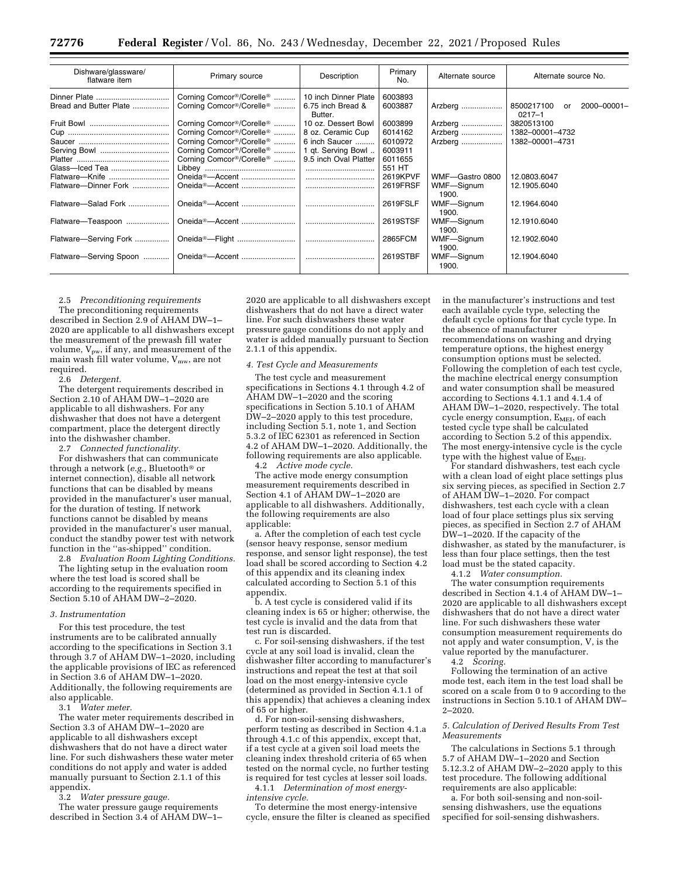| Dishware/glassware/<br>flatware item   | Primary source                                                                                                                     | Description                                               | Primary<br>No.                | Alternate source                       | Alternate source No.                             |
|----------------------------------------|------------------------------------------------------------------------------------------------------------------------------------|-----------------------------------------------------------|-------------------------------|----------------------------------------|--------------------------------------------------|
| Bread and Butter Plate                 | Corning Comcor <sup>®</sup> /Corelle <sup>®</sup><br>Corning Comcor <sup>®</sup> /Corelle <sup>®</sup>                             | 10 inch Dinner Plate<br>6.75 inch Bread &<br>Butter.      | 6003893<br>6003887            |                                        | 8500217100<br>2000-00001-<br>or<br>$0217 - 1$    |
|                                        | Corning Comcor <sup>®</sup> /Corelle <sup>®</sup><br>Corning Comcor <sup>®</sup> /Corelle <sup>®</sup><br>Corning Comcor®/Corelle® | 10 oz. Dessert Bowl<br>8 oz. Ceramic Cup<br>6 inch Saucer | 6003899<br>6014162<br>6010972 | Arzberg<br>Arzberg<br>Arzberg          | 3820513100<br>1382-00001-4732<br>1382-00001-4731 |
| Serving Bowl<br>Glass-Iced Tea         | Corning Comcor <sup>®</sup> /Corelle <sup>®</sup><br>Corning Comcor <sup>®</sup> /Corelle <sup>®</sup>                             | 1 gt. Serving Bowl<br>9.5 inch Oval Platter               | 6003911<br>6011655<br>551 HT  |                                        |                                                  |
| Flatware-Knife<br>Flatware-Dinner Fork | Oneida <sup>®</sup> —Accent                                                                                                        |                                                           | 2619KPVF<br>2619FRSF          | WMF-Gastro 0800<br>WMF-Signum<br>1900. | 12.0803.6047<br>12.1905.6040                     |
| Flatware-Salad Fork                    | Oneida <sup>®</sup> —Accent                                                                                                        |                                                           | 2619FSLF                      | WMF-Signum<br>1900.                    | 12.1964.6040                                     |
| Flatware-Teaspoon                      |                                                                                                                                    |                                                           | 2619STSF                      | WMF-Signum<br>1900.                    | 12.1910.6040                                     |
| Flatware-Serving Fork                  |                                                                                                                                    |                                                           | 2865FCM                       | WMF-Signum<br>1900.                    | 12.1902.6040                                     |
| Flatware-Serving Spoon                 |                                                                                                                                    |                                                           | 2619STBF                      | WMF-Signum<br>1900.                    | 12.1904.6040                                     |

2.5 *Preconditioning requirements*  The preconditioning requirements described in Section 2.9 of AHAM DW–1– 2020 are applicable to all dishwashers except the measurement of the prewash fill water volume,  $V_{\text{pw}}$ , if any, and measurement of the main wash fill water volume,  $V_{mw}$ , are not required.

2.6 *Detergent.* 

The detergent requirements described in Section 2.10 of AHAM DW–1–2020 are applicable to all dishwashers. For any dishwasher that does not have a detergent compartment, place the detergent directly into the dishwasher chamber.

2.7 *Connected functionality.* 

For dishwashers that can communicate through a network (*e.g.,* Bluetooth® or internet connection), disable all network functions that can be disabled by means provided in the manufacturer's user manual, for the duration of testing. If network functions cannot be disabled by means provided in the manufacturer's user manual, conduct the standby power test with network function in the ''as-shipped'' condition.

2.8 *Evaluation Room Lighting Conditions.*  The lighting setup in the evaluation room where the test load is scored shall be according to the requirements specified in Section 5.10 of AHAM DW–2–2020.

#### *3. Instrumentation*

For this test procedure, the test instruments are to be calibrated annually according to the specifications in Section 3.1 through 3.7 of AHAM DW–1–2020, including the applicable provisions of IEC as referenced in Section 3.6 of AHAM DW–1–2020. Additionally, the following requirements are also applicable.

3.1 *Water meter.* 

The water meter requirements described in Section 3.3 of AHAM DW–1–2020 are applicable to all dishwashers except dishwashers that do not have a direct water line. For such dishwashers these water meter conditions do not apply and water is added manually pursuant to Section 2.1.1 of this appendix.

3.2 *Water pressure gauge.* 

The water pressure gauge requirements described in Section 3.4 of AHAM DW–1– 2020 are applicable to all dishwashers except dishwashers that do not have a direct water line. For such dishwashers these water pressure gauge conditions do not apply and water is added manually pursuant to Section 2.1.1 of this appendix.

# *4. Test Cycle and Measurements*

The test cycle and measurement specifications in Sections 4.1 through 4.2 of AHAM DW–1–2020 and the scoring specifications in Section 5.10.1 of AHAM DW–2–2020 apply to this test procedure, including Section 5.1, note 1, and Section 5.3.2 of IEC 62301 as referenced in Section 4.2 of AHAM DW–1–2020. Additionally, the following requirements are also applicable.

4.2 *Active mode cycle.* 

The active mode energy consumption measurement requirements described in Section 4.1 of AHAM DW-1-2020 are applicable to all dishwashers. Additionally, the following requirements are also applicable:

a. After the completion of each test cycle (sensor heavy response, sensor medium response, and sensor light response), the test load shall be scored according to Section 4.2 of this appendix and its cleaning index calculated according to Section 5.1 of this appendix.

b. A test cycle is considered valid if its cleaning index is 65 or higher; otherwise, the test cycle is invalid and the data from that test run is discarded.

c. For soil-sensing dishwashers, if the test cycle at any soil load is invalid, clean the dishwasher filter according to manufacturer's instructions and repeat the test at that soil load on the most energy-intensive cycle (determined as provided in Section 4.1.1 of this appendix) that achieves a cleaning index of 65 or higher.

d. For non-soil-sensing dishwashers, perform testing as described in Section 4.1.a through 4.1.c of this appendix, except that, if a test cycle at a given soil load meets the cleaning index threshold criteria of 65 when tested on the normal cycle, no further testing is required for test cycles at lesser soil loads.

4.1.1 *Determination of most energyintensive cycle.* 

To determine the most energy-intensive cycle, ensure the filter is cleaned as specified in the manufacturer's instructions and test each available cycle type, selecting the default cycle options for that cycle type. In the absence of manufacturer recommendations on washing and drying temperature options, the highest energy consumption options must be selected. Following the completion of each test cycle, the machine electrical energy consumption and water consumption shall be measured according to Sections 4.1.1 and 4.1.4 of AHAM DW–1–2020, respectively. The total cycle energy consumption,  $E_{\text{MEI}}$ , of each tested cycle type shall be calculated according to Section 5.2 of this appendix. The most energy-intensive cycle is the cycle type with the highest value of  $E<sub>MEI</sub>$ .

For standard dishwashers, test each cycle with a clean load of eight place settings plus six serving pieces, as specified in Section 2.7 of AHAM DW–1–2020. For compact dishwashers, test each cycle with a clean load of four place settings plus six serving pieces, as specified in Section 2.7 of AHAM DW–1–2020. If the capacity of the dishwasher, as stated by the manufacturer, is less than four place settings, then the test load must be the stated capacity.

4.1.2 *Water consumption.* 

The water consumption requirements described in Section 4.1.4 of AHAM DW–1– 2020 are applicable to all dishwashers except dishwashers that do not have a direct water line. For such dishwashers these water consumption measurement requirements do not apply and water consumption, V, is the value reported by the manufacturer.

4.2 *Scoring.* 

Following the termination of an active mode test, each item in the test load shall be scored on a scale from 0 to 9 according to the instructions in Section 5.10.1 of AHAM DW– 2–2020.

#### *5. Calculation of Derived Results From Test Measurements*

The calculations in Sections 5.1 through 5.7 of AHAM DW–1–2020 and Section 5.12.3.2 of AHAM DW–2–2020 apply to this test procedure. The following additional requirements are also applicable:

a. For both soil-sensing and non-soilsensing dishwashers, use the equations specified for soil-sensing dishwashers.